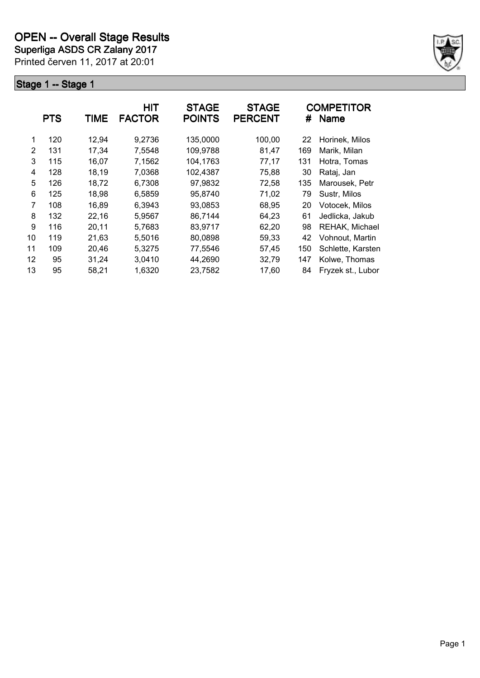**Superliga ASDS CR Zalany 2017**

Printed červen 11, 2017 at 20:01



|    | <b>PTS</b> | <b>TIME</b> | <b>HIT</b><br><b>FACTOR</b> | <b>STAGE</b><br><b>POINTS</b> | <b>STAGE</b><br><b>PERCENT</b> | #   | <b>COMPETITOR</b><br><b>Name</b> |
|----|------------|-------------|-----------------------------|-------------------------------|--------------------------------|-----|----------------------------------|
| 1  | 120        | 12,94       | 9,2736                      | 135,0000                      | 100,00                         | 22  | Horinek, Milos                   |
| 2  | 131        | 17,34       | 7,5548                      | 109,9788                      | 81,47                          | 169 | Marik, Milan                     |
| 3  | 115        | 16,07       | 7,1562                      | 104,1763                      | 77,17                          | 131 | Hotra, Tomas                     |
| 4  | 128        | 18,19       | 7,0368                      | 102,4387                      | 75,88                          | 30  | Rataj, Jan                       |
| 5  | 126        | 18,72       | 6,7308                      | 97,9832                       | 72,58                          | 135 | Marousek, Petr                   |
| 6  | 125        | 18,98       | 6,5859                      | 95,8740                       | 71,02                          | 79  | Sustr, Milos                     |
| 7  | 108        | 16,89       | 6,3943                      | 93,0853                       | 68,95                          | 20  | Votocek, Milos                   |
| 8  | 132        | 22,16       | 5,9567                      | 86,7144                       | 64,23                          | 61  | Jedlicka, Jakub                  |
| 9  | 116        | 20,11       | 5,7683                      | 83,9717                       | 62,20                          | 98  | REHAK, Michael                   |
| 10 | 119        | 21,63       | 5,5016                      | 80,0898                       | 59,33                          | 42  | Vohnout, Martin                  |
| 11 | 109        | 20,46       | 5,3275                      | 77,5546                       | 57,45                          | 150 | Schlette, Karsten                |
| 12 | 95         | 31,24       | 3,0410                      | 44,2690                       | 32,79                          | 147 | Kolwe, Thomas                    |
| 13 | 95         | 58,21       | 1,6320                      | 23,7582                       | 17,60                          | 84  | Fryzek st., Lubor                |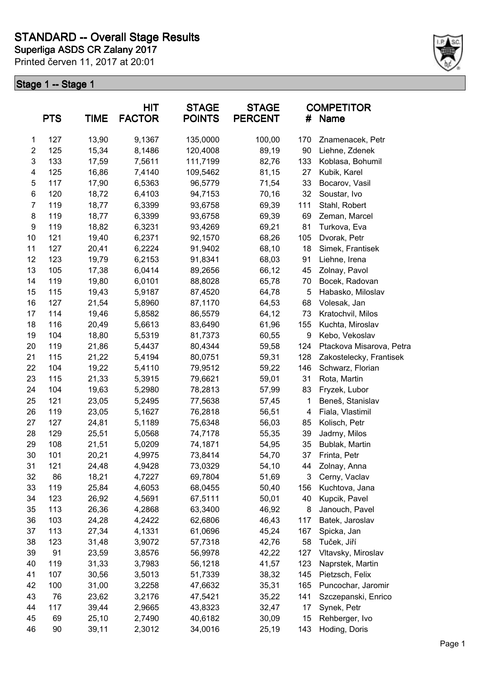

|                           | <b>PTS</b> | <b>TIME</b> | HIT<br><b>FACTOR</b> | <b>STAGE</b><br><b>POINTS</b> | <b>STAGE</b><br><b>PERCENT</b> | #   | <b>COMPETITOR</b><br>Name |
|---------------------------|------------|-------------|----------------------|-------------------------------|--------------------------------|-----|---------------------------|
| $\mathbf{1}$              | 127        | 13,90       | 9,1367               | 135,0000                      | 100,00                         | 170 | Znamenacek, Petr          |
| $\overline{c}$            | 125        | 15,34       | 8,1486               | 120,4008                      | 89,19                          | 90  | Liehne, Zdenek            |
| $\ensuremath{\mathsf{3}}$ | 133        | 17,59       | 7,5611               | 111,7199                      | 82,76                          | 133 | Koblasa, Bohumil          |
| 4                         | 125        | 16,86       | 7,4140               | 109,5462                      | 81,15                          | 27  | Kubik, Karel              |
| $\mathbf 5$               | 117        | 17,90       | 6,5363               | 96,5779                       | 71,54                          | 33  | Bocarov, Vasil            |
| 6                         | 120        | 18,72       | 6,4103               | 94,7153                       | 70,16                          | 32  | Soustar, Ivo              |
| $\overline{7}$            | 119        | 18,77       | 6,3399               | 93,6758                       | 69,39                          | 111 | Stahl, Robert             |
| $\bf 8$                   | 119        | 18,77       | 6,3399               | 93,6758                       | 69,39                          | 69  | Zeman, Marcel             |
| 9                         | 119        | 18,82       | 6,3231               | 93,4269                       | 69,21                          | 81  | Turkova, Eva              |
| 10                        | 121        | 19,40       | 6,2371               | 92,1570                       | 68,26                          | 105 | Dvorak, Petr              |
| 11                        | 127        | 20,41       | 6,2224               | 91,9402                       | 68,10                          | 18  | Simek, Frantisek          |
| 12                        | 123        | 19,79       | 6,2153               | 91,8341                       | 68,03                          | 91  | Liehne, Irena             |
| 13                        | 105        | 17,38       | 6,0414               | 89,2656                       | 66,12                          | 45  | Zolnay, Pavol             |
| 14                        | 119        | 19,80       | 6,0101               | 88,8028                       | 65,78                          | 70  | Bocek, Radovan            |
| 15                        | 115        | 19,43       | 5,9187               | 87,4520                       | 64,78                          | 5   | Habasko, Miloslav         |
| 16                        | 127        | 21,54       | 5,8960               | 87,1170                       | 64,53                          | 68  | Volesak, Jan              |
| 17                        | 114        | 19,46       | 5,8582               | 86,5579                       | 64,12                          | 73  | Kratochvil, Milos         |
| 18                        | 116        | 20,49       | 5,6613               | 83,6490                       | 61,96                          | 155 | Kuchta, Miroslav          |
| 19                        | 104        | 18,80       | 5,5319               | 81,7373                       | 60,55                          | 9   | Kebo, Vekoslav            |
| 20                        | 119        | 21,86       | 5,4437               | 80,4344                       | 59,58                          | 124 | Ptackova Misarova, Petra  |
| 21                        | 115        | 21,22       | 5,4194               | 80,0751                       | 59,31                          | 128 | Zakostelecky, Frantisek   |
| 22                        | 104        | 19,22       | 5,4110               | 79,9512                       | 59,22                          | 146 | Schwarz, Florian          |
| 23                        | 115        | 21,33       | 5,3915               | 79,6621                       | 59,01                          | 31  | Rota, Martin              |
| 24                        | 104        | 19,63       | 5,2980               | 78,2813                       | 57,99                          | 83  | Fryzek, Lubor             |
| 25                        | 121        | 23,05       | 5,2495               | 77,5638                       | 57,45                          | 1   | Beneš, Stanislav          |
| 26                        | 119        | 23,05       | 5,1627               | 76,2818                       | 56,51                          | 4   | Fiala, Vlastimil          |
| 27                        | 127        | 24,81       | 5,1189               | 75,6348                       | 56,03                          | 85  | Kolisch, Petr             |
| 28                        | 129        | 25,51       | 5,0568               | 74,7178                       | 55,35                          | 39  | Jadrny, Milos             |
| 29                        | 108        | 21,51       | 5,0209               | 74,1871                       | 54,95                          | 35  | Bublak, Martin            |
| 30                        | 101        | 20,21       | 4,9975               | 73,8414                       | 54,70                          | 37  | Frinta, Petr              |
| 31                        | 121        | 24,48       | 4,9428               | 73,0329                       | 54,10                          | 44  | Zolnay, Anna              |
| 32                        | 86         | 18,21       | 4,7227               | 69,7804                       | 51,69                          | 3   | Cerny, Vaclav             |
| 33                        | 119        | 25,84       | 4,6053               | 68,0455                       | 50,40                          | 156 | Kuchtova, Jana            |
| 34                        | 123        | 26,92       | 4,5691               | 67,5111                       | 50,01                          | 40  | Kupcik, Pavel             |
| 35                        | 113        | 26,36       | 4,2868               | 63,3400                       | 46,92                          | 8   | Janouch, Pavel            |
| 36                        | 103        | 24,28       | 4,2422               | 62,6806                       | 46,43                          | 117 | Batek, Jaroslav           |
| 37                        | 113        | 27,34       | 4,1331               | 61,0696                       | 45,24                          | 167 | Spicka, Jan               |
| 38                        | 123        | 31,48       | 3,9072               | 57,7318                       | 42,76                          | 58  | Tuček, Jiří               |
| 39                        | 91         | 23,59       | 3,8576               | 56,9978                       | 42,22                          | 127 | Vltavsky, Miroslav        |
| 40                        | 119        | 31,33       | 3,7983               | 56,1218                       | 41,57                          | 123 | Naprstek, Martin          |
| 41                        | 107        | 30,56       | 3,5013               | 51,7339                       | 38,32                          | 145 | Pietzsch, Felix           |
| 42                        | 100        | 31,00       | 3,2258               | 47,6632                       | 35,31                          | 165 | Puncochar, Jaromir        |
| 43                        | 76         | 23,62       | 3,2176               | 47,5421                       | 35,22                          | 141 | Szczepanski, Enrico       |
| 44                        | 117        | 39,44       | 2,9665               | 43,8323                       | 32,47                          | 17  | Synek, Petr               |
| 45                        | 69         | 25,10       | 2,7490               | 40,6182                       | 30,09                          | 15  | Rehberger, Ivo            |
| 46                        | 90         | 39,11       | 2,3012               | 34,0016                       | 25,19                          | 143 | Hoding, Doris             |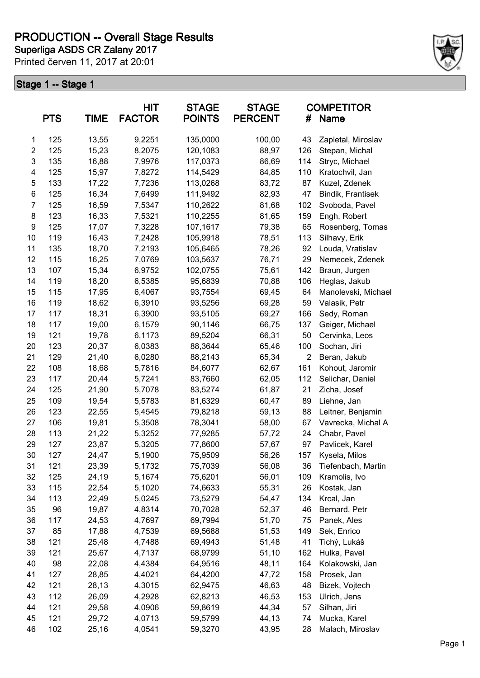**Superliga ASDS CR Zalany 2017 PRODUCTION -- Overall Stage Results**

Printed červen 11, 2017 at 20:01



| <b>PTS</b>              |     | <b>TIME</b> | HIT<br><b>FACTOR</b> | <b>STAGE</b><br><b>POINTS</b> | <b>STAGE</b><br><b>PERCENT</b> | #              | <b>COMPETITOR</b><br><b>Name</b> |
|-------------------------|-----|-------------|----------------------|-------------------------------|--------------------------------|----------------|----------------------------------|
| 1                       | 125 | 13,55       | 9,2251               | 135,0000                      | 100,00                         | 43             | Zapletal, Miroslav               |
| $\overline{\mathbf{c}}$ | 125 | 15,23       | 8,2075               | 120,1083                      | 88,97                          | 126            | Stepan, Michal                   |
| 3                       | 135 | 16,88       | 7,9976               | 117,0373                      | 86,69                          | 114            | Stryc, Michael                   |
| 4                       | 125 | 15,97       | 7,8272               | 114,5429                      | 84,85                          | 110            | Kratochvil, Jan                  |
| 5                       | 133 | 17,22       | 7,7236               | 113,0268                      | 83,72                          | 87             | Kuzel, Zdenek                    |
| 6                       | 125 | 16,34       | 7,6499               | 111,9492                      | 82,93                          | 47             | Bindik, Frantisek                |
| 7                       | 125 | 16,59       | 7,5347               | 110,2622                      | 81,68                          | 102            | Svoboda, Pavel                   |
| 8                       | 123 | 16,33       | 7,5321               | 110,2255                      | 81,65                          | 159            | Engh, Robert                     |
| 9                       | 125 | 17,07       | 7,3228               | 107,1617                      | 79,38                          | 65             | Rosenberg, Tomas                 |
| 10                      | 119 | 16,43       | 7,2428               | 105,9918                      | 78,51                          | 113            | Silhavy, Erik                    |
| 11                      | 135 | 18,70       | 7,2193               | 105,6465                      | 78,26                          | 92             | Louda, Vratislav                 |
| 12                      | 115 | 16,25       | 7,0769               | 103,5637                      | 76,71                          | 29             | Nemecek, Zdenek                  |
| 13                      | 107 | 15,34       | 6,9752               | 102,0755                      | 75,61                          | 142            | Braun, Jurgen                    |
| 14                      | 119 | 18,20       | 6,5385               | 95,6839                       | 70,88                          | 106            | Heglas, Jakub                    |
| 15                      | 115 | 17,95       | 6,4067               | 93,7554                       | 69,45                          | 64             | Manolevski, Michael              |
| 16                      | 119 | 18,62       | 6,3910               | 93,5256                       | 69,28                          | 59             | Valasik, Petr                    |
| 17                      | 117 | 18,31       | 6,3900               | 93,5105                       | 69,27                          | 166            | Sedy, Roman                      |
| 18                      | 117 | 19,00       | 6,1579               | 90,1146                       | 66,75                          | 137            | Geiger, Michael                  |
| 19                      | 121 | 19,78       | 6,1173               | 89,5204                       | 66,31                          | 50             | Cervinka, Leos                   |
| 20                      | 123 | 20,37       | 6,0383               | 88,3644                       | 65,46                          | 100            | Sochan, Jiri                     |
| 21                      | 129 | 21,40       | 6,0280               | 88,2143                       | 65,34                          | $\overline{c}$ | Beran, Jakub                     |
| 22                      | 108 | 18,68       | 5,7816               | 84,6077                       | 62,67                          | 161            | Kohout, Jaromir                  |
| 23                      | 117 | 20,44       | 5,7241               | 83,7660                       | 62,05                          | 112            | Selichar, Daniel                 |
| 24                      | 125 | 21,90       | 5,7078               | 83,5274                       | 61,87                          | 21             | Zicha, Josef                     |
| 25                      | 109 | 19,54       | 5,5783               | 81,6329                       | 60,47                          | 89             | Liehne, Jan                      |
| 26                      | 123 | 22,55       | 5,4545               | 79,8218                       | 59,13                          | 88             | Leitner, Benjamin                |
| 27                      | 106 | 19,81       | 5,3508               | 78,3041                       | 58,00                          | 67             | Vavrecka, Michal A               |
| 28                      | 113 | 21,22       | 5,3252               | 77,9285                       | 57,72                          | 24             | Chabr, Pavel                     |
| 29                      | 127 | 23,87       | 5,3205               | 77,8600                       | 57,67                          | 97             | Pavlicek, Karel                  |
| 30                      | 127 | 24,47       | 5,1900               | 75,9509                       | 56,26                          | 157            | Kysela, Milos                    |
| 31                      | 121 | 23,39       | 5,1732               | 75,7039                       | 56,08                          | 36             | Tiefenbach, Martin               |
| 32                      | 125 | 24,19       | 5,1674               | 75,6201                       | 56,01                          | 109            | Kramolis, Ivo                    |
| 33                      | 115 | 22,54       | 5,1020               | 74,6633                       | 55,31                          | 26             | Kostak, Jan                      |
| 34                      | 113 | 22,49       | 5,0245               | 73,5279                       | 54,47                          | 134            | Krcal, Jan                       |
| 35                      | 96  | 19,87       | 4,8314               | 70,7028                       | 52,37                          | 46             | Bernard, Petr                    |
| 36                      | 117 | 24,53       | 4,7697               | 69,7994                       | 51,70                          | 75             | Panek, Ales                      |
| 37                      | 85  | 17,88       | 4,7539               | 69,5688                       | 51,53                          | 149            | Sek, Enrico                      |
| 38                      | 121 | 25,48       | 4,7488               | 69,4943                       | 51,48                          | 41             | Tichý, Lukáš                     |
| 39                      | 121 | 25,67       | 4,7137               | 68,9799                       | 51,10                          | 162            | Hulka, Pavel                     |
| 40                      | 98  | 22,08       | 4,4384               | 64,9516                       | 48,11                          | 164            | Kolakowski, Jan                  |
| 41                      | 127 | 28,85       | 4,4021               | 64,4200                       | 47,72                          | 158            | Prosek, Jan                      |
| 42                      | 121 | 28,13       | 4,3015               | 62,9475                       | 46,63                          | 48             | Bizek, Vojtech                   |
| 43                      | 112 | 26,09       | 4,2928               | 62,8213                       | 46,53                          | 153            | Ulrich, Jens                     |
| 44                      | 121 | 29,58       | 4,0906               | 59,8619                       | 44,34                          | 57             | Silhan, Jiri                     |
| 45                      | 121 | 29,72       | 4,0713               | 59,5799                       | 44,13                          | 74             | Mucka, Karel                     |
| 46                      | 102 | 25,16       | 4,0541               | 59,3270                       | 43,95                          | 28             | Malach, Miroslav                 |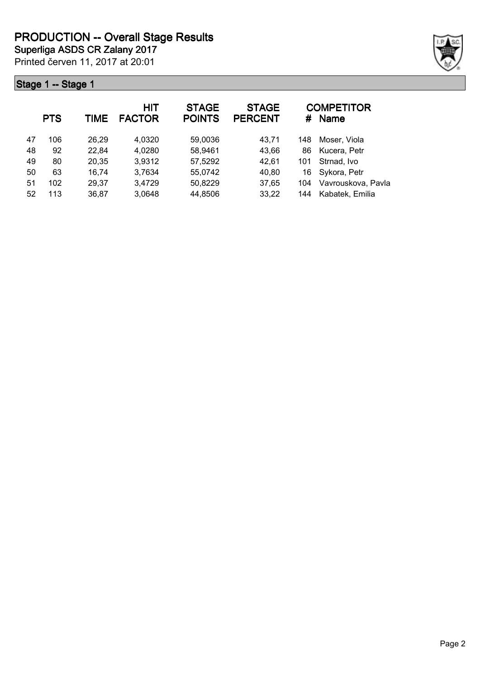Printed červen 11, 2017 at 20:01 **Superliga ASDS CR Zalany 2017**



|    | <b>PTS</b> | TIME  | <b>HIT</b><br><b>FACTOR</b> | <b>STAGE</b><br><b>POINTS</b> | <b>STAGE</b><br><b>PERCENT</b> | #   | <b>COMPETITOR</b><br><b>Name</b> |
|----|------------|-------|-----------------------------|-------------------------------|--------------------------------|-----|----------------------------------|
| 47 | 106        | 26.29 | 4,0320                      | 59,0036                       | 43,71                          | 148 | Moser, Viola                     |
| 48 | 92         | 22,84 | 4,0280                      | 58,9461                       | 43,66                          | 86  | Kucera, Petr                     |
| 49 | 80         | 20,35 | 3,9312                      | 57,5292                       | 42,61                          | 101 | Strnad, Ivo                      |
| 50 | 63         | 16,74 | 3,7634                      | 55,0742                       | 40,80                          | 16  | Sykora, Petr                     |
| 51 | 102        | 29,37 | 3,4729                      | 50,8229                       | 37,65                          | 104 | Vavrouskova, Pavla               |
| 52 | 113        | 36,87 | 3,0648                      | 44,8506                       | 33,22                          | 144 | Kabatek, Emilia                  |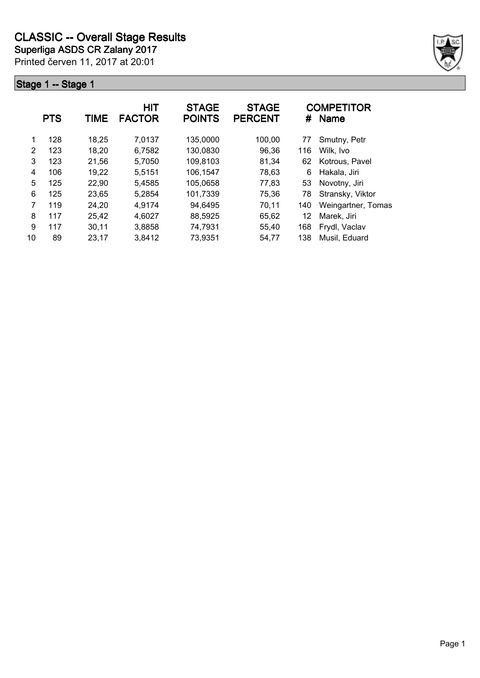

|    | <b>PTS</b> | <b>TIME</b> | <b>HIT</b><br><b>FACTOR</b> | <b>STAGE</b><br><b>POINTS</b> | <b>STAGE</b><br><b>PERCENT</b> |     | <b>COMPETITOR</b><br># Name |
|----|------------|-------------|-----------------------------|-------------------------------|--------------------------------|-----|-----------------------------|
| 1  | 128        | 18,25       | 7,0137                      | 135,0000                      | 100,00                         | 77  | Smutny, Petr                |
| 2  | 123        | 18,20       | 6,7582                      | 130,0830                      | 96,36                          | 116 | Wilk, Ivo                   |
| 3  | 123        | 21,56       | 5,7050                      | 109,8103                      | 81,34                          | 62  | Kotrous, Pavel              |
| 4  | 106        | 19,22       | 5,5151                      | 106,1547                      | 78,63                          | 6   | Hakala, Jiri                |
| 5  | 125        | 22,90       | 5,4585                      | 105,0658                      | 77,83                          | 53  | Novotny, Jiri               |
| 6  | 125        | 23,65       | 5,2854                      | 101,7339                      | 75,36                          | 78  | Stransky, Viktor            |
| 7  | 119        | 24,20       | 4,9174                      | 94,6495                       | 70,11                          | 140 | Weingartner, Tomas          |
| 8  | 117        | 25,42       | 4,6027                      | 88,5925                       | 65,62                          | 12  | Marek, Jiri                 |
| 9  | 117        | 30,11       | 3,8858                      | 74,7931                       | 55,40                          | 168 | Frydl, Vaclav               |
| 10 | 89         | 23,17       | 3,8412                      | 73,9351                       | 54,77                          | 138 | Musil, Eduard               |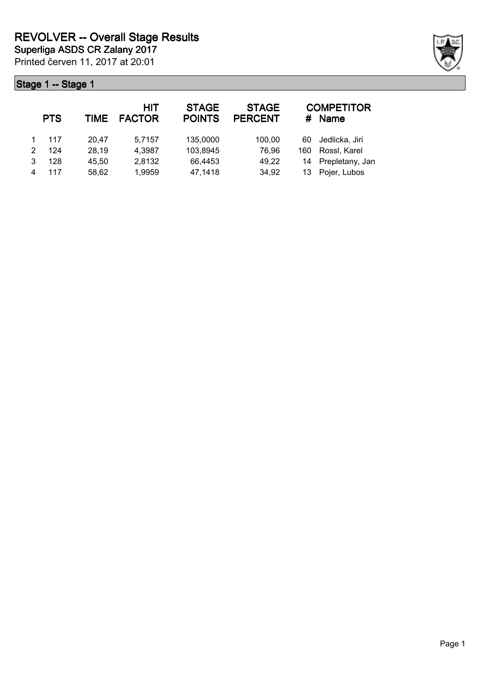|   | <b>PTS</b> | TIME  | HIT<br><b>FACTOR</b> | <b>STAGE</b><br><b>POINTS</b> | <b>STAGE</b><br><b>PERCENT</b> | #   | <b>COMPETITOR</b><br><b>Name</b> |
|---|------------|-------|----------------------|-------------------------------|--------------------------------|-----|----------------------------------|
|   | 117        | 20.47 | 5,7157               | 135,0000                      | 100,00                         | 60  | Jedlicka, Jiri                   |
|   | 124        | 28,19 | 4,3987               | 103,8945                      | 76,96                          | 160 | Rossl, Karel                     |
| 3 | 128        | 45,50 | 2,8132               | 66,4453                       | 49,22                          | 14  | Prepletany, Jan                  |
|   | 117        | 58,62 | 1,9959               | 47,1418                       | 34,92                          | 13. | Pojer, Lubos                     |

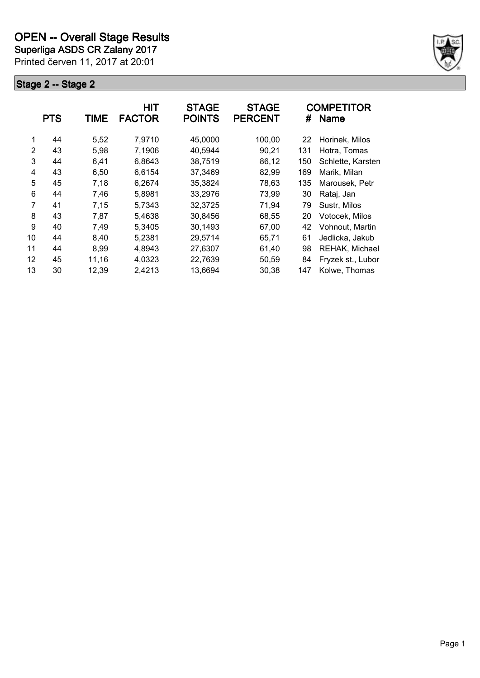**Superliga ASDS CR Zalany 2017**

Printed červen 11, 2017 at 20:01



|    | <b>PTS</b> | TIME  | <b>HIT</b><br><b>FACTOR</b> | <b>STAGE</b><br><b>POINTS</b> | <b>STAGE</b><br><b>PERCENT</b> | #   | <b>COMPETITOR</b><br><b>Name</b> |
|----|------------|-------|-----------------------------|-------------------------------|--------------------------------|-----|----------------------------------|
| 1  | 44         | 5,52  | 7,9710                      | 45,0000                       | 100,00                         | 22  | Horinek, Milos                   |
| 2  | 43         | 5,98  | 7,1906                      | 40,5944                       | 90,21                          | 131 | Hotra, Tomas                     |
| 3  | 44         | 6,41  | 6,8643                      | 38,7519                       | 86,12                          | 150 | Schlette, Karsten                |
| 4  | 43         | 6,50  | 6,6154                      | 37,3469                       | 82,99                          | 169 | Marik, Milan                     |
| 5  | 45         | 7,18  | 6,2674                      | 35,3824                       | 78,63                          | 135 | Marousek, Petr                   |
| 6  | 44         | 7,46  | 5,8981                      | 33,2976                       | 73,99                          | 30  | Rataj, Jan                       |
| 7  | 41         | 7,15  | 5,7343                      | 32,3725                       | 71,94                          | 79  | Sustr, Milos                     |
| 8  | 43         | 7,87  | 5,4638                      | 30,8456                       | 68,55                          | 20  | Votocek, Milos                   |
| 9  | 40         | 7,49  | 5,3405                      | 30,1493                       | 67,00                          | 42  | Vohnout, Martin                  |
| 10 | 44         | 8,40  | 5,2381                      | 29,5714                       | 65,71                          | 61  | Jedlicka, Jakub                  |
| 11 | 44         | 8,99  | 4,8943                      | 27,6307                       | 61,40                          | 98  | REHAK, Michael                   |
| 12 | 45         | 11,16 | 4,0323                      | 22,7639                       | 50,59                          | 84  | Fryzek st., Lubor                |
| 13 | 30         | 12,39 | 2,4213                      | 13,6694                       | 30,38                          | 147 | Kolwe, Thomas                    |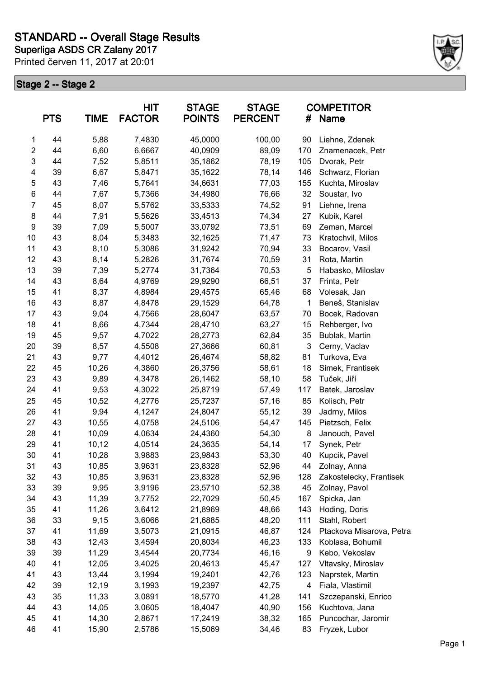

|                         | <b>PTS</b> | <b>TIME</b> | <b>HIT</b><br><b>FACTOR</b> | <b>STAGE</b><br><b>POINTS</b> | <b>STAGE</b><br><b>PERCENT</b> | #   | <b>COMPETITOR</b><br>Name |
|-------------------------|------------|-------------|-----------------------------|-------------------------------|--------------------------------|-----|---------------------------|
| 1                       | 44         | 5,88        | 7,4830                      | 45,0000                       | 100,00                         | 90  | Liehne, Zdenek            |
| $\overline{\mathbf{c}}$ | 44         | 6,60        | 6,6667                      | 40,0909                       | 89,09                          | 170 | Znamenacek, Petr          |
| 3                       | 44         | 7,52        | 5,8511                      | 35,1862                       | 78,19                          | 105 | Dvorak, Petr              |
| 4                       | 39         | 6,67        | 5,8471                      | 35,1622                       | 78,14                          | 146 | Schwarz, Florian          |
| 5                       | 43         | 7,46        | 5,7641                      | 34,6631                       | 77,03                          | 155 | Kuchta, Miroslav          |
| 6                       | 44         | 7,67        | 5,7366                      | 34,4980                       | 76,66                          | 32  | Soustar, Ivo              |
| 7                       | 45         | 8,07        | 5,5762                      | 33,5333                       | 74,52                          | 91  | Liehne, Irena             |
| 8                       | 44         | 7,91        | 5,5626                      | 33,4513                       | 74,34                          | 27  | Kubik, Karel              |
| 9                       | 39         | 7,09        | 5,5007                      | 33,0792                       | 73,51                          | 69  | Zeman, Marcel             |
| 10                      | 43         | 8,04        | 5,3483                      | 32,1625                       | 71,47                          | 73  | Kratochvil, Milos         |
| 11                      | 43         | 8,10        | 5,3086                      | 31,9242                       | 70,94                          | 33  | Bocarov, Vasil            |
| 12                      | 43         | 8,14        | 5,2826                      | 31,7674                       | 70,59                          | 31  | Rota, Martin              |
| 13                      | 39         | 7,39        | 5,2774                      | 31,7364                       | 70,53                          | 5   | Habasko, Miloslav         |
| 14                      | 43         | 8,64        | 4,9769                      | 29,9290                       | 66,51                          | 37  | Frinta, Petr              |
| 15                      | 41         | 8,37        | 4,8984                      | 29,4575                       | 65,46                          | 68  | Volesak, Jan              |
| 16                      | 43         | 8,87        | 4,8478                      | 29,1529                       | 64,78                          | 1   | Beneš, Stanislav          |
| 17                      | 43         | 9,04        | 4,7566                      | 28,6047                       | 63,57                          | 70  | Bocek, Radovan            |
| 18                      | 41         | 8,66        | 4,7344                      | 28,4710                       | 63,27                          | 15  | Rehberger, Ivo            |
| 19                      | 45         | 9,57        | 4,7022                      | 28,2773                       | 62,84                          | 35  | Bublak, Martin            |
| 20                      | 39         | 8,57        | 4,5508                      | 27,3666                       | 60,81                          | 3   | Cerny, Vaclav             |
| 21                      | 43         | 9,77        | 4,4012                      | 26,4674                       | 58,82                          | 81  | Turkova, Eva              |
| 22                      | 45         | 10,26       | 4,3860                      | 26,3756                       | 58,61                          | 18  | Simek, Frantisek          |
| 23                      | 43         | 9,89        | 4,3478                      | 26,1462                       | 58,10                          | 58  | Tuček, Jiří               |
| 24                      | 41         | 9,53        | 4,3022                      | 25,8719                       | 57,49                          | 117 | Batek, Jaroslav           |
| 25                      | 45         | 10,52       | 4,2776                      | 25,7237                       | 57,16                          | 85  | Kolisch, Petr             |
| 26                      | 41         | 9,94        | 4,1247                      | 24,8047                       | 55,12                          | 39  | Jadrny, Milos             |
| 27                      | 43         | 10,55       | 4,0758                      | 24,5106                       | 54,47                          | 145 | Pietzsch, Felix           |
| 28                      | 41         | 10,09       | 4,0634                      | 24,4360                       | 54,30                          | 8   | Janouch, Pavel            |
| 29                      | 41         | 10,12       | 4,0514                      | 24,3635                       | 54,14                          | 17  | Synek, Petr               |
| 30                      | 41         | 10,28       | 3,9883                      | 23,9843                       | 53,30                          | 40  | Kupcik, Pavel             |
| 31                      | 43         | 10,85       | 3,9631                      | 23,8328                       | 52,96                          | 44  | Zolnay, Anna              |
| 32                      | 43         | 10,85       | 3,9631                      | 23,8328                       | 52,96                          | 128 | Zakostelecky, Frantisek   |
| 33                      | 39         | 9,95        | 3,9196                      | 23,5710                       | 52,38                          | 45  | Zolnay, Pavol             |
| 34                      | 43         | 11,39       | 3,7752                      | 22,7029                       | 50,45                          | 167 | Spicka, Jan               |
| 35                      | 41         | 11,26       | 3,6412                      | 21,8969                       | 48,66                          | 143 | Hoding, Doris             |
| 36                      | 33         | 9,15        | 3,6066                      | 21,6885                       | 48,20                          | 111 | Stahl, Robert             |
| 37                      | 41         | 11,69       | 3,5073                      | 21,0915                       | 46,87                          | 124 | Ptackova Misarova, Petra  |
| 38                      | 43         | 12,43       | 3,4594                      | 20,8034                       | 46,23                          | 133 | Koblasa, Bohumil          |
| 39                      | 39         | 11,29       | 3,4544                      | 20,7734                       | 46,16                          | 9   | Kebo, Vekoslav            |
| 40                      | 41         | 12,05       | 3,4025                      | 20,4613                       | 45,47                          | 127 | Vltavsky, Miroslav        |
| 41                      | 43         | 13,44       | 3,1994                      | 19,2401                       | 42,76                          | 123 | Naprstek, Martin          |
| 42                      | 39         | 12,19       | 3,1993                      | 19,2397                       | 42,75                          | 4   | Fiala, Vlastimil          |
| 43                      | 35         | 11,33       | 3,0891                      | 18,5770                       | 41,28                          | 141 | Szczepanski, Enrico       |
| 44                      | 43         | 14,05       | 3,0605                      | 18,4047                       | 40,90                          | 156 | Kuchtova, Jana            |
| 45                      | 41         | 14,30       | 2,8671                      | 17,2419                       | 38,32                          | 165 | Puncochar, Jaromir        |
| 46                      | 41         | 15,90       | 2,5786                      | 15,5069                       | 34,46                          | 83  | Fryzek, Lubor             |
|                         |            |             |                             |                               |                                |     |                           |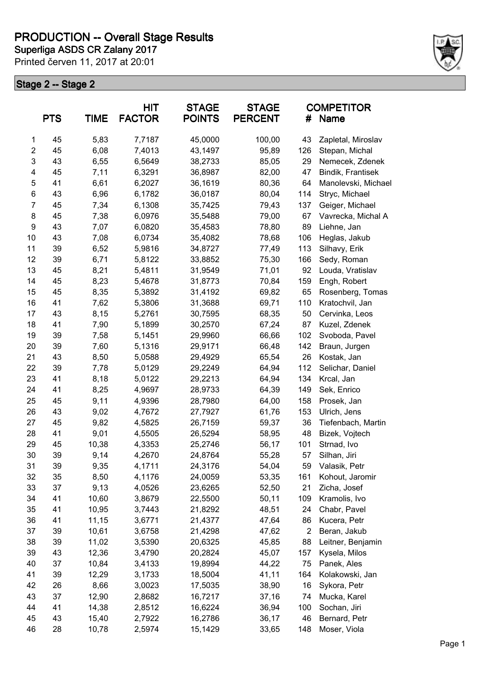**Superliga ASDS CR Zalany 2017 PRODUCTION -- Overall Stage Results**

Printed červen 11, 2017 at 20:01



| <b>PTS</b>       |    | <b>HIT</b><br><b>TIME</b><br><b>FACTOR</b> |        | <b>STAGE</b><br><b>POINTS</b> | <b>STAGE</b><br><b>PERCENT</b> | <b>COMPETITOR</b><br>Name<br># |                     |
|------------------|----|--------------------------------------------|--------|-------------------------------|--------------------------------|--------------------------------|---------------------|
| 1                | 45 | 5,83                                       | 7,7187 | 45,0000                       | 100,00                         | 43                             | Zapletal, Miroslav  |
| $\overline{2}$   | 45 | 6,08                                       | 7,4013 | 43,1497                       | 95,89                          | 126                            | Stepan, Michal      |
| $\mathsf 3$      | 43 | 6,55                                       | 6,5649 | 38,2733                       | 85,05                          | 29                             | Nemecek, Zdenek     |
| 4                | 45 | 7,11                                       | 6,3291 | 36,8987                       | 82,00                          | 47                             | Bindik, Frantisek   |
| 5                | 41 | 6,61                                       | 6,2027 | 36,1619                       | 80,36                          | 64                             | Manolevski, Michael |
| 6                | 43 | 6,96                                       | 6,1782 | 36,0187                       | 80,04                          | 114                            | Stryc, Michael      |
| $\overline{7}$   | 45 | 7,34                                       | 6,1308 | 35,7425                       | 79,43                          | 137                            | Geiger, Michael     |
| 8                | 45 | 7,38                                       | 6,0976 | 35,5488                       | 79,00                          | 67                             | Vavrecka, Michal A  |
| $\boldsymbol{9}$ | 43 | 7,07                                       | 6,0820 | 35,4583                       | 78,80                          | 89                             | Liehne, Jan         |
| 10               | 43 | 7,08                                       | 6,0734 | 35,4082                       | 78,68                          | 106                            | Heglas, Jakub       |
| 11               | 39 | 6,52                                       | 5,9816 | 34,8727                       | 77,49                          | 113                            | Silhavy, Erik       |
| 12               | 39 | 6,71                                       | 5,8122 | 33,8852                       | 75,30                          | 166                            | Sedy, Roman         |
| 13               | 45 | 8,21                                       | 5,4811 | 31,9549                       | 71,01                          | 92                             | Louda, Vratislav    |
| 14               | 45 | 8,23                                       | 5,4678 | 31,8773                       | 70,84                          | 159                            | Engh, Robert        |
| 15               | 45 | 8,35                                       | 5,3892 | 31,4192                       | 69,82                          | 65                             | Rosenberg, Tomas    |
| 16               | 41 | 7,62                                       | 5,3806 | 31,3688                       | 69,71                          | 110                            | Kratochvil, Jan     |
| 17               | 43 | 8,15                                       | 5,2761 | 30,7595                       | 68,35                          | 50                             | Cervinka, Leos      |
| 18               | 41 | 7,90                                       | 5,1899 | 30,2570                       | 67,24                          | 87                             | Kuzel, Zdenek       |
| 19               | 39 | 7,58                                       | 5,1451 | 29,9960                       | 66,66                          | 102                            | Svoboda, Pavel      |
| 20               | 39 | 7,60                                       | 5,1316 | 29,9171                       | 66,48                          | 142                            | Braun, Jurgen       |
| 21               | 43 | 8,50                                       | 5,0588 | 29,4929                       | 65,54                          | 26                             | Kostak, Jan         |
| 22               | 39 | 7,78                                       | 5,0129 | 29,2249                       | 64,94                          | 112                            | Selichar, Daniel    |
| 23               | 41 | 8,18                                       | 5,0122 | 29,2213                       | 64,94                          | 134                            | Krcal, Jan          |
| 24               | 41 | 8,25                                       | 4,9697 | 28,9733                       | 64,39                          | 149                            | Sek, Enrico         |
| 25               | 45 | 9,11                                       | 4,9396 | 28,7980                       | 64,00                          | 158                            | Prosek, Jan         |
| 26               | 43 | 9,02                                       | 4,7672 | 27,7927                       | 61,76                          | 153                            | Ulrich, Jens        |
| 27               | 45 | 9,82                                       | 4,5825 | 26,7159                       | 59,37                          | 36                             | Tiefenbach, Martin  |
| 28               | 41 | 9,01                                       | 4,5505 | 26,5294                       | 58,95                          | 48                             | Bizek, Vojtech      |
| 29               | 45 | 10,38                                      | 4,3353 | 25,2746                       | 56,17                          | 101                            | Strnad, Ivo         |
| 30               | 39 | 9,14                                       | 4,2670 | 24,8764                       | 55,28                          | 57                             | Silhan, Jiri        |
| 31               | 39 | 9,35                                       | 4,1711 | 24,3176                       | 54,04                          | 59                             | Valasik, Petr       |
| 32               | 35 | 8,50                                       | 4,1176 | 24,0059                       | 53,35                          | 161                            | Kohout, Jaromir     |
| 33               | 37 | 9,13                                       | 4,0526 | 23,6265                       | 52,50                          | 21                             | Zicha, Josef        |
| 34               | 41 | 10,60                                      | 3,8679 | 22,5500                       | 50,11                          | 109                            | Kramolis, Ivo       |
| 35               | 41 | 10,95                                      | 3,7443 | 21,8292                       | 48,51                          | 24                             | Chabr, Pavel        |
| 36               | 41 | 11,15                                      | 3,6771 | 21,4377                       | 47,64                          | 86                             | Kucera, Petr        |
| 37               | 39 | 10,61                                      | 3,6758 | 21,4298                       | 47,62                          | $\overline{2}$                 | Beran, Jakub        |
| 38               | 39 | 11,02                                      | 3,5390 | 20,6325                       | 45,85                          | 88                             | Leitner, Benjamin   |
| 39               | 43 | 12,36                                      | 3,4790 | 20,2824                       | 45,07                          | 157                            | Kysela, Milos       |
| 40               | 37 | 10,84                                      | 3,4133 | 19,8994                       | 44,22                          | 75                             | Panek, Ales         |
| 41               | 39 | 12,29                                      | 3,1733 | 18,5004                       | 41,11                          | 164                            | Kolakowski, Jan     |
|                  |    |                                            |        |                               |                                |                                |                     |
| 42               | 26 | 8,66                                       | 3,0023 | 17,5035                       | 38,90                          | 16                             | Sykora, Petr        |
| 43               | 37 | 12,90                                      | 2,8682 | 16,7217                       | 37,16                          | 74                             | Mucka, Karel        |
| 44               | 41 | 14,38                                      | 2,8512 | 16,6224                       | 36,94                          | 100                            | Sochan, Jiri        |
| 45               | 43 | 15,40                                      | 2,7922 | 16,2786                       | 36,17                          | 46                             | Bernard, Petr       |
| 46               | 28 | 10,78                                      | 2,5974 | 15,1429                       | 33,65                          | 148                            | Moser, Viola        |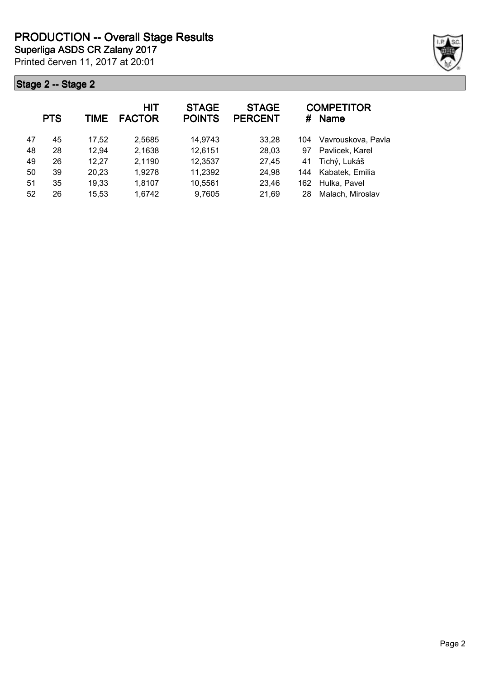

|    | <b>PTS</b> | TIME  | <b>HIT</b><br><b>FACTOR</b> | <b>STAGE</b><br><b>POINTS</b> | <b>STAGE</b><br><b>PERCENT</b> | #   | <b>COMPETITOR</b><br><b>Name</b> |
|----|------------|-------|-----------------------------|-------------------------------|--------------------------------|-----|----------------------------------|
| 47 | 45         | 17,52 | 2,5685                      | 14,9743                       | 33,28                          | 104 | Vavrouskova, Pavla               |
| 48 | 28         | 12,94 | 2,1638                      | 12,6151                       | 28,03                          | 97  | Pavlicek, Karel                  |
| 49 | 26         | 12,27 | 2,1190                      | 12,3537                       | 27,45                          | 41  | Tichý, Lukáš                     |
| 50 | 39         | 20,23 | 1,9278                      | 11,2392                       | 24,98                          | 144 | Kabatek, Emilia                  |
| 51 | 35         | 19,33 | 1,8107                      | 10,5561                       | 23,46                          | 162 | Hulka, Pavel                     |
| 52 | 26         | 15,53 | 1,6742                      | 9,7605                        | 21,69                          | 28  | Malach, Miroslav                 |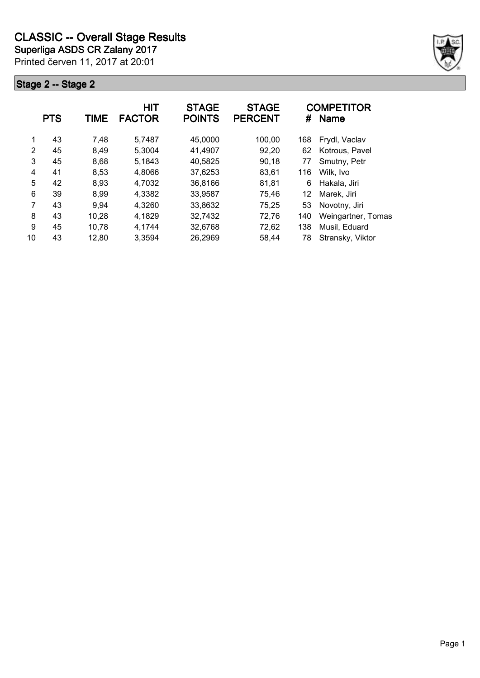

|    | <b>PTS</b> | TIME  | <b>HIT</b><br><b>FACTOR</b> | <b>STAGE</b><br><b>POINTS</b> | <b>STAGE</b><br><b>PERCENT</b> | #   | <b>COMPETITOR</b><br><b>Name</b> |
|----|------------|-------|-----------------------------|-------------------------------|--------------------------------|-----|----------------------------------|
| 1  | 43         | 7,48  | 5,7487                      | 45,0000                       | 100,00                         | 168 | Frydl, Vaclav                    |
| 2  | 45         | 8,49  | 5,3004                      | 41,4907                       | 92,20                          | 62  | Kotrous, Pavel                   |
| 3  | 45         | 8,68  | 5,1843                      | 40,5825                       | 90,18                          | 77  | Smutny, Petr                     |
| 4  | 41         | 8,53  | 4,8066                      | 37,6253                       | 83,61                          | 116 | Wilk, Ivo                        |
| 5  | 42         | 8,93  | 4,7032                      | 36,8166                       | 81,81                          | 6   | Hakala, Jiri                     |
| 6  | 39         | 8,99  | 4,3382                      | 33,9587                       | 75,46                          | 12  | Marek, Jiri                      |
| 7  | 43         | 9,94  | 4,3260                      | 33,8632                       | 75,25                          | 53  | Novotny, Jiri                    |
| 8  | 43         | 10,28 | 4,1829                      | 32,7432                       | 72,76                          | 140 | Weingartner, Tomas               |
| 9  | 45         | 10,78 | 4,1744                      | 32,6768                       | 72,62                          | 138 | Musil, Eduard                    |
| 10 | 43         | 12,80 | 3,3594                      | 26,2969                       | 58,44                          | 78  | Stransky, Viktor                 |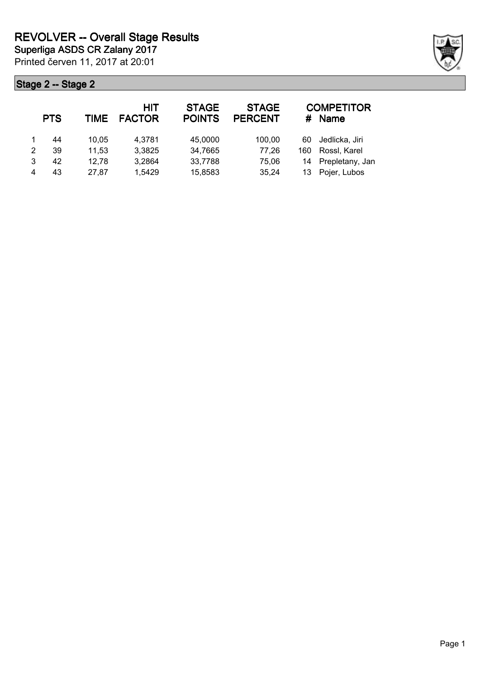|   | <b>PTS</b> | TIME  | <b>HIT</b><br><b>FACTOR</b> | <b>STAGE</b><br><b>POINTS</b> | <b>STAGE</b><br><b>PERCENT</b> | #   | <b>COMPETITOR</b><br><b>Name</b> |
|---|------------|-------|-----------------------------|-------------------------------|--------------------------------|-----|----------------------------------|
|   | 44         | 10.05 | 4.3781                      | 45,0000                       | 100,00                         | 60  | Jedlicka, Jiri                   |
| 2 | 39         | 11,53 | 3,3825                      | 34,7665                       | 77,26                          | 160 | Rossl, Karel                     |
| 3 | 42         | 12,78 | 3,2864                      | 33,7788                       | 75,06                          | 14  | Prepletany, Jan                  |
| 4 | 43         | 27.87 | 1,5429                      | 15,8583                       | 35,24                          | 13  | Pojer, Lubos                     |

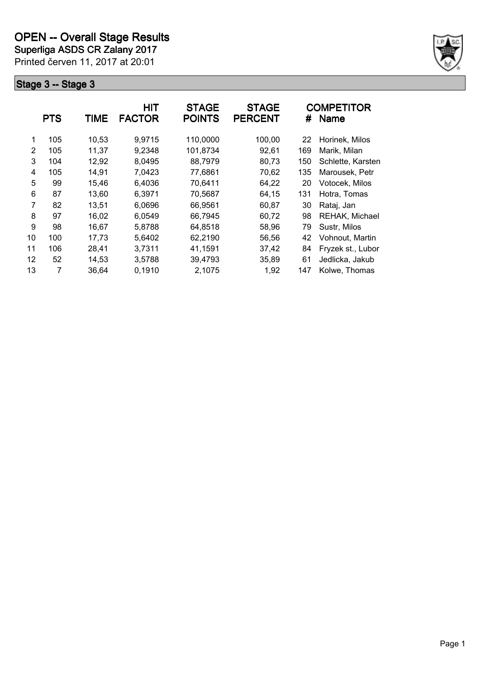**Superliga ASDS CR Zalany 2017**

Printed červen 11, 2017 at 20:01



|    | <b>PTS</b> | TIME  | <b>HIT</b><br><b>FACTOR</b> | <b>STAGE</b><br><b>POINTS</b> | <b>STAGE</b><br><b>PERCENT</b> | #   | <b>COMPETITOR</b><br>Name |
|----|------------|-------|-----------------------------|-------------------------------|--------------------------------|-----|---------------------------|
| 1  | 105        | 10,53 | 9,9715                      | 110,0000                      | 100,00                         | 22  | Horinek, Milos            |
| 2  | 105        | 11,37 | 9,2348                      | 101,8734                      | 92,61                          | 169 | Marik, Milan              |
| 3  | 104        | 12,92 | 8,0495                      | 88,7979                       | 80,73                          | 150 | Schlette, Karsten         |
| 4  | 105        | 14,91 | 7,0423                      | 77,6861                       | 70,62                          | 135 | Marousek, Petr            |
| 5  | 99         | 15,46 | 6,4036                      | 70,6411                       | 64,22                          | 20  | Votocek, Milos            |
| 6  | 87         | 13,60 | 6,3971                      | 70,5687                       | 64,15                          | 131 | Hotra, Tomas              |
| 7  | 82         | 13,51 | 6,0696                      | 66,9561                       | 60,87                          | 30  | Rataj, Jan                |
| 8  | 97         | 16,02 | 6,0549                      | 66,7945                       | 60,72                          | 98  | REHAK, Michael            |
| 9  | 98         | 16,67 | 5,8788                      | 64,8518                       | 58,96                          | 79  | Sustr, Milos              |
| 10 | 100        | 17,73 | 5,6402                      | 62,2190                       | 56,56                          | 42  | Vohnout, Martin           |
| 11 | 106        | 28,41 | 3,7311                      | 41,1591                       | 37,42                          | 84  | Fryzek st., Lubor         |
| 12 | 52         | 14,53 | 3,5788                      | 39,4793                       | 35,89                          | 61  | Jedlicka, Jakub           |
| 13 | 7          | 36,64 | 0,1910                      | 2,1075                        | 1,92                           | 147 | Kolwe, Thomas             |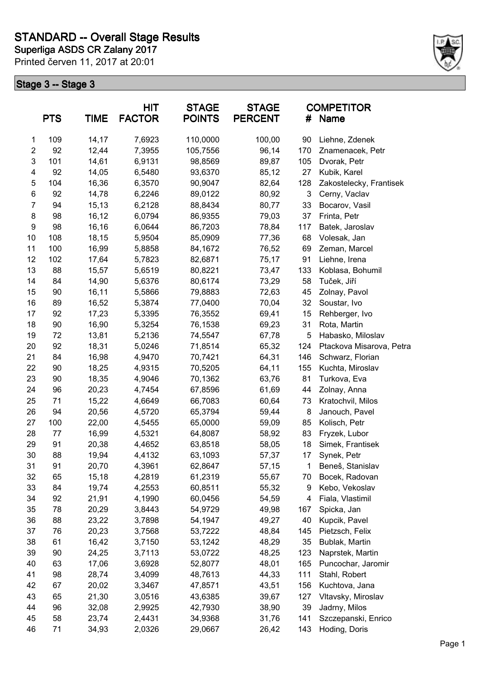

|                         | <b>PTS</b> | <b>TIME</b> | <b>HIT</b><br><b>FACTOR</b> | <b>STAGE</b><br><b>POINTS</b> | <b>STAGE</b><br><b>PERCENT</b> | #   | <b>COMPETITOR</b><br>Name |
|-------------------------|------------|-------------|-----------------------------|-------------------------------|--------------------------------|-----|---------------------------|
| 1                       | 109        | 14,17       | 7,6923                      | 110,0000                      | 100,00                         | 90  | Liehne, Zdenek            |
| $\overline{\mathbf{c}}$ | 92         | 12,44       | 7,3955                      | 105,7556                      | 96,14                          | 170 | Znamenacek, Petr          |
| 3                       | 101        | 14,61       | 6,9131                      | 98,8569                       | 89,87                          | 105 | Dvorak, Petr              |
| 4                       | 92         | 14,05       | 6,5480                      | 93,6370                       | 85,12                          | 27  | Kubik, Karel              |
| 5                       | 104        | 16,36       | 6,3570                      | 90,9047                       | 82,64                          | 128 | Zakostelecky, Frantisek   |
| 6                       | 92         | 14,78       | 6,2246                      | 89,0122                       | 80,92                          | 3   | Cerny, Vaclav             |
| 7                       | 94         | 15,13       | 6,2128                      | 88,8434                       | 80,77                          | 33  | Bocarov, Vasil            |
| 8                       | 98         | 16,12       | 6,0794                      | 86,9355                       | 79,03                          | 37  | Frinta, Petr              |
| $\boldsymbol{9}$        | 98         | 16,16       | 6,0644                      | 86,7203                       | 78,84                          | 117 | Batek, Jaroslav           |
| 10                      | 108        | 18,15       | 5,9504                      | 85,0909                       | 77,36                          | 68  | Volesak, Jan              |
| 11                      | 100        | 16,99       | 5,8858                      | 84,1672                       | 76,52                          | 69  | Zeman, Marcel             |
| 12                      | 102        | 17,64       | 5,7823                      | 82,6871                       | 75,17                          | 91  | Liehne, Irena             |
| 13                      | 88         | 15,57       | 5,6519                      | 80,8221                       | 73,47                          | 133 | Koblasa, Bohumil          |
| 14                      | 84         | 14,90       | 5,6376                      | 80,6174                       | 73,29                          | 58  | Tuček, Jiří               |
| 15                      | 90         | 16,11       | 5,5866                      | 79,8883                       | 72,63                          | 45  | Zolnay, Pavol             |
| 16                      | 89         | 16,52       | 5,3874                      | 77,0400                       | 70,04                          | 32  | Soustar, Ivo              |
| 17                      | 92         | 17,23       | 5,3395                      | 76,3552                       | 69,41                          | 15  | Rehberger, Ivo            |
| 18                      | 90         | 16,90       | 5,3254                      | 76,1538                       | 69,23                          | 31  | Rota, Martin              |
| 19                      | 72         | 13,81       | 5,2136                      | 74,5547                       | 67,78                          | 5   | Habasko, Miloslav         |
| 20                      | 92         | 18,31       | 5,0246                      | 71,8514                       | 65,32                          | 124 | Ptackova Misarova, Petra  |
| 21                      | 84         | 16,98       | 4,9470                      | 70,7421                       | 64,31                          | 146 | Schwarz, Florian          |
| 22                      | 90         | 18,25       | 4,9315                      | 70,5205                       | 64,11                          | 155 | Kuchta, Miroslav          |
| 23                      | 90         | 18,35       | 4,9046                      | 70,1362                       | 63,76                          | 81  | Turkova, Eva              |
| 24                      | 96         | 20,23       | 4,7454                      | 67,8596                       | 61,69                          | 44  | Zolnay, Anna              |
| 25                      | 71         | 15,22       | 4,6649                      | 66,7083                       | 60,64                          | 73  | Kratochvil, Milos         |
| 26                      | 94         | 20,56       | 4,5720                      | 65,3794                       | 59,44                          | 8   | Janouch, Pavel            |
| 27                      | 100        | 22,00       | 4,5455                      | 65,0000                       | 59,09                          | 85  | Kolisch, Petr             |
| 28                      | 77         | 16,99       | 4,5321                      | 64,8087                       | 58,92                          | 83  | Fryzek, Lubor             |
| 29                      | 91         | 20,38       | 4,4652                      | 63,8518                       | 58,05                          | 18  | Simek, Frantisek          |
| 30                      | 88         | 19,94       | 4,4132                      | 63,1093                       | 57,37                          | 17  | Synek, Petr               |
| 31                      | 91         | 20,70       | 4,3961                      | 62,8647                       | 57,15                          | 1   | Beneš, Stanislav          |
| 32                      | 65         | 15,18       | 4,2819                      | 61,2319                       | 55,67                          | 70  | Bocek, Radovan            |
| 33                      | 84         | 19,74       | 4,2553                      | 60,8511                       | 55,32                          | 9   | Kebo, Vekoslav            |
| 34                      | 92         | 21,91       | 4,1990                      | 60,0456                       | 54,59                          | 4   | Fiala, Vlastimil          |
| 35                      | 78         | 20,29       | 3,8443                      | 54,9729                       | 49,98                          | 167 | Spicka, Jan               |
| 36                      | 88         | 23,22       | 3,7898                      | 54,1947                       | 49,27                          | 40  | Kupcik, Pavel             |
| 37                      | 76         | 20,23       | 3,7568                      | 53,7222                       | 48,84                          | 145 | Pietzsch, Felix           |
| 38                      | 61         | 16,42       | 3,7150                      | 53,1242                       | 48,29                          | 35  | Bublak, Martin            |
| 39                      | 90         | 24,25       | 3,7113                      | 53,0722                       | 48,25                          | 123 | Naprstek, Martin          |
| 40                      | 63         | 17,06       | 3,6928                      | 52,8077                       | 48,01                          | 165 | Puncochar, Jaromir        |
| 41                      | 98         | 28,74       | 3,4099                      | 48,7613                       | 44,33                          | 111 | Stahl, Robert             |
| 42                      | 67         | 20,02       | 3,3467                      | 47,8571                       | 43,51                          | 156 | Kuchtova, Jana            |
| 43                      | 65         | 21,30       | 3,0516                      | 43,6385                       | 39,67                          | 127 | Vltavsky, Miroslav        |
| 44                      | 96         | 32,08       | 2,9925                      | 42,7930                       | 38,90                          | 39  | Jadrny, Milos             |
| 45                      | 58         | 23,74       | 2,4431                      | 34,9368                       | 31,76                          | 141 | Szczepanski, Enrico       |
| 46                      | 71         | 34,93       | 2,0326                      | 29,0667                       | 26,42                          | 143 | Hoding, Doris             |
|                         |            |             |                             |                               |                                |     |                           |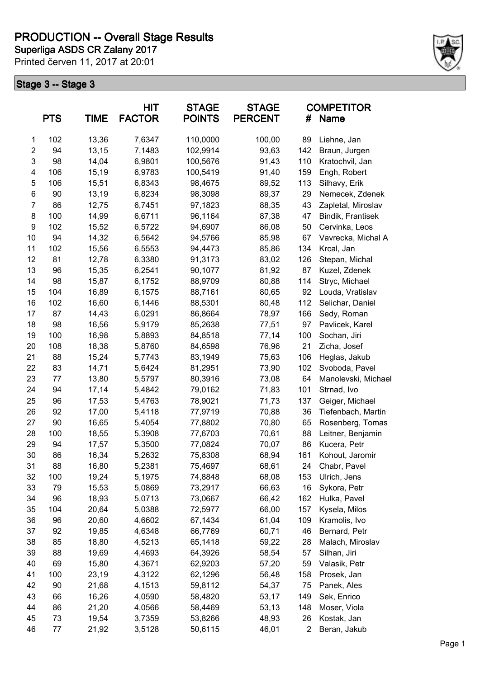**Superliga ASDS CR Zalany 2017 PRODUCTION -- Overall Stage Results**

Printed červen 11, 2017 at 20:01



|                | <b>PTS</b> | <b>TIME</b> | <b>HIT</b><br><b>FACTOR</b> | <b>STAGE</b><br><b>POINTS</b> | <b>STAGE</b><br><b>PERCENT</b> | #   | <b>COMPETITOR</b><br>Name    |
|----------------|------------|-------------|-----------------------------|-------------------------------|--------------------------------|-----|------------------------------|
| 1              | 102        | 13,36       | 7,6347                      | 110,0000                      | 100,00                         | 89  | Liehne, Jan                  |
| $\overline{2}$ | 94         | 13,15       | 7,1483                      | 102,9914                      | 93,63                          | 142 | Braun, Jurgen                |
| 3              | 98         | 14,04       | 6,9801                      | 100,5676                      | 91,43                          | 110 | Kratochvil, Jan              |
| 4              | 106        | 15,19       | 6,9783                      | 100,5419                      | 91,40                          | 159 | Engh, Robert                 |
| 5              | 106        | 15,51       | 6,8343                      | 98,4675                       | 89,52                          | 113 | Silhavy, Erik                |
| 6              | 90         | 13,19       | 6,8234                      | 98,3098                       | 89,37                          | 29  | Nemecek, Zdenek              |
| $\overline{7}$ | 86         | 12,75       | 6,7451                      | 97,1823                       | 88,35                          | 43  | Zapletal, Miroslav           |
| 8              | 100        | 14,99       | 6,6711                      | 96,1164                       | 87,38                          | 47  | Bindik, Frantisek            |
| 9              | 102        | 15,52       | 6,5722                      | 94,6907                       | 86,08                          | 50  | Cervinka, Leos               |
| 10             | 94         | 14,32       | 6,5642                      | 94,5766                       | 85,98                          | 67  | Vavrecka, Michal A           |
| 11             | 102        | 15,56       | 6,5553                      | 94,4473                       | 85,86                          | 134 | Krcal, Jan                   |
| 12             | 81         | 12,78       | 6,3380                      | 91,3173                       | 83,02                          | 126 | Stepan, Michal               |
| 13             | 96         | 15,35       | 6,2541                      | 90,1077                       | 81,92                          | 87  | Kuzel, Zdenek                |
| 14             | 98         | 15,87       | 6,1752                      | 88,9709                       | 80,88                          | 114 | Stryc, Michael               |
| 15             | 104        | 16,89       | 6,1575                      | 88,7161                       | 80,65                          | 92  | Louda, Vratislav             |
| 16             | 102        | 16,60       | 6,1446                      | 88,5301                       | 80,48                          | 112 | Selichar, Daniel             |
| 17             | 87         | 14,43       | 6,0291                      | 86,8664                       | 78,97                          | 166 | Sedy, Roman                  |
| 18             | 98         | 16,56       | 5,9179                      | 85,2638                       | 77,51                          | 97  | Pavlicek, Karel              |
| 19             | 100        | 16,98       | 5,8893                      | 84,8518                       | 77,14                          | 100 | Sochan, Jiri                 |
| 20             | 108        | 18,38       | 5,8760                      | 84,6598                       | 76,96                          | 21  | Zicha, Josef                 |
| 21             | 88         | 15,24       | 5,7743                      | 83,1949                       | 75,63                          | 106 | Heglas, Jakub                |
| 22             | 83         | 14,71       | 5,6424                      | 81,2951                       | 73,90                          | 102 | Svoboda, Pavel               |
| 23             | 77         | 13,80       | 5,5797                      | 80,3916                       | 73,08                          | 64  | Manolevski, Michael          |
| 24             | 94         | 17,14       | 5,4842                      | 79,0162                       | 71,83                          | 101 | Strnad, Ivo                  |
| 25             | 96         | 17,53       | 5,4763                      | 78,9021                       | 71,73                          | 137 | Geiger, Michael              |
| 26             | 92         | 17,00       | 5,4118                      | 77,9719                       | 70,88                          | 36  | Tiefenbach, Martin           |
| 27             | 90         | 16,65       | 5,4054                      | 77,8802                       | 70,80                          | 65  | Rosenberg, Tomas             |
| 28             | 100        | 18,55       | 5,3908                      | 77,6703                       | 70,61                          | 88  | Leitner, Benjamin            |
| 29             | 94         | 17,57       | 5,3500                      | 77,0824                       | 70,07                          | 86  | Kucera, Petr                 |
| 30             | 86         | 16,34       | 5,2632                      | 75,8308                       | 68,94                          | 161 | Kohout, Jaromir              |
| 31             |            | 16,80       |                             |                               |                                | 24  |                              |
| 32             | 88<br>100  | 19,24       | 5,2381<br>5,1975            | 75,4697<br>74,8848            | 68,61<br>68,08                 | 153 | Chabr, Pavel<br>Ulrich, Jens |
| 33             | 79         |             |                             |                               |                                |     |                              |
|                |            | 15,53       | 5,0869                      | 73,2917                       | 66,63                          | 16  | Sykora, Petr                 |
| 34             | 96         | 18,93       | 5,0713                      | 73,0667                       | 66,42                          | 162 | Hulka, Pavel                 |
| 35             | 104        | 20,64       | 5,0388                      | 72,5977                       | 66,00                          | 157 | Kysela, Milos                |
| 36             | 96         | 20,60       | 4,6602                      | 67,1434                       | 61,04                          | 109 | Kramolis, Ivo                |
| 37             | 92         | 19,85       | 4,6348                      | 66,7769                       | 60,71                          | 46  | Bernard, Petr                |
| 38             | 85         | 18,80       | 4,5213                      | 65,1418                       | 59,22                          | 28  | Malach, Miroslav             |
| 39             | 88         | 19,69       | 4,4693                      | 64,3926                       | 58,54                          | 57  | Silhan, Jiri                 |
| 40             | 69         | 15,80       | 4,3671                      | 62,9203                       | 57,20                          | 59  | Valasik, Petr                |
| 41             | 100        | 23,19       | 4,3122                      | 62,1296                       | 56,48                          | 158 | Prosek, Jan                  |
| 42             | 90         | 21,68       | 4,1513                      | 59,8112                       | 54,37                          | 75  | Panek, Ales                  |
| 43             | 66         | 16,26       | 4,0590                      | 58,4820                       | 53,17                          | 149 | Sek, Enrico                  |
| 44             | 86         | 21,20       | 4,0566                      | 58,4469                       | 53,13                          | 148 | Moser, Viola                 |
| 45             | 73         | 19,54       | 3,7359                      | 53,8266                       | 48,93                          | 26  | Kostak, Jan                  |
| 46             | 77         | 21,92       | 3,5128                      | 50,6115                       | 46,01                          | 2   | Beran, Jakub                 |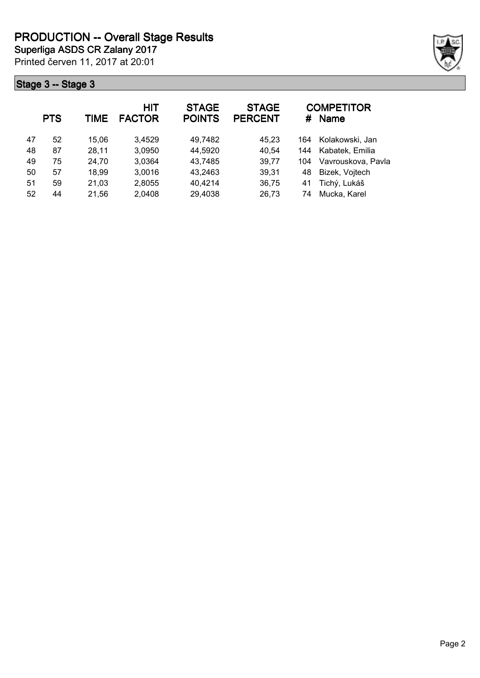

| <b>PTS</b> |    | TIME  | <b>HIT</b><br><b>FACTOR</b> | <b>STAGE</b><br><b>POINTS</b> | <b>STAGE</b><br><b>PERCENT</b> | #   | <b>COMPETITOR</b><br><b>Name</b> |
|------------|----|-------|-----------------------------|-------------------------------|--------------------------------|-----|----------------------------------|
| 47         | 52 | 15,06 | 3,4529                      | 49,7482                       | 45,23                          | 164 | Kolakowski, Jan                  |
| 48         | 87 | 28,11 | 3,0950                      | 44,5920                       | 40,54                          | 144 | Kabatek, Emilia                  |
| 49         | 75 | 24,70 | 3,0364                      | 43,7485                       | 39,77                          | 104 | Vavrouskova, Pavla               |
| 50         | 57 | 18,99 | 3,0016                      | 43,2463                       | 39,31                          | 48  | Bizek, Vojtech                   |
| 51         | 59 | 21,03 | 2,8055                      | 40,4214                       | 36,75                          | 41  | Tichý, Lukáš                     |
| 52         | 44 | 21,56 | 2,0408                      | 29,4038                       | 26,73                          | 74  | Mucka, Karel                     |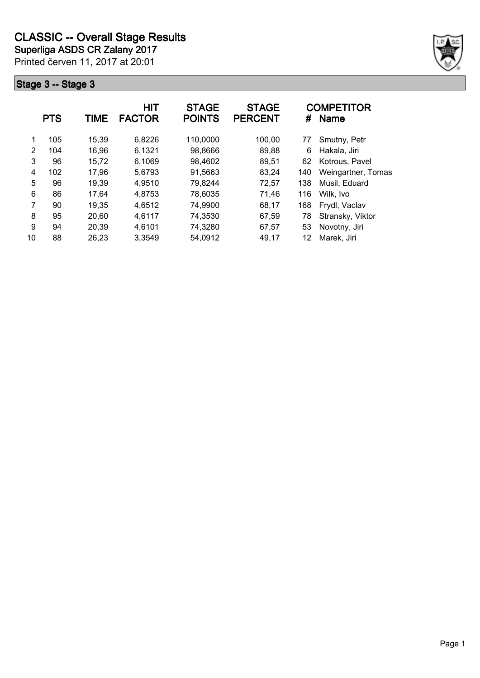

|    | <b>PTS</b> | TIME  | <b>HIT</b><br><b>FACTOR</b> | <b>STAGE</b><br><b>POINTS</b> | <b>STAGE</b><br><b>PERCENT</b> | #   | <b>COMPETITOR</b><br>Name |
|----|------------|-------|-----------------------------|-------------------------------|--------------------------------|-----|---------------------------|
| 1  | 105        | 15,39 | 6,8226                      | 110,0000                      | 100,00                         | 77  | Smutny, Petr              |
| 2  | 104        | 16,96 | 6,1321                      | 98,8666                       | 89,88                          | 6   | Hakala, Jiri              |
| 3  | 96         | 15,72 | 6,1069                      | 98,4602                       | 89,51                          | 62  | Kotrous, Pavel            |
| 4  | 102        | 17,96 | 5,6793                      | 91,5663                       | 83,24                          | 140 | Weingartner, Tomas        |
| 5  | 96         | 19,39 | 4,9510                      | 79,8244                       | 72,57                          | 138 | Musil, Eduard             |
| 6  | 86         | 17,64 | 4,8753                      | 78,6035                       | 71,46                          | 116 | Wilk, Ivo                 |
| 7  | 90         | 19,35 | 4,6512                      | 74,9900                       | 68,17                          | 168 | Frydl, Vaclav             |
| 8  | 95         | 20,60 | 4,6117                      | 74,3530                       | 67,59                          | 78  | Stransky, Viktor          |
| 9  | 94         | 20,39 | 4,6101                      | 74,3280                       | 67,57                          | 53  | Novotny, Jiri             |
| 10 | 88         | 26,23 | 3,3549                      | 54,0912                       | 49,17                          | 12  | Marek, Jiri               |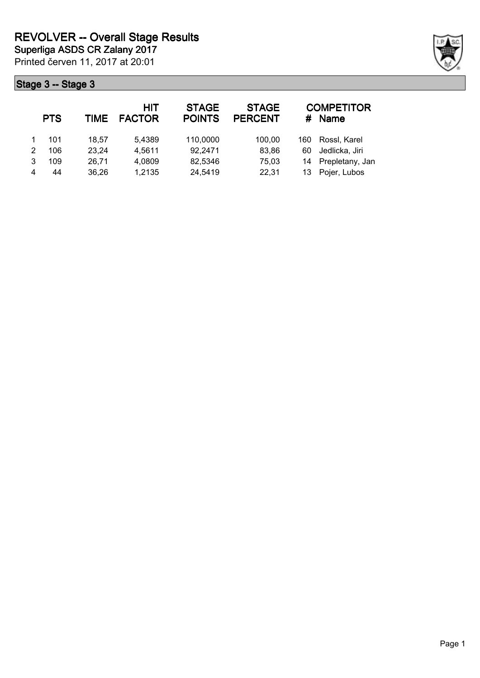|   | <b>PTS</b> | TIME  | <b>HIT</b><br><b>FACTOR</b> | <b>STAGE</b><br><b>POINTS</b> | <b>STAGE</b><br><b>PERCENT</b> | #   | <b>COMPETITOR</b><br><b>Name</b> |
|---|------------|-------|-----------------------------|-------------------------------|--------------------------------|-----|----------------------------------|
|   | 101        | 18.57 | 5,4389                      | 110,0000                      | 100,00                         | 160 | Rossl, Karel                     |
| 2 | 106        | 23,24 | 4,5611                      | 92,2471                       | 83,86                          | 60  | Jedlicka, Jiri                   |
| 3 | 109        | 26,71 | 4,0809                      | 82,5346                       | 75,03                          | 14  | Prepletany, Jan                  |
| 4 | 44         | 36,26 | 1,2135                      | 24,5419                       | 22,31                          | 13. | Pojer, Lubos                     |

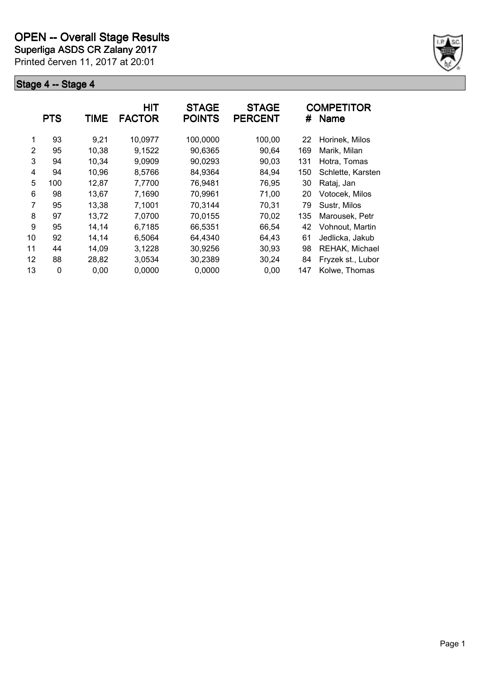**Superliga ASDS CR Zalany 2017**

Printed červen 11, 2017 at 20:01



|    | <b>PTS</b> | TIME  | <b>HIT</b><br><b>FACTOR</b> | <b>STAGE</b><br><b>POINTS</b> | <b>STAGE</b><br><b>PERCENT</b> | #   | <b>COMPETITOR</b><br><b>Name</b> |
|----|------------|-------|-----------------------------|-------------------------------|--------------------------------|-----|----------------------------------|
| 1  | 93         | 9,21  | 10,0977                     | 100,0000                      | 100,00                         | 22  | Horinek, Milos                   |
| 2  | 95         | 10,38 | 9,1522                      | 90,6365                       | 90,64                          | 169 | Marik, Milan                     |
| 3  | 94         | 10,34 | 9,0909                      | 90,0293                       | 90,03                          | 131 | Hotra, Tomas                     |
| 4  | 94         | 10,96 | 8,5766                      | 84,9364                       | 84,94                          | 150 | Schlette, Karsten                |
| 5  | 100        | 12,87 | 7,7700                      | 76,9481                       | 76,95                          | 30  | Rataj, Jan                       |
| 6  | 98         | 13,67 | 7,1690                      | 70,9961                       | 71,00                          | 20  | Votocek, Milos                   |
| 7  | 95         | 13,38 | 7,1001                      | 70,3144                       | 70,31                          | 79  | Sustr, Milos                     |
| 8  | 97         | 13,72 | 7,0700                      | 70,0155                       | 70,02                          | 135 | Marousek. Petr                   |
| 9  | 95         | 14,14 | 6.7185                      | 66,5351                       | 66,54                          | 42  | Vohnout, Martin                  |
| 10 | 92         | 14,14 | 6,5064                      | 64,4340                       | 64,43                          | 61  | Jedlicka, Jakub                  |
| 11 | 44         | 14,09 | 3,1228                      | 30,9256                       | 30,93                          | 98  | REHAK, Michael                   |
| 12 | 88         | 28,82 | 3,0534                      | 30,2389                       | 30,24                          | 84  | Fryzek st., Lubor                |
| 13 | 0          | 0,00  | 0,0000                      | 0,0000                        | 0,00                           | 147 | Kolwe, Thomas                    |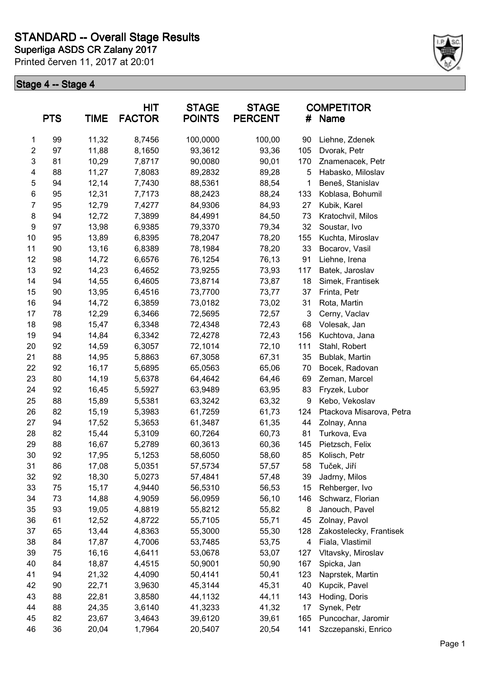

|                         | <b>PTS</b> | <b>TIME</b> | <b>HIT</b><br><b>FACTOR</b> | <b>STAGE</b><br><b>POINTS</b> | <b>STAGE</b><br><b>PERCENT</b> | <b>COMPETITOR</b><br>Name<br># |                          |
|-------------------------|------------|-------------|-----------------------------|-------------------------------|--------------------------------|--------------------------------|--------------------------|
| 1                       | 99         | 11,32       | 8,7456                      | 100,0000                      | 100,00                         | 90                             | Liehne, Zdenek           |
| $\overline{\mathbf{c}}$ | 97         | 11,88       | 8,1650                      | 93,3612                       | 93,36                          | 105                            | Dvorak, Petr             |
| 3                       | 81         | 10,29       | 7,8717                      | 90,0080                       | 90,01                          | 170                            | Znamenacek, Petr         |
| 4                       | 88         | 11,27       | 7,8083                      | 89,2832                       | 89,28                          | 5                              | Habasko, Miloslav        |
| 5                       | 94         | 12,14       | 7,7430                      | 88,5361                       | 88,54                          | 1                              | Beneš, Stanislav         |
| 6                       | 95         | 12,31       | 7,7173                      | 88,2423                       | 88,24                          | 133                            | Koblasa, Bohumil         |
| $\overline{7}$          | 95         | 12,79       | 7,4277                      | 84,9306                       | 84,93                          | 27                             | Kubik, Karel             |
| 8                       | 94         | 12,72       | 7,3899                      | 84,4991                       | 84,50                          | 73                             | Kratochvil, Milos        |
| $\boldsymbol{9}$        | 97         | 13,98       | 6,9385                      | 79,3370                       | 79,34                          | 32                             | Soustar, Ivo             |
| 10                      | 95         | 13,89       | 6,8395                      | 78,2047                       | 78,20                          | 155                            | Kuchta, Miroslav         |
| 11                      | 90         | 13,16       | 6,8389                      | 78,1984                       | 78,20                          | 33                             | Bocarov, Vasil           |
| 12                      | 98         | 14,72       | 6,6576                      | 76,1254                       | 76,13                          | 91                             | Liehne, Irena            |
| 13                      | 92         | 14,23       | 6,4652                      | 73,9255                       | 73,93                          | 117                            | Batek, Jaroslav          |
| 14                      | 94         | 14,55       | 6,4605                      | 73,8714                       | 73,87                          | 18                             | Simek, Frantisek         |
| 15                      | 90         | 13,95       | 6,4516                      | 73,7700                       | 73,77                          | 37                             | Frinta, Petr             |
| 16                      | 94         | 14,72       | 6,3859                      | 73,0182                       | 73,02                          | 31                             | Rota, Martin             |
| 17                      | 78         | 12,29       | 6,3466                      | 72,5695                       | 72,57                          | 3                              | Cerny, Vaclav            |
| 18                      | 98         | 15,47       | 6,3348                      | 72,4348                       | 72,43                          | 68                             | Volesak, Jan             |
| 19                      | 94         | 14,84       | 6,3342                      | 72,4278                       | 72,43                          | 156                            | Kuchtova, Jana           |
| 20                      | 92         | 14,59       | 6,3057                      | 72,1014                       | 72,10                          | 111                            | Stahl, Robert            |
| 21                      | 88         | 14,95       | 5,8863                      | 67,3058                       | 67,31                          | 35                             | Bublak, Martin           |
| 22                      | 92         | 16,17       | 5,6895                      | 65,0563                       | 65,06                          | 70                             | Bocek, Radovan           |
| 23                      | 80         | 14,19       | 5,6378                      | 64,4642                       | 64,46                          | 69                             | Zeman, Marcel            |
| 24                      | 92         | 16,45       | 5,5927                      | 63,9489                       | 63,95                          | 83                             | Fryzek, Lubor            |
| 25                      | 88         | 15,89       | 5,5381                      | 63,3242                       | 63,32                          | 9                              | Kebo, Vekoslav           |
| 26                      | 82         | 15,19       | 5,3983                      | 61,7259                       | 61,73                          | 124                            | Ptackova Misarova, Petra |
| 27                      | 94         | 17,52       | 5,3653                      | 61,3487                       | 61,35                          | 44                             | Zolnay, Anna             |
| 28                      | 82         | 15,44       | 5,3109                      | 60,7264                       | 60,73                          | 81                             | Turkova, Eva             |
| 29                      | 88         | 16,67       | 5,2789                      | 60,3613                       | 60,36                          | 145                            | Pietzsch, Felix          |
| 30                      | 92         | 17,95       | 5,1253                      | 58,6050                       | 58,60                          | 85                             | Kolisch, Petr            |
| 31                      | 86         | 17,08       | 5,0351                      | 57,5734                       | 57,57                          | 58                             | Tuček, Jiří              |
| 32                      | 92         | 18,30       | 5,0273                      | 57,4841                       | 57,48                          | 39                             | Jadrny, Milos            |
| 33                      | 75         | 15,17       | 4,9440                      | 56,5310                       | 56,53                          | 15                             | Rehberger, Ivo           |
| 34                      | 73         | 14,88       | 4,9059                      | 56,0959                       | 56,10                          | 146                            | Schwarz, Florian         |
| 35                      | 93         | 19,05       | 4,8819                      | 55,8212                       | 55,82                          | 8                              | Janouch, Pavel           |
| 36                      | 61         | 12,52       | 4,8722                      | 55,7105                       | 55,71                          | 45                             | Zolnay, Pavol            |
| 37                      | 65         | 13,44       | 4,8363                      | 55,3000                       | 55,30                          | 128                            | Zakostelecky, Frantisek  |
| 38                      | 84         | 17,87       | 4,7006                      | 53,7485                       | 53,75                          | 4                              | Fiala, Vlastimil         |
| 39                      | 75         | 16,16       | 4,6411                      | 53,0678                       | 53,07                          | 127                            | Vltavsky, Miroslav       |
| 40                      | 84         | 18,87       | 4,4515                      | 50,9001                       | 50,90                          | 167                            | Spicka, Jan              |
| 41                      | 94         | 21,32       | 4,4090                      | 50,4141                       | 50,41                          | 123                            | Naprstek, Martin         |
| 42                      | 90         | 22,71       | 3,9630                      | 45,3144                       | 45,31                          | 40                             | Kupcik, Pavel            |
| 43                      | 88         | 22,81       | 3,8580                      | 44,1132                       | 44,11                          | 143                            | Hoding, Doris            |
| 44                      | 88         | 24,35       | 3,6140                      | 41,3233                       | 41,32                          | 17                             | Synek, Petr              |
| 45                      | 82         | 23,67       | 3,4643                      | 39,6120                       | 39,61                          | 165                            | Puncochar, Jaromir       |
| 46                      | 36         | 20,04       | 1,7964                      | 20,5407                       | 20,54                          | 141                            | Szczepanski, Enrico      |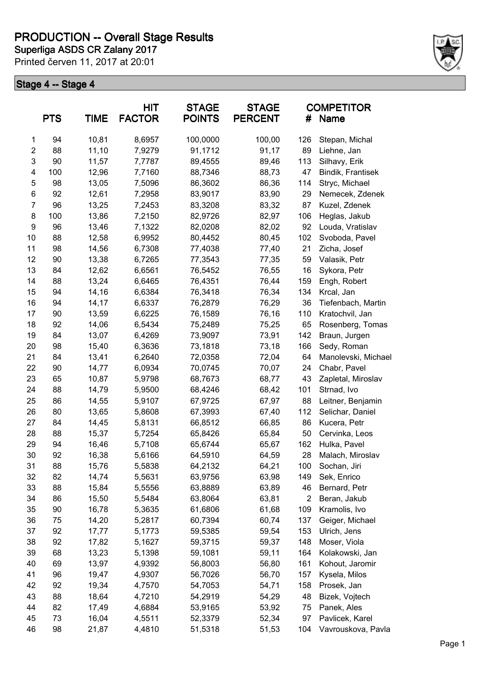

| <b>PTS</b>              |     | <b>TIME</b> | <b>HIT</b><br><b>FACTOR</b> | <b>STAGE</b><br><b>POINTS</b> | <b>STAGE</b><br><b>PERCENT</b> | <b>COMPETITOR</b><br>#<br><b>Name</b> |                     |
|-------------------------|-----|-------------|-----------------------------|-------------------------------|--------------------------------|---------------------------------------|---------------------|
| 1                       | 94  | 10,81       | 8,6957                      | 100,0000                      | 100,00                         | 126                                   | Stepan, Michal      |
| $\overline{\mathbf{c}}$ | 88  | 11,10       | 7,9279                      | 91,1712                       | 91,17                          | 89                                    | Liehne, Jan         |
| 3                       | 90  | 11,57       | 7,7787                      | 89,4555                       | 89,46                          | 113                                   | Silhavy, Erik       |
| 4                       | 100 | 12,96       | 7,7160                      | 88,7346                       | 88,73                          | 47                                    | Bindik, Frantisek   |
| 5                       | 98  | 13,05       | 7,5096                      | 86,3602                       | 86,36                          | 114                                   | Stryc, Michael      |
| 6                       | 92  | 12,61       | 7,2958                      | 83,9017                       | 83,90                          | 29                                    | Nemecek, Zdenek     |
| $\overline{7}$          | 96  | 13,25       | 7,2453                      | 83,3208                       | 83,32                          | 87                                    | Kuzel, Zdenek       |
| 8                       | 100 | 13,86       | 7,2150                      | 82,9726                       | 82,97                          | 106                                   | Heglas, Jakub       |
| $\boldsymbol{9}$        | 96  | 13,46       | 7,1322                      | 82,0208                       | 82,02                          | 92                                    | Louda, Vratislav    |
| 10                      | 88  | 12,58       | 6,9952                      | 80,4452                       | 80,45                          | 102                                   | Svoboda, Pavel      |
| 11                      | 98  | 14,56       | 6,7308                      | 77,4038                       | 77,40                          | 21                                    | Zicha, Josef        |
| 12                      | 90  | 13,38       | 6,7265                      | 77,3543                       | 77,35                          | 59                                    | Valasik, Petr       |
| 13                      | 84  | 12,62       | 6,6561                      | 76,5452                       | 76,55                          | 16                                    | Sykora, Petr        |
| 14                      | 88  | 13,24       | 6,6465                      | 76,4351                       | 76,44                          | 159                                   | Engh, Robert        |
| 15                      | 94  | 14,16       | 6,6384                      | 76,3418                       | 76,34                          | 134                                   | Krcal, Jan          |
| 16                      | 94  | 14,17       | 6,6337                      | 76,2879                       | 76,29                          | 36                                    | Tiefenbach, Martin  |
| 17                      | 90  | 13,59       | 6,6225                      | 76,1589                       | 76,16                          | 110                                   | Kratochvil, Jan     |
| 18                      | 92  | 14,06       | 6,5434                      | 75,2489                       | 75,25                          | 65                                    | Rosenberg, Tomas    |
| 19                      | 84  | 13,07       | 6,4269                      | 73,9097                       | 73,91                          | 142                                   | Braun, Jurgen       |
| 20                      | 98  | 15,40       | 6,3636                      | 73,1818                       | 73,18                          | 166                                   | Sedy, Roman         |
| 21                      | 84  | 13,41       | 6,2640                      | 72,0358                       | 72,04                          | 64                                    | Manolevski, Michael |
| 22                      | 90  | 14,77       | 6,0934                      | 70,0745                       | 70,07                          | 24                                    | Chabr, Pavel        |
| 23                      | 65  | 10,87       | 5,9798                      | 68,7673                       | 68,77                          | 43                                    | Zapletal, Miroslav  |
| 24                      | 88  | 14,79       | 5,9500                      | 68,4246                       | 68,42                          | 101                                   | Strnad, Ivo         |
| 25                      | 86  | 14,55       | 5,9107                      | 67,9725                       | 67,97                          | 88                                    | Leitner, Benjamin   |
| 26                      | 80  | 13,65       | 5,8608                      | 67,3993                       | 67,40                          | 112                                   | Selichar, Daniel    |
| 27                      | 84  | 14,45       | 5,8131                      | 66,8512                       | 66,85                          | 86                                    | Kucera, Petr        |
| 28                      | 88  | 15,37       | 5,7254                      | 65,8426                       | 65,84                          | 50                                    | Cervinka, Leos      |
| 29                      | 94  | 16,46       | 5,7108                      | 65,6744                       | 65,67                          | 162                                   | Hulka, Pavel        |
| 30                      | 92  | 16,38       | 5,6166                      | 64,5910                       | 64,59                          | 28                                    | Malach, Miroslav    |
| 31                      | 88  | 15,76       | 5,5838                      | 64,2132                       | 64,21                          | 100                                   | Sochan, Jiri        |
| 32                      | 82  | 14,74       | 5,5631                      | 63,9756                       | 63,98                          | 149                                   | Sek, Enrico         |
| 33                      | 88  | 15,84       | 5,5556                      | 63,8889                       | 63,89                          | 46                                    | Bernard, Petr       |
| 34                      | 86  | 15,50       | 5,5484                      | 63,8064                       | 63,81                          | $\overline{2}$                        | Beran, Jakub        |
| 35                      | 90  | 16,78       | 5,3635                      | 61,6806                       | 61,68                          | 109                                   | Kramolis, Ivo       |
| 36                      | 75  | 14,20       | 5,2817                      | 60,7394                       | 60,74                          | 137                                   | Geiger, Michael     |
| 37                      | 92  | 17,77       | 5,1773                      | 59,5385                       | 59,54                          | 153                                   | Ulrich, Jens        |
| 38                      | 92  | 17,82       | 5,1627                      | 59,3715                       | 59,37                          | 148                                   | Moser, Viola        |
| 39                      | 68  | 13,23       | 5,1398                      | 59,1081                       | 59,11                          | 164                                   | Kolakowski, Jan     |
| 40                      | 69  | 13,97       | 4,9392                      | 56,8003                       | 56,80                          | 161                                   | Kohout, Jaromir     |
| 41                      | 96  | 19,47       | 4,9307                      | 56,7026                       | 56,70                          | 157                                   | Kysela, Milos       |
| 42                      | 92  | 19,34       | 4,7570                      | 54,7053                       | 54,71                          | 158                                   | Prosek, Jan         |
| 43                      | 88  | 18,64       | 4,7210                      | 54,2919                       | 54,29                          | 48                                    | Bizek, Vojtech      |
| 44                      | 82  | 17,49       | 4,6884                      | 53,9165                       | 53,92                          | 75                                    | Panek, Ales         |
| 45                      | 73  | 16,04       | 4,5511                      | 52,3379                       | 52,34                          | 97                                    | Pavlicek, Karel     |
| 46                      | 98  | 21,87       | 4,4810                      | 51,5318                       | 51,53                          | 104                                   | Vavrouskova, Pavla  |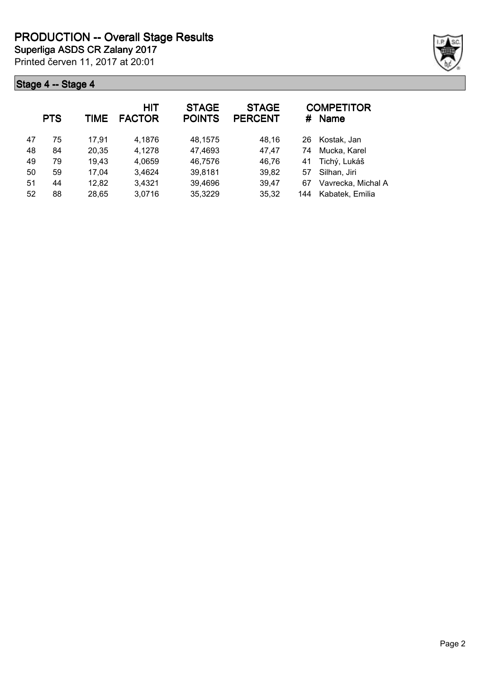

|    | <b>PTS</b> | <b>TIME</b> | HIT<br><b>FACTOR</b> | <b>STAGE</b><br><b>POINTS</b> | <b>STAGE</b><br><b>PERCENT</b> | #   | <b>COMPETITOR</b><br><b>Name</b> |
|----|------------|-------------|----------------------|-------------------------------|--------------------------------|-----|----------------------------------|
| 47 | 75         | 17.91       | 4,1876               | 48,1575                       | 48,16                          | 26  | Kostak, Jan                      |
| 48 | 84         | 20,35       | 4,1278               | 47,4693                       | 47,47                          | 74  | Mucka, Karel                     |
| 49 | 79         | 19,43       | 4,0659               | 46,7576                       | 46,76                          | 41  | Tichý, Lukáš                     |
| 50 | 59         | 17,04       | 3,4624               | 39,8181                       | 39,82                          | 57  | Silhan, Jiri                     |
| 51 | 44         | 12,82       | 3,4321               | 39,4696                       | 39,47                          | 67  | Vavrecka, Michal A               |
| 52 | 88         | 28,65       | 3,0716               | 35,3229                       | 35,32                          | 144 | Kabatek, Emilia                  |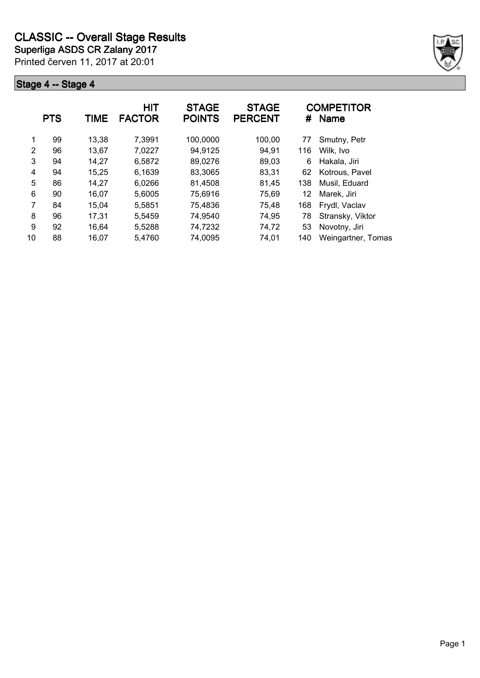

|    | <b>PTS</b> | TIME  | <b>HIT</b><br><b>FACTOR</b> | <b>STAGE</b><br><b>POINTS</b> | <b>STAGE</b><br><b>PERCENT</b> | #   | <b>COMPETITOR</b><br><b>Name</b> |
|----|------------|-------|-----------------------------|-------------------------------|--------------------------------|-----|----------------------------------|
| 1  | 99         | 13,38 | 7,3991                      | 100,0000                      | 100,00                         | 77  | Smutny, Petr                     |
| 2  | 96         | 13,67 | 7,0227                      | 94,9125                       | 94,91                          | 116 | Wilk, Ivo                        |
| 3  | 94         | 14,27 | 6,5872                      | 89,0276                       | 89,03                          | 6   | Hakala, Jiri                     |
| 4  | 94         | 15,25 | 6,1639                      | 83,3065                       | 83,31                          | 62  | Kotrous, Pavel                   |
| 5  | 86         | 14,27 | 6,0266                      | 81,4508                       | 81,45                          | 138 | Musil, Eduard                    |
| 6  | 90         | 16,07 | 5,6005                      | 75,6916                       | 75,69                          | 12  | Marek, Jiri                      |
| 7  | 84         | 15,04 | 5,5851                      | 75,4836                       | 75,48                          | 168 | Frydl, Vaclav                    |
| 8  | 96         | 17,31 | 5,5459                      | 74,9540                       | 74,95                          | 78  | Stransky, Viktor                 |
| 9  | 92         | 16,64 | 5,5288                      | 74,7232                       | 74,72                          | 53  | Novotny, Jiri                    |
| 10 | 88         | 16,07 | 5,4760                      | 74,0095                       | 74,01                          | 140 | Weingartner, Tomas               |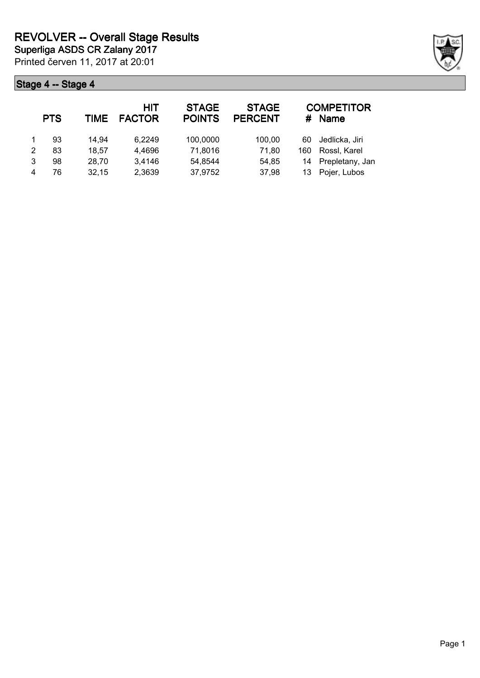|   | <b>PTS</b> | <b>TIME</b> | HIT<br><b>FACTOR</b> | <b>STAGE</b><br><b>POINTS</b> | <b>STAGE</b><br><b>PERCENT</b> | #   | <b>COMPETITOR</b><br><b>Name</b> |
|---|------------|-------------|----------------------|-------------------------------|--------------------------------|-----|----------------------------------|
|   | 93         | 14,94       | 6,2249               | 100,0000                      | 100,00                         | 60  | Jedlicka, Jiri                   |
| 2 | 83         | 18,57       | 4,4696               | 71,8016                       | 71,80                          | 160 | Rossl, Karel                     |
| 3 | 98         | 28,70       | 3,4146               | 54,8544                       | 54,85                          | 14  | Prepletany, Jan                  |
|   | 76         | 32,15       | 2,3639               | 37,9752                       | 37,98                          | 13  | Pojer, Lubos                     |

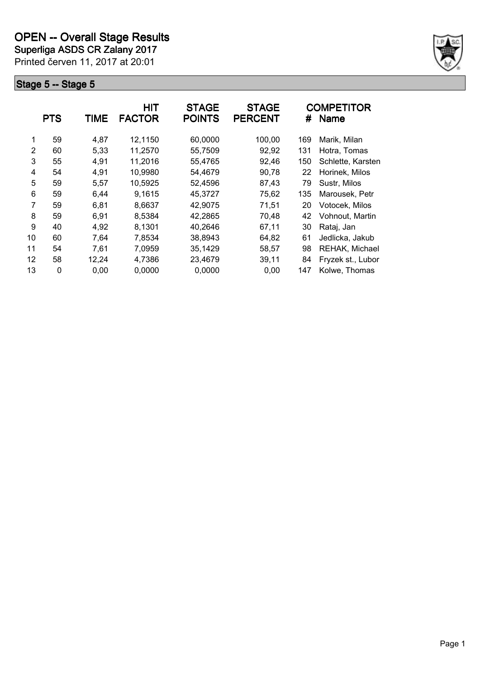**Superliga ASDS CR Zalany 2017**

Printed červen 11, 2017 at 20:01



|    | <b>PTS</b> | TIME  | HIT<br><b>FACTOR</b> | <b>STAGE</b><br><b>POINTS</b> | <b>STAGE</b><br><b>PERCENT</b> | #   | <b>COMPETITOR</b><br><b>Name</b> |
|----|------------|-------|----------------------|-------------------------------|--------------------------------|-----|----------------------------------|
| 1  | 59         | 4,87  | 12,1150              | 60,0000                       | 100,00                         | 169 | Marik, Milan                     |
| 2  | 60         | 5,33  | 11,2570              | 55,7509                       | 92,92                          | 131 | Hotra, Tomas                     |
| 3  | 55         | 4,91  | 11,2016              | 55,4765                       | 92,46                          | 150 | Schlette, Karsten                |
| 4  | 54         | 4,91  | 10,9980              | 54,4679                       | 90,78                          | 22  | Horinek, Milos                   |
| 5  | 59         | 5,57  | 10,5925              | 52,4596                       | 87,43                          | 79  | Sustr, Milos                     |
| 6  | 59         | 6,44  | 9,1615               | 45,3727                       | 75,62                          | 135 | Marousek, Petr                   |
| 7  | 59         | 6,81  | 8,6637               | 42,9075                       | 71,51                          | 20  | Votocek, Milos                   |
| 8  | 59         | 6,91  | 8,5384               | 42,2865                       | 70,48                          | 42  | Vohnout, Martin                  |
| 9  | 40         | 4,92  | 8,1301               | 40,2646                       | 67,11                          | 30  | Rataj, Jan                       |
| 10 | 60         | 7,64  | 7,8534               | 38,8943                       | 64,82                          | 61  | Jedlicka, Jakub                  |
| 11 | 54         | 7,61  | 7,0959               | 35,1429                       | 58,57                          | 98  | REHAK, Michael                   |
| 12 | 58         | 12,24 | 4,7386               | 23,4679                       | 39,11                          | 84  | Fryzek st., Lubor                |
| 13 | 0          | 0,00  | 0,0000               | 0,0000                        | 0,00                           | 147 | Kolwe, Thomas                    |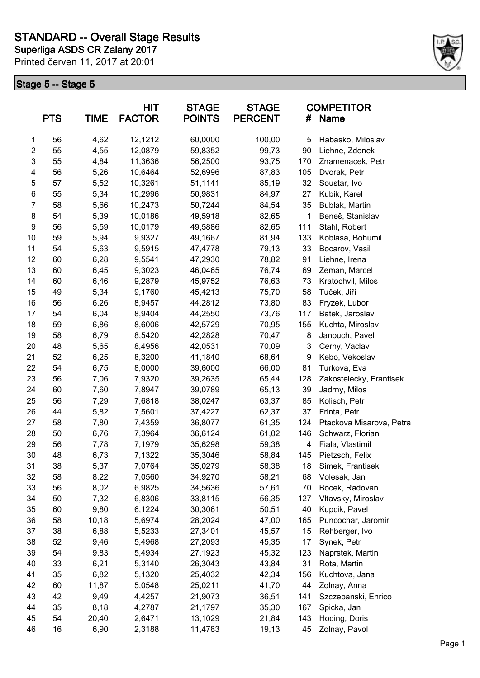

|                | <b>PTS</b> | <b>TIME</b> | HIT<br><b>FACTOR</b> | <b>STAGE</b><br><b>POINTS</b> | <b>STAGE</b><br><b>PERCENT</b> | <b>COMPETITOR</b><br><b>Name</b><br># |                          |
|----------------|------------|-------------|----------------------|-------------------------------|--------------------------------|---------------------------------------|--------------------------|
| $\mathbf{1}$   | 56         | 4,62        | 12,1212              | 60,0000                       | 100,00                         | 5                                     | Habasko, Miloslav        |
| $\overline{2}$ | 55         | 4,55        | 12,0879              | 59,8352                       | 99,73                          | 90                                    | Liehne, Zdenek           |
| 3              | 55         | 4,84        | 11,3636              | 56,2500                       | 93,75                          | 170                                   | Znamenacek, Petr         |
| 4              | 56         | 5,26        | 10,6464              | 52,6996                       | 87,83                          | 105                                   | Dvorak, Petr             |
| 5              | 57         | 5,52        | 10,3261              | 51,1141                       | 85,19                          | 32                                    | Soustar, Ivo             |
| $\,6$          | 55         | 5,34        | 10,2996              | 50,9831                       | 84,97                          | 27                                    | Kubik, Karel             |
| $\overline{7}$ | 58         | 5,66        | 10,2473              | 50,7244                       | 84,54                          | 35                                    | Bublak, Martin           |
| 8              | 54         | 5,39        | 10,0186              | 49,5918                       | 82,65                          | 1                                     | Beneš, Stanislav         |
| 9              | 56         | 5,59        | 10,0179              | 49,5886                       | 82,65                          | 111                                   | Stahl, Robert            |
| 10             | 59         | 5,94        | 9,9327               | 49,1667                       | 81,94                          | 133                                   | Koblasa, Bohumil         |
| 11             | 54         | 5,63        | 9,5915               | 47,4778                       | 79,13                          | 33                                    | Bocarov, Vasil           |
| 12             | 60         | 6,28        | 9,5541               | 47,2930                       | 78,82                          | 91                                    | Liehne, Irena            |
| 13             | 60         | 6,45        | 9,3023               | 46,0465                       | 76,74                          | 69                                    | Zeman, Marcel            |
| 14             | 60         | 6,46        | 9,2879               | 45,9752                       | 76,63                          | 73                                    | Kratochvil, Milos        |
| 15             | 49         | 5,34        | 9,1760               | 45,4213                       | 75,70                          | 58                                    | Tuček, Jiří              |
| 16             | 56         | 6,26        | 8,9457               | 44,2812                       | 73,80                          | 83                                    | Fryzek, Lubor            |
| 17             | 54         | 6,04        | 8,9404               | 44,2550                       | 73,76                          | 117                                   | Batek, Jaroslav          |
| 18             | 59         | 6,86        | 8,6006               | 42,5729                       | 70,95                          | 155                                   | Kuchta, Miroslav         |
| 19             | 58         | 6,79        | 8,5420               | 42,2828                       | 70,47                          | 8                                     | Janouch, Pavel           |
| 20             | 48         | 5,65        | 8,4956               | 42,0531                       | 70,09                          | 3                                     | Cerny, Vaclav            |
| 21             | 52         | 6,25        | 8,3200               | 41,1840                       | 68,64                          | 9                                     | Kebo, Vekoslav           |
| 22             | 54         | 6,75        | 8,0000               | 39,6000                       | 66,00                          | 81                                    | Turkova, Eva             |
| 23             | 56         | 7,06        | 7,9320               | 39,2635                       | 65,44                          | 128                                   | Zakostelecky, Frantisek  |
| 24             | 60         | 7,60        | 7,8947               | 39,0789                       | 65,13                          | 39                                    | Jadrny, Milos            |
| 25             | 56         | 7,29        | 7,6818               | 38,0247                       | 63,37                          | 85                                    | Kolisch, Petr            |
| 26             | 44         | 5,82        | 7,5601               | 37,4227                       | 62,37                          | 37                                    | Frinta, Petr             |
| 27             | 58         | 7,80        | 7,4359               | 36,8077                       | 61,35                          | 124                                   | Ptackova Misarova, Petra |
| 28             | 50         | 6,76        | 7,3964               | 36,6124                       | 61,02                          | 146                                   | Schwarz, Florian         |
| 29             | 56         | 7,78        | 7,1979               | 35,6298                       | 59,38                          | 4                                     | Fiala, Vlastimil         |
| 30             | 48         | 6,73        | 7,1322               | 35,3046                       | 58,84                          | 145                                   | Pietzsch, Felix          |
| 31             | 38         | 5,37        | 7,0764               | 35,0279                       | 58,38                          | 18                                    | Simek, Frantisek         |
| 32             | 58         | 8,22        | 7,0560               | 34,9270                       | 58,21                          | 68                                    | Volesak, Jan             |
| 33             | 56         | 8,02        | 6,9825               | 34,5636                       | 57,61                          | 70                                    | Bocek, Radovan           |
| 34             | 50         | 7,32        | 6,8306               | 33,8115                       | 56,35                          | 127                                   | Vltavsky, Miroslav       |
| 35             | 60         | 9,80        | 6,1224               | 30,3061                       | 50,51                          | 40                                    | Kupcik, Pavel            |
| 36             | 58         | 10,18       | 5,6974               | 28,2024                       | 47,00                          | 165                                   | Puncochar, Jaromir       |
| 37             | 38         | 6,88        | 5,5233               | 27,3401                       | 45,57                          | 15                                    | Rehberger, Ivo           |
| 38             | 52         | 9,46        | 5,4968               | 27,2093                       | 45,35                          | 17                                    | Synek, Petr              |
| 39             | 54         | 9,83        | 5,4934               | 27,1923                       | 45,32                          | 123                                   | Naprstek, Martin         |
| 40             | 33         | 6,21        | 5,3140               | 26,3043                       | 43,84                          | 31                                    | Rota, Martin             |
| 41             | 35         | 6,82        | 5,1320               | 25,4032                       | 42,34                          | 156                                   | Kuchtova, Jana           |
| 42             | 60         | 11,87       | 5,0548               | 25,0211                       | 41,70                          | 44                                    | Zolnay, Anna             |
| 43             | 42         | 9,49        | 4,4257               | 21,9073                       | 36,51                          | 141                                   | Szczepanski, Enrico      |
| 44             | 35         | 8,18        | 4,2787               | 21,1797                       | 35,30                          | 167                                   | Spicka, Jan              |
| 45             | 54         | 20,40       | 2,6471               | 13,1029                       | 21,84                          | 143                                   | Hoding, Doris            |
| 46             | 16         | 6,90        | 2,3188               | 11,4783                       | 19,13                          | 45                                    | Zolnay, Pavol            |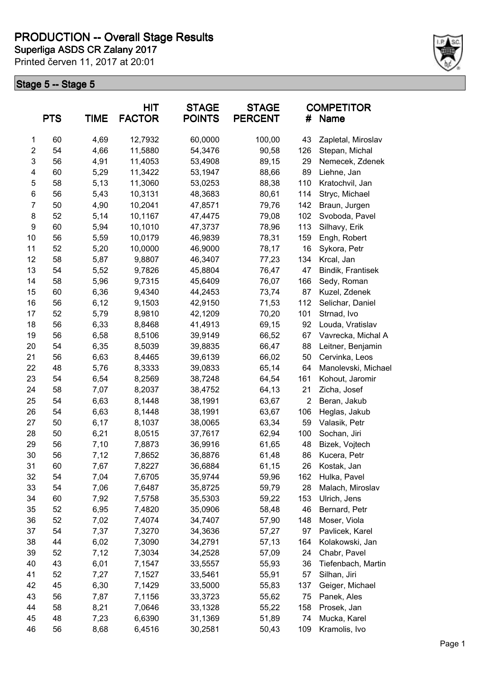**Superliga ASDS CR Zalany 2017 PRODUCTION -- Overall Stage Results**

Printed červen 11, 2017 at 20:01



| <b>PTS</b><br><b>TIME</b> |    | <b>HIT</b><br><b>STAGE</b><br><b>FACTOR</b><br><b>POINTS</b> |         | <b>STAGE</b><br><b>PERCENT</b><br># |        | <b>COMPETITOR</b><br>Name |                     |
|---------------------------|----|--------------------------------------------------------------|---------|-------------------------------------|--------|---------------------------|---------------------|
| 1                         | 60 | 4,69                                                         | 12,7932 | 60,0000                             | 100,00 | 43                        | Zapletal, Miroslav  |
| $\overline{2}$            | 54 | 4,66                                                         | 11,5880 | 54,3476                             | 90,58  | 126                       | Stepan, Michal      |
| $\mathsf 3$               | 56 | 4,91                                                         | 11,4053 | 53,4908                             | 89,15  | 29                        | Nemecek, Zdenek     |
| 4                         | 60 | 5,29                                                         | 11,3422 | 53,1947                             | 88,66  | 89                        | Liehne, Jan         |
| 5                         | 58 | 5,13                                                         | 11,3060 | 53,0253                             | 88,38  | 110                       | Kratochvil, Jan     |
| 6                         | 56 | 5,43                                                         | 10,3131 | 48,3683                             | 80,61  | 114                       | Stryc, Michael      |
| $\overline{7}$            | 50 | 4,90                                                         | 10,2041 | 47,8571                             | 79,76  | 142                       | Braun, Jurgen       |
| 8                         | 52 | 5,14                                                         | 10,1167 | 47,4475                             | 79,08  | 102                       | Svoboda, Pavel      |
| $\boldsymbol{9}$          | 60 | 5,94                                                         | 10,1010 | 47,3737                             | 78,96  | 113                       | Silhavy, Erik       |
| 10                        | 56 | 5,59                                                         | 10,0179 | 46,9839                             | 78,31  | 159                       | Engh, Robert        |
| 11                        | 52 | 5,20                                                         | 10,0000 | 46,9000                             | 78,17  | 16                        | Sykora, Petr        |
| 12                        | 58 | 5,87                                                         | 9,8807  | 46,3407                             | 77,23  | 134                       | Krcal, Jan          |
| 13                        | 54 | 5,52                                                         | 9,7826  | 45,8804                             | 76,47  | 47                        | Bindik, Frantisek   |
| 14                        | 58 | 5,96                                                         | 9,7315  | 45,6409                             | 76,07  | 166                       | Sedy, Roman         |
| 15                        | 60 | 6,36                                                         | 9,4340  | 44,2453                             | 73,74  | 87                        | Kuzel, Zdenek       |
| 16                        | 56 | 6,12                                                         | 9,1503  | 42,9150                             | 71,53  | 112                       | Selichar, Daniel    |
| 17                        | 52 | 5,79                                                         | 8,9810  | 42,1209                             | 70,20  | 101                       | Strnad, Ivo         |
| 18                        | 56 | 6,33                                                         | 8,8468  | 41,4913                             | 69,15  | 92                        | Louda, Vratislav    |
| 19                        | 56 | 6,58                                                         | 8,5106  | 39,9149                             | 66,52  | 67                        | Vavrecka, Michal A  |
| 20                        | 54 | 6,35                                                         | 8,5039  | 39,8835                             | 66,47  | 88                        | Leitner, Benjamin   |
| 21                        | 56 | 6,63                                                         | 8,4465  | 39,6139                             | 66,02  | 50                        | Cervinka, Leos      |
| 22                        | 48 | 5,76                                                         | 8,3333  | 39,0833                             | 65,14  | 64                        | Manolevski, Michael |
| 23                        | 54 | 6,54                                                         | 8,2569  | 38,7248                             | 64,54  | 161                       | Kohout, Jaromir     |
| 24                        | 58 | 7,07                                                         | 8,2037  | 38,4752                             | 64,13  | 21                        | Zicha, Josef        |
| 25                        | 54 | 6,63                                                         | 8,1448  | 38,1991                             | 63,67  | $\overline{2}$            | Beran, Jakub        |
| 26                        | 54 | 6,63                                                         | 8,1448  | 38,1991                             | 63,67  | 106                       | Heglas, Jakub       |
| 27                        | 50 | 6,17                                                         | 8,1037  | 38,0065                             | 63,34  | 59                        | Valasik, Petr       |
| 28                        | 50 | 6,21                                                         | 8,0515  | 37,7617                             | 62,94  | 100                       | Sochan, Jiri        |
| 29                        | 56 | 7,10                                                         | 7,8873  | 36,9916                             | 61,65  | 48                        | Bizek, Vojtech      |
| 30                        | 56 | 7,12                                                         | 7,8652  | 36,8876                             | 61,48  | 86                        | Kucera, Petr        |
| 31                        | 60 | 7,67                                                         | 7,8227  | 36,6884                             | 61,15  | 26                        | Kostak, Jan         |
| 32                        | 54 | 7,04                                                         | 7,6705  | 35,9744                             | 59,96  | 162                       | Hulka, Pavel        |
| 33                        | 54 | 7,06                                                         | 7,6487  | 35,8725                             | 59,79  | 28                        | Malach, Miroslav    |
| 34                        | 60 | 7,92                                                         | 7,5758  | 35,5303                             | 59,22  | 153                       | Ulrich, Jens        |
| 35                        | 52 | 6,95                                                         | 7,4820  | 35,0906                             | 58,48  | 46                        | Bernard, Petr       |
| 36                        | 52 | 7,02                                                         | 7,4074  | 34,7407                             | 57,90  | 148                       | Moser, Viola        |
| 37                        | 54 | 7,37                                                         | 7,3270  | 34,3636                             | 57,27  | 97                        | Pavlicek, Karel     |
| 38                        | 44 | 6,02                                                         | 7,3090  | 34,2791                             | 57,13  | 164                       | Kolakowski, Jan     |
| 39                        | 52 | 7,12                                                         | 7,3034  | 34,2528                             | 57,09  | 24                        | Chabr, Pavel        |
| 40                        | 43 | 6,01                                                         | 7,1547  | 33,5557                             | 55,93  | 36                        | Tiefenbach, Martin  |
| 41                        | 52 | 7,27                                                         | 7,1527  | 33,5461                             | 55,91  | 57                        | Silhan, Jiri        |
| 42                        | 45 | 6,30                                                         | 7,1429  | 33,5000                             | 55,83  | 137                       | Geiger, Michael     |
| 43                        | 56 | 7,87                                                         | 7,1156  | 33,3723                             | 55,62  | 75                        | Panek, Ales         |
| 44                        | 58 | 8,21                                                         | 7,0646  | 33,1328                             | 55,22  | 158                       | Prosek, Jan         |
| 45                        | 48 | 7,23                                                         | 6,6390  | 31,1369                             | 51,89  | 74                        | Mucka, Karel        |
| 46                        | 56 | 8,68                                                         | 6,4516  | 30,2581                             | 50,43  | 109                       | Kramolis, Ivo       |
|                           |    |                                                              |         |                                     |        |                           |                     |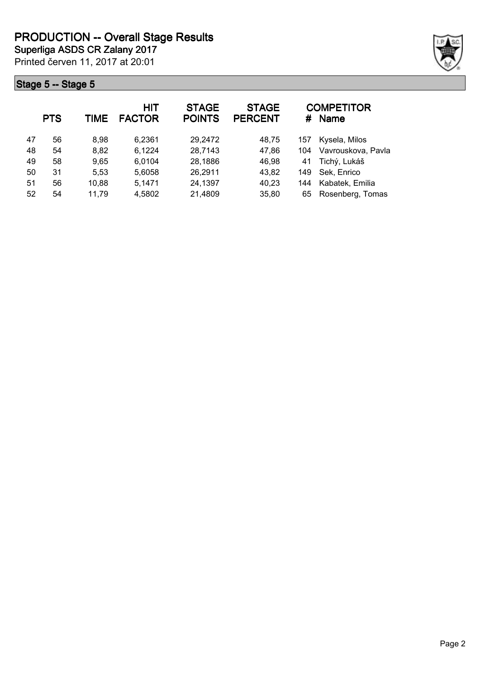

|    | <b>PTS</b> | <b>TIME</b> | <b>HIT</b><br><b>FACTOR</b> | <b>STAGE</b><br><b>POINTS</b> | <b>STAGE</b><br><b>PERCENT</b> | #   | <b>COMPETITOR</b><br><b>Name</b> |
|----|------------|-------------|-----------------------------|-------------------------------|--------------------------------|-----|----------------------------------|
| 47 | 56         | 8,98        | 6,2361                      | 29,2472                       | 48,75                          | 157 | Kysela, Milos                    |
| 48 | 54         | 8,82        | 6,1224                      | 28,7143                       | 47,86                          | 104 | Vavrouskova, Pavla               |
| 49 | 58         | 9,65        | 6,0104                      | 28,1886                       | 46,98                          | 41  | Tichý, Lukáš                     |
| 50 | 31         | 5,53        | 5,6058                      | 26,2911                       | 43,82                          | 149 | Sek, Enrico                      |
| 51 | 56         | 10,88       | 5,1471                      | 24,1397                       | 40,23                          | 144 | Kabatek, Emilia                  |
| 52 | 54         | 11,79       | 4,5802                      | 21,4809                       | 35,80                          | 65  | Rosenberg, Tomas                 |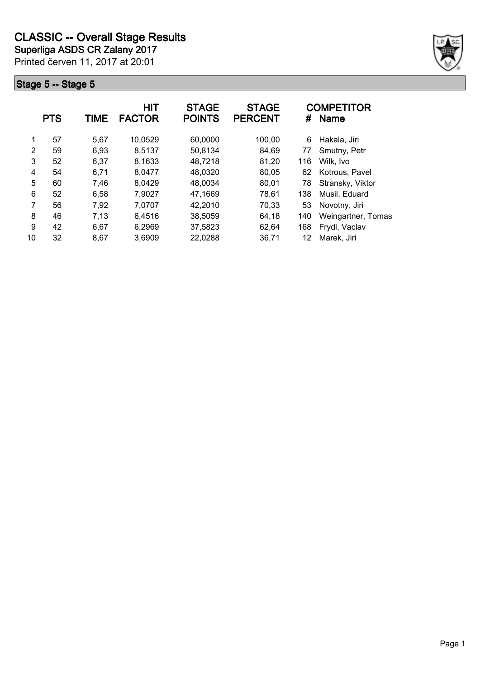

|    | <b>PTS</b> | TIME | <b>HIT</b><br><b>FACTOR</b> | <b>STAGE</b><br><b>POINTS</b> | <b>STAGE</b><br><b>PERCENT</b> | #   | <b>COMPETITOR</b><br><b>Name</b> |
|----|------------|------|-----------------------------|-------------------------------|--------------------------------|-----|----------------------------------|
| 1  | 57         | 5,67 | 10,0529                     | 60,0000                       | 100,00                         | 6   | Hakala, Jiri                     |
| 2  | 59         | 6,93 | 8,5137                      | 50,8134                       | 84,69                          | 77  | Smutny, Petr                     |
| 3  | 52         | 6,37 | 8,1633                      | 48,7218                       | 81,20                          | 116 | Wilk, Ivo                        |
| 4  | 54         | 6,71 | 8,0477                      | 48,0320                       | 80,05                          | 62  | Kotrous, Pavel                   |
| 5  | 60         | 7,46 | 8,0429                      | 48,0034                       | 80,01                          | 78  | Stransky, Viktor                 |
| 6  | 52         | 6,58 | 7,9027                      | 47,1669                       | 78,61                          | 138 | Musil, Eduard                    |
| 7  | 56         | 7,92 | 7,0707                      | 42,2010                       | 70,33                          | 53  | Novotny, Jiri                    |
| 8  | 46         | 7,13 | 6,4516                      | 38,5059                       | 64,18                          | 140 | Weingartner, Tomas               |
| 9  | 42         | 6,67 | 6,2969                      | 37,5823                       | 62,64                          | 168 | Frydl, Vaclav                    |
| 10 | 32         | 8,67 | 3,6909                      | 22,0288                       | 36,71                          | 12  | Marek, Jiri                      |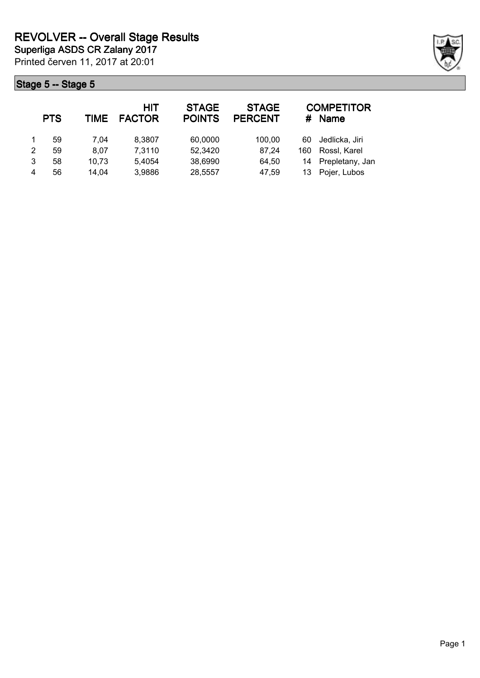|   | <b>PTS</b> | TIME  | <b>HIT</b><br><b>FACTOR</b> | <b>STAGE</b><br><b>POINTS</b> | <b>STAGE</b><br><b>PERCENT</b> | #   | <b>COMPETITOR</b><br><b>Name</b> |
|---|------------|-------|-----------------------------|-------------------------------|--------------------------------|-----|----------------------------------|
|   | 59         | 7.04  | 8,3807                      | 60,0000                       | 100,00                         | 60  | Jedlicka, Jiri                   |
| 2 | 59         | 8.07  | 7,3110                      | 52,3420                       | 87,24                          | 160 | Rossl, Karel                     |
| 3 | 58         | 10,73 | 5.4054                      | 38,6990                       | 64,50                          | 14  | Prepletany, Jan                  |
| 4 | 56         | 14,04 | 3,9886                      | 28,5557                       | 47,59                          | 13  | Pojer, Lubos                     |

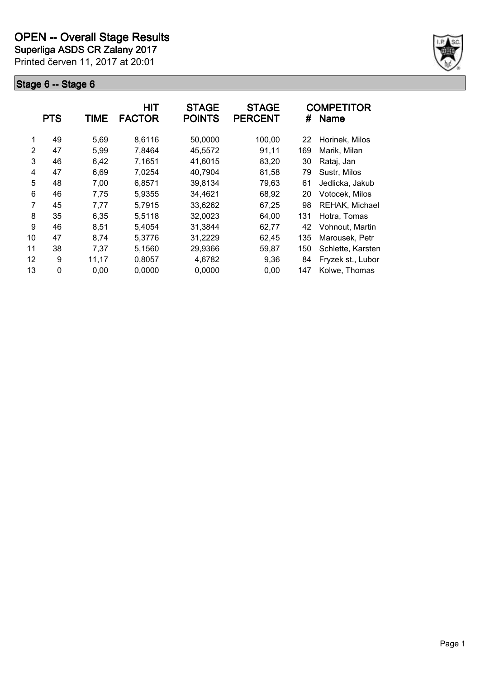**Superliga ASDS CR Zalany 2017**

Printed červen 11, 2017 at 20:01



|    | <b>PTS</b> | TIME  | <b>HIT</b><br><b>FACTOR</b> | <b>STAGE</b><br><b>POINTS</b> | <b>STAGE</b><br><b>PERCENT</b> | #   | <b>COMPETITOR</b><br><b>Name</b> |
|----|------------|-------|-----------------------------|-------------------------------|--------------------------------|-----|----------------------------------|
| 1  | 49         | 5,69  | 8,6116                      | 50,0000                       | 100,00                         | 22  | Horinek, Milos                   |
| 2  | 47         | 5,99  | 7,8464                      | 45,5572                       | 91,11                          | 169 | Marik, Milan                     |
| 3  | 46         | 6,42  | 7,1651                      | 41,6015                       | 83,20                          | 30  | Rataj, Jan                       |
| 4  | 47         | 6,69  | 7,0254                      | 40,7904                       | 81,58                          | 79  | Sustr, Milos                     |
| 5  | 48         | 7,00  | 6,8571                      | 39,8134                       | 79,63                          | 61  | Jedlicka, Jakub                  |
| 6  | 46         | 7,75  | 5,9355                      | 34,4621                       | 68,92                          | 20  | Votocek, Milos                   |
| 7  | 45         | 7,77  | 5,7915                      | 33,6262                       | 67,25                          | 98  | REHAK, Michael                   |
| 8  | 35         | 6,35  | 5,5118                      | 32,0023                       | 64,00                          | 131 | Hotra, Tomas                     |
| 9  | 46         | 8,51  | 5,4054                      | 31,3844                       | 62,77                          | 42  | Vohnout, Martin                  |
| 10 | 47         | 8,74  | 5,3776                      | 31,2229                       | 62,45                          | 135 | Marousek, Petr                   |
| 11 | 38         | 7,37  | 5,1560                      | 29,9366                       | 59,87                          | 150 | Schlette, Karsten                |
| 12 | 9          | 11,17 | 0,8057                      | 4,6782                        | 9,36                           | 84  | Fryzek st., Lubor                |
| 13 | 0          | 0,00  | 0,0000                      | 0,0000                        | 0,00                           | 147 | Kolwe, Thomas                    |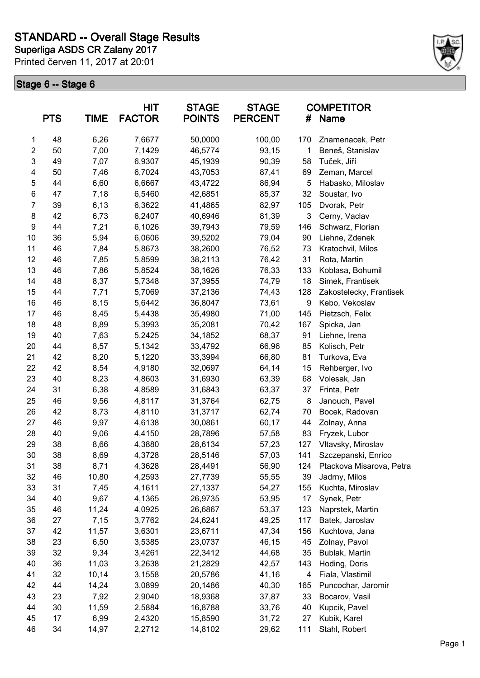

|                | <b>PTS</b> | <b>TIME</b> | <b>HIT</b><br><b>FACTOR</b> | <b>STAGE</b><br><b>POINTS</b> | <b>STAGE</b><br><b>PERCENT</b> | #   | <b>COMPETITOR</b><br>Name |
|----------------|------------|-------------|-----------------------------|-------------------------------|--------------------------------|-----|---------------------------|
| 1              | 48         | 6,26        | 7,6677                      | 50,0000                       | 100,00                         | 170 | Znamenacek, Petr          |
| $\overline{c}$ | 50         | 7,00        | 7,1429                      | 46,5774                       | 93,15                          | 1   | Beneš, Stanislav          |
| 3              | 49         | 7,07        | 6,9307                      | 45,1939                       | 90,39                          | 58  | Tuček, Jiří               |
| 4              | 50         | 7,46        | 6,7024                      | 43,7053                       | 87,41                          | 69  | Zeman, Marcel             |
| 5              | 44         | 6,60        | 6,6667                      | 43,4722                       | 86,94                          | 5   | Habasko, Miloslav         |
| 6              | 47         | 7,18        | 6,5460                      | 42,6851                       | 85,37                          | 32  | Soustar, Ivo              |
| $\overline{7}$ | 39         | 6,13        | 6,3622                      | 41,4865                       | 82,97                          | 105 | Dvorak, Petr              |
| 8              | 42         | 6,73        | 6,2407                      | 40,6946                       | 81,39                          | 3   | Cerny, Vaclav             |
| 9              | 44         | 7,21        | 6,1026                      | 39,7943                       | 79,59                          | 146 | Schwarz, Florian          |
| 10             | 36         | 5,94        | 6,0606                      | 39,5202                       | 79,04                          | 90  | Liehne, Zdenek            |
| 11             | 46         | 7,84        | 5,8673                      | 38,2600                       | 76,52                          | 73  | Kratochvil, Milos         |
| 12             | 46         | 7,85        | 5,8599                      | 38,2113                       | 76,42                          | 31  | Rota, Martin              |
| 13             | 46         | 7,86        | 5,8524                      | 38,1626                       | 76,33                          | 133 | Koblasa, Bohumil          |
| 14             | 48         | 8,37        | 5,7348                      | 37,3955                       | 74,79                          | 18  | Simek, Frantisek          |
| 15             | 44         | 7,71        | 5,7069                      | 37,2136                       | 74,43                          | 128 | Zakostelecky, Frantisek   |
| 16             | 46         | 8,15        | 5,6442                      | 36,8047                       | 73,61                          | 9   | Kebo, Vekoslav            |
| 17             | 46         | 8,45        | 5,4438                      | 35,4980                       | 71,00                          | 145 | Pietzsch, Felix           |
| 18             | 48         | 8,89        | 5,3993                      | 35,2081                       | 70,42                          | 167 | Spicka, Jan               |
| 19             | 40         | 7,63        | 5,2425                      | 34,1852                       | 68,37                          | 91  | Liehne, Irena             |
| 20             | 44         | 8,57        | 5,1342                      | 33,4792                       | 66,96                          | 85  | Kolisch, Petr             |
| 21             | 42         | 8,20        | 5,1220                      | 33,3994                       | 66,80                          | 81  | Turkova, Eva              |
| 22             | 42         | 8,54        | 4,9180                      | 32,0697                       | 64,14                          | 15  | Rehberger, Ivo            |
| 23             | 40         | 8,23        | 4,8603                      | 31,6930                       | 63,39                          | 68  | Volesak, Jan              |
| 24             | 31         | 6,38        | 4,8589                      | 31,6843                       | 63,37                          | 37  | Frinta, Petr              |
| 25             | 46         | 9,56        | 4,8117                      | 31,3764                       | 62,75                          | 8   | Janouch, Pavel            |
| 26             | 42         | 8,73        | 4,8110                      | 31,3717                       | 62,74                          | 70  | Bocek, Radovan            |
| 27             | 46         | 9,97        | 4,6138                      | 30,0861                       | 60,17                          | 44  | Zolnay, Anna              |
| 28             | 40         | 9,06        | 4,4150                      | 28,7896                       | 57,58                          | 83  | Fryzek, Lubor             |
| 29             | 38         | 8,66        | 4,3880                      | 28,6134                       | 57,23                          | 127 | Vltavsky, Miroslav        |
| 30             | 38         | 8,69        | 4,3728                      | 28,5146                       | 57,03                          | 141 | Szczepanski, Enrico       |
| 31             | 38         | 8,71        | 4,3628                      | 28,4491                       | 56,90                          | 124 | Ptackova Misarova, Petra  |
| 32             | 46         | 10,80       | 4,2593                      | 27,7739                       | 55,55                          | 39  | Jadrny, Milos             |
| 33             | 31         | 7,45        | 4,1611                      | 27,1337                       | 54,27                          | 155 | Kuchta, Miroslav          |
| 34             | 40         | 9,67        | 4,1365                      | 26,9735                       | 53,95                          | 17  | Synek, Petr               |
| 35             | 46         | 11,24       | 4,0925                      | 26,6867                       | 53,37                          | 123 | Naprstek, Martin          |
| 36             | 27         | 7,15        | 3,7762                      | 24,6241                       | 49,25                          | 117 | Batek, Jaroslav           |
| 37             | 42         | 11,57       | 3,6301                      | 23,6711                       | 47,34                          | 156 | Kuchtova, Jana            |
| 38             | 23         | 6,50        | 3,5385                      | 23,0737                       | 46,15                          | 45  | Zolnay, Pavol             |
| 39             | 32         | 9,34        | 3,4261                      | 22,3412                       | 44,68                          | 35  | Bublak, Martin            |
| 40             | 36         | 11,03       | 3,2638                      | 21,2829                       | 42,57                          | 143 | Hoding, Doris             |
| 41             | 32         | 10,14       | 3,1558                      | 20,5786                       | 41,16                          | 4   | Fiala, Vlastimil          |
| 42             | 44         | 14,24       | 3,0899                      | 20,1486                       | 40,30                          | 165 | Puncochar, Jaromir        |
| 43             | 23         | 7,92        | 2,9040                      | 18,9368                       | 37,87                          | 33  | Bocarov, Vasil            |
| 44             | 30         | 11,59       | 2,5884                      | 16,8788                       | 33,76                          | 40  | Kupcik, Pavel             |
| 45             | 17         | 6,99        | 2,4320                      | 15,8590                       | 31,72                          | 27  | Kubik, Karel              |
| 46             | 34         | 14,97       | 2,2712                      | 14,8102                       | 29,62                          | 111 | Stahl, Robert             |
|                |            |             |                             |                               |                                |     |                           |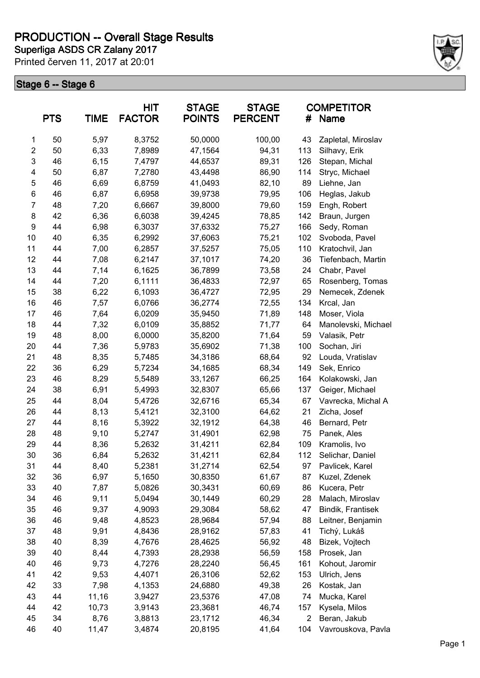**Superliga ASDS CR Zalany 2017 PRODUCTION -- Overall Stage Results**

Printed červen 11, 2017 at 20:01



| <b>PTS</b>     |    | HIT<br><b>FACTOR</b><br><b>TIME</b> |        | <b>STAGE</b><br><b>POINTS</b> | <b>STAGE</b><br><b>PERCENT</b> | <b>COMPETITOR</b><br><b>Name</b><br># |                     |  |
|----------------|----|-------------------------------------|--------|-------------------------------|--------------------------------|---------------------------------------|---------------------|--|
| 1              | 50 | 5,97                                | 8,3752 | 50,0000                       | 100,00                         | 43                                    | Zapletal, Miroslav  |  |
| $\overline{2}$ | 50 | 6,33                                | 7,8989 | 47,1564                       | 94,31                          | 113                                   | Silhavy, Erik       |  |
| $\mathsf 3$    | 46 | 6, 15                               | 7,4797 | 44,6537                       | 89,31                          | 126                                   | Stepan, Michal      |  |
| 4              | 50 | 6,87                                | 7,2780 | 43,4498                       | 86,90                          | 114                                   | Stryc, Michael      |  |
| 5              | 46 | 6,69                                | 6,8759 | 41,0493                       | 82,10                          | 89                                    | Liehne, Jan         |  |
| 6              | 46 | 6,87                                | 6,6958 | 39,9738                       | 79,95                          | 106                                   | Heglas, Jakub       |  |
| $\overline{7}$ | 48 | 7,20                                | 6,6667 | 39,8000                       | 79,60                          | 159                                   | Engh, Robert        |  |
| 8              | 42 | 6,36                                | 6,6038 | 39,4245                       | 78,85                          | 142                                   | Braun, Jurgen       |  |
| 9              | 44 | 6,98                                | 6,3037 | 37,6332                       | 75,27                          | 166                                   | Sedy, Roman         |  |
| 10             | 40 | 6,35                                | 6,2992 | 37,6063                       | 75,21                          | 102                                   | Svoboda, Pavel      |  |
| 11             | 44 | 7,00                                | 6,2857 | 37,5257                       | 75,05                          | 110                                   | Kratochvil, Jan     |  |
| 12             | 44 | 7,08                                | 6,2147 | 37,1017                       | 74,20                          | 36                                    | Tiefenbach, Martin  |  |
| 13             | 44 | 7,14                                | 6,1625 | 36,7899                       | 73,58                          | 24                                    | Chabr, Pavel        |  |
| 14             | 44 | 7,20                                | 6,1111 | 36,4833                       | 72,97                          | 65                                    | Rosenberg, Tomas    |  |
| 15             | 38 | 6,22                                | 6,1093 | 36,4727                       | 72,95                          | 29                                    | Nemecek, Zdenek     |  |
| 16             | 46 | 7,57                                | 6,0766 | 36,2774                       | 72,55                          | 134                                   | Krcal, Jan          |  |
| 17             | 46 | 7,64                                | 6,0209 | 35,9450                       | 71,89                          | 148                                   | Moser, Viola        |  |
| 18             | 44 | 7,32                                | 6,0109 | 35,8852                       | 71,77                          | 64                                    | Manolevski, Michael |  |
| 19             | 48 | 8,00                                | 6,0000 | 35,8200                       | 71,64                          | 59                                    | Valasik, Petr       |  |
| 20             | 44 | 7,36                                | 5,9783 | 35,6902                       | 71,38                          | 100                                   | Sochan, Jiri        |  |
| 21             | 48 | 8,35                                | 5,7485 | 34,3186                       | 68,64                          | 92                                    | Louda, Vratislav    |  |
| 22             | 36 | 6,29                                | 5,7234 | 34,1685                       | 68,34                          | 149                                   | Sek, Enrico         |  |
| 23             | 46 | 8,29                                | 5,5489 | 33,1267                       | 66,25                          | 164                                   | Kolakowski, Jan     |  |
| 24             | 38 | 6,91                                | 5,4993 | 32,8307                       | 65,66                          | 137                                   | Geiger, Michael     |  |
| 25             | 44 | 8,04                                | 5,4726 | 32,6716                       | 65,34                          | 67                                    | Vavrecka, Michal A  |  |
| 26             | 44 | 8,13                                | 5,4121 | 32,3100                       | 64,62                          | 21                                    | Zicha, Josef        |  |
| 27             | 44 | 8,16                                | 5,3922 | 32,1912                       | 64,38                          | 46                                    | Bernard, Petr       |  |
| 28             | 48 | 9,10                                | 5,2747 | 31,4901                       | 62,98                          | 75                                    | Panek, Ales         |  |
| 29             | 44 | 8,36                                | 5,2632 | 31,4211                       | 62,84                          | 109                                   | Kramolis, Ivo       |  |
| 30             | 36 | 6,84                                | 5,2632 | 31,4211                       | 62,84                          | 112                                   | Selichar, Daniel    |  |
| 31             | 44 | 8,40                                | 5,2381 | 31,2714                       | 62,54                          | 97                                    | Pavlicek, Karel     |  |
| 32             | 36 | 6,97                                | 5,1650 | 30,8350                       | 61,67                          | 87                                    | Kuzel, Zdenek       |  |
| 33             | 40 | 7,87                                | 5,0826 | 30,3431                       | 60,69                          | 86                                    | Kucera, Petr        |  |
| 34             | 46 | 9,11                                | 5,0494 | 30,1449                       | 60,29                          | 28                                    | Malach, Miroslav    |  |
| 35             | 46 | 9,37                                | 4,9093 | 29,3084                       | 58,62                          | 47                                    | Bindik, Frantisek   |  |
| 36             | 46 | 9,48                                | 4,8523 | 28,9684                       | 57,94                          | 88                                    | Leitner, Benjamin   |  |
| 37             | 48 | 9,91                                | 4,8436 | 28,9162                       | 57,83                          | 41                                    | Tichý, Lukáš        |  |
| 38             | 40 | 8,39                                | 4,7676 | 28,4625                       | 56,92                          | 48                                    | Bizek, Vojtech      |  |
| 39             | 40 | 8,44                                | 4,7393 | 28,2938                       | 56,59                          | 158                                   | Prosek, Jan         |  |
| 40             | 46 | 9,73                                | 4,7276 | 28,2240                       | 56,45                          | 161                                   | Kohout, Jaromir     |  |
| 41             | 42 | 9,53                                | 4,4071 | 26,3106                       | 52,62                          | 153                                   | Ulrich, Jens        |  |
|                |    |                                     |        |                               |                                |                                       |                     |  |
| 42             | 33 | 7,98                                | 4,1353 | 24,6880                       | 49,38                          | 26<br>74                              | Kostak, Jan         |  |
| 43             | 44 | 11,16                               | 3,9427 | 23,5376                       | 47,08                          |                                       | Mucka, Karel        |  |
| 44             | 42 | 10,73                               | 3,9143 | 23,3681                       | 46,74                          | 157                                   | Kysela, Milos       |  |
| 45             | 34 | 8,76                                | 3,8813 | 23,1712                       | 46,34                          | $\overline{2}$                        | Beran, Jakub        |  |
| 46             | 40 | 11,47                               | 3,4874 | 20,8195                       | 41,64                          | 104                                   | Vavrouskova, Pavla  |  |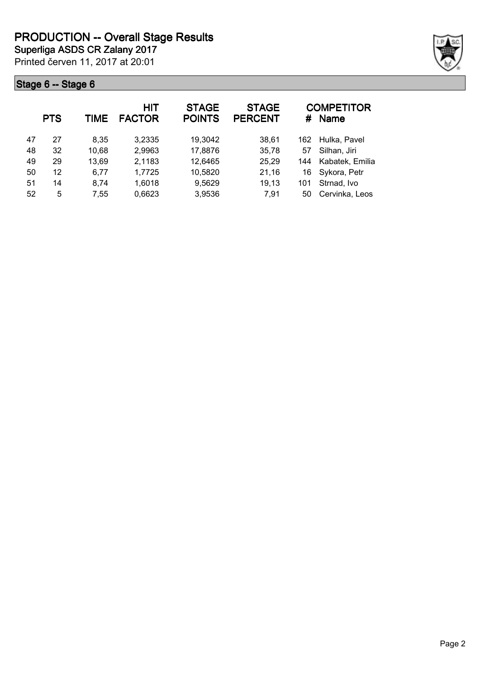

|    | <b>PTS</b> | TIME  | HIT<br><b>FACTOR</b> | <b>STAGE</b><br><b>POINTS</b> | <b>STAGE</b><br><b>PERCENT</b> | #   | <b>COMPETITOR</b><br><b>Name</b> |
|----|------------|-------|----------------------|-------------------------------|--------------------------------|-----|----------------------------------|
| 47 | 27         | 8,35  | 3,2335               | 19,3042                       | 38,61                          | 162 | Hulka, Pavel                     |
| 48 | 32         | 10,68 | 2,9963               | 17,8876                       | 35,78                          | 57  | Silhan, Jiri                     |
| 49 | 29         | 13,69 | 2,1183               | 12,6465                       | 25,29                          | 144 | Kabatek, Emilia                  |
| 50 | 12         | 6,77  | 1,7725               | 10,5820                       | 21,16                          | 16  | Sykora, Petr                     |
| 51 | 14         | 8,74  | 1,6018               | 9,5629                        | 19,13                          | 101 | Strnad, Ivo                      |
| 52 | 5          | 7,55  | 0,6623               | 3,9536                        | 7,91                           | 50  | Cervinka, Leos                   |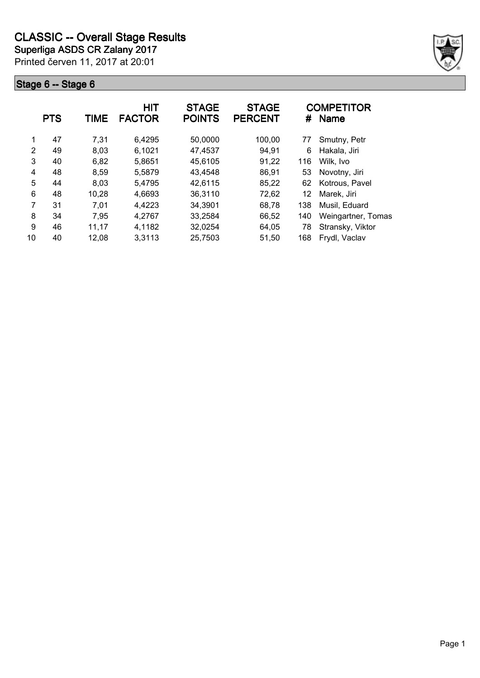

|               | <b>PTS</b> | <b>TIME</b> | <b>HIT</b><br><b>FACTOR</b> | <b>STAGE</b><br><b>POINTS</b> | <b>STAGE</b><br><b>PERCENT</b> | #   | <b>COMPETITOR</b><br>Name |
|---------------|------------|-------------|-----------------------------|-------------------------------|--------------------------------|-----|---------------------------|
| 1             | 47         | 7,31        | 6,4295                      | 50,0000                       | 100,00                         | 77  | Smutny, Petr              |
| $\mathcal{P}$ | 49         | 8,03        | 6,1021                      | 47,4537                       | 94,91                          | 6   | Hakala, Jiri              |
| 3             | 40         | 6,82        | 5,8651                      | 45,6105                       | 91,22                          | 116 | Wilk, Ivo                 |
| 4             | 48         | 8,59        | 5,5879                      | 43,4548                       | 86,91                          | 53  | Novotny, Jiri             |
| 5             | 44         | 8,03        | 5,4795                      | 42,6115                       | 85,22                          | 62  | Kotrous, Pavel            |
| 6             | 48         | 10,28       | 4,6693                      | 36,3110                       | 72,62                          | 12  | Marek, Jiri               |
| 7             | 31         | 7,01        | 4,4223                      | 34,3901                       | 68,78                          | 138 | Musil, Eduard             |
| 8             | 34         | 7,95        | 4,2767                      | 33,2584                       | 66,52                          | 140 | Weingartner, Tomas        |
| 9             | 46         | 11,17       | 4,1182                      | 32,0254                       | 64,05                          | 78  | Stransky, Viktor          |
| 10            | 40         | 12,08       | 3,3113                      | 25,7503                       | 51,50                          | 168 | Frydl, Vaclav             |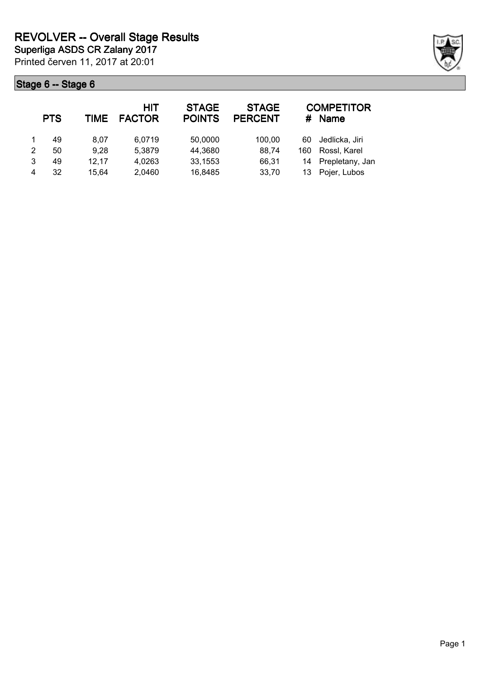|   | <b>PTS</b> | TIME  | <b>HIT</b><br><b>FACTOR</b> | <b>STAGE</b><br><b>POINTS</b> | <b>STAGE</b><br><b>PERCENT</b> | #   | <b>COMPETITOR</b><br><b>Name</b> |
|---|------------|-------|-----------------------------|-------------------------------|--------------------------------|-----|----------------------------------|
|   | 49         | 8.07  | 6,0719                      | 50,0000                       | 100,00                         | 60  | Jedlicka, Jiri                   |
| 2 | 50         | 9,28  | 5,3879                      | 44,3680                       | 88,74                          | 160 | Rossl, Karel                     |
| 3 | 49         | 12.17 | 4,0263                      | 33,1553                       | 66,31                          | 14  | Prepletany, Jan                  |
| 4 | 32         | 15.64 | 2,0460                      | 16,8485                       | 33,70                          | 13  | Pojer, Lubos                     |

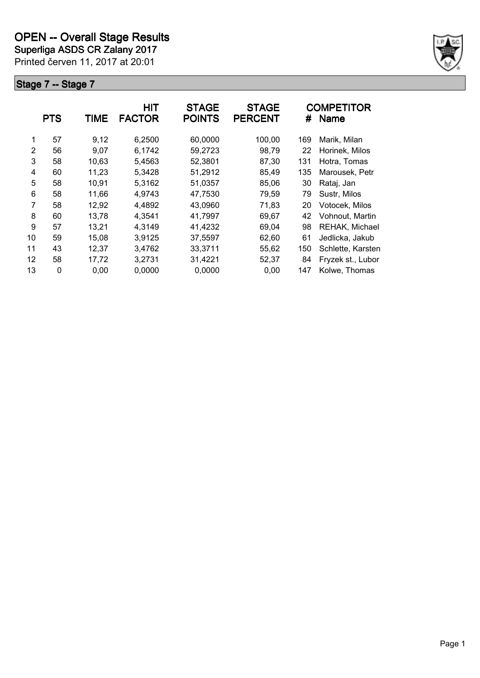Printed červen 11, 2017 at 20:01 **Superliga ASDS CR Zalany 2017**



|    | <b>PTS</b> | <b>TIME</b> | <b>HIT</b><br><b>FACTOR</b> | <b>STAGE</b><br><b>POINTS</b> | <b>STAGE</b><br><b>PERCENT</b> | #   | <b>COMPETITOR</b><br><b>Name</b> |
|----|------------|-------------|-----------------------------|-------------------------------|--------------------------------|-----|----------------------------------|
| 1  | 57         | 9,12        | 6,2500                      | 60,0000                       | 100,00                         | 169 | Marik, Milan                     |
| 2  | 56         | 9,07        | 6.1742                      | 59,2723                       | 98,79                          | 22  | Horinek, Milos                   |
| 3  | 58         | 10,63       | 5,4563                      | 52,3801                       | 87,30                          | 131 | Hotra, Tomas                     |
| 4  | 60         | 11,23       | 5,3428                      | 51,2912                       | 85,49                          | 135 | Marousek, Petr                   |
| 5  | 58         | 10,91       | 5,3162                      | 51,0357                       | 85,06                          | 30  | Rataj, Jan                       |
| 6  | 58         | 11,66       | 4.9743                      | 47,7530                       | 79,59                          | 79  | Sustr, Milos                     |
| 7  | 58         | 12,92       | 4,4892                      | 43,0960                       | 71,83                          | 20  | Votocek, Milos                   |
| 8  | 60         | 13,78       | 4,3541                      | 41,7997                       | 69,67                          | 42  | Vohnout, Martin                  |
| 9  | 57         | 13,21       | 4,3149                      | 41,4232                       | 69,04                          | 98  | REHAK, Michael                   |
| 10 | 59         | 15,08       | 3,9125                      | 37,5597                       | 62,60                          | 61  | Jedlicka, Jakub                  |
| 11 | 43         | 12,37       | 3,4762                      | 33,3711                       | 55,62                          | 150 | Schlette, Karsten                |
| 12 | 58         | 17,72       | 3,2731                      | 31,4221                       | 52,37                          | 84  | Fryzek st., Lubor                |
| 13 | 0          | 0,00        | 0,0000                      | 0,0000                        | 0,00                           | 147 | Kolwe, Thomas                    |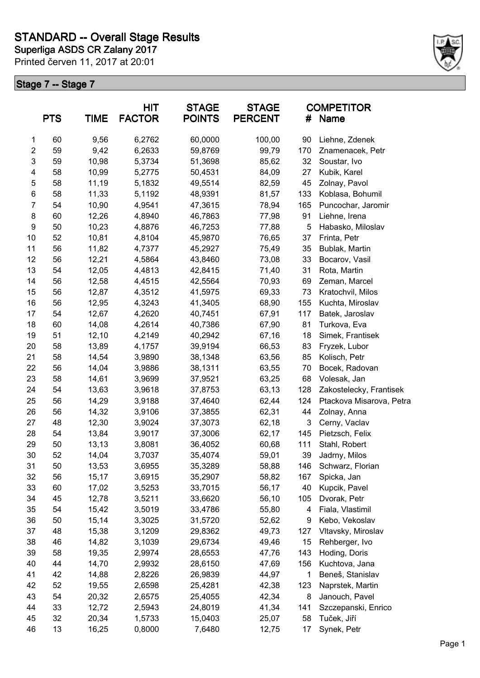

|                         | <b>PTS</b> | <b>TIME</b> | HIT<br><b>FACTOR</b> | <b>STAGE</b><br><b>POINTS</b> | <b>STAGE</b><br><b>PERCENT</b> | #   | <b>COMPETITOR</b><br>Name |
|-------------------------|------------|-------------|----------------------|-------------------------------|--------------------------------|-----|---------------------------|
| 1                       | 60         | 9,56        | 6,2762               | 60,0000                       | 100,00                         | 90  | Liehne, Zdenek            |
| $\overline{\mathbf{c}}$ | 59         | 9,42        | 6,2633               | 59,8769                       | 99,79                          | 170 | Znamenacek, Petr          |
| 3                       | 59         | 10,98       | 5,3734               | 51,3698                       | 85,62                          | 32  | Soustar, Ivo              |
| 4                       | 58         | 10,99       | 5,2775               | 50,4531                       | 84,09                          | 27  | Kubik, Karel              |
| 5                       | 58         | 11,19       | 5,1832               | 49,5514                       | 82,59                          | 45  | Zolnay, Pavol             |
| $\,6$                   | 58         | 11,33       | 5,1192               | 48,9391                       | 81,57                          | 133 | Koblasa, Bohumil          |
| $\overline{7}$          | 54         | 10,90       | 4,9541               | 47,3615                       | 78,94                          | 165 | Puncochar, Jaromir        |
| 8                       | 60         | 12,26       | 4,8940               | 46,7863                       | 77,98                          | 91  | Liehne, Irena             |
| 9                       | 50         | 10,23       | 4,8876               | 46,7253                       | 77,88                          | 5   | Habasko, Miloslav         |
| 10                      | 52         | 10,81       | 4,8104               | 45,9870                       | 76,65                          | 37  | Frinta, Petr              |
| 11                      | 56         | 11,82       | 4,7377               | 45,2927                       | 75,49                          | 35  | Bublak, Martin            |
| 12                      | 56         | 12,21       | 4,5864               | 43,8460                       | 73,08                          | 33  | Bocarov, Vasil            |
| 13                      | 54         | 12,05       | 4,4813               | 42,8415                       | 71,40                          | 31  | Rota, Martin              |
| 14                      | 56         | 12,58       | 4,4515               | 42,5564                       | 70,93                          | 69  | Zeman, Marcel             |
| 15                      | 56         | 12,87       | 4,3512               | 41,5975                       | 69,33                          | 73  | Kratochvil, Milos         |
| 16                      | 56         | 12,95       | 4,3243               | 41,3405                       | 68,90                          | 155 | Kuchta, Miroslav          |
| 17                      | 54         | 12,67       | 4,2620               | 40,7451                       | 67,91                          | 117 | Batek, Jaroslav           |
| 18                      | 60         | 14,08       | 4,2614               | 40,7386                       | 67,90                          | 81  | Turkova, Eva              |
| 19                      | 51         | 12,10       | 4,2149               | 40,2942                       | 67,16                          | 18  | Simek, Frantisek          |
| 20                      | 58         | 13,89       | 4,1757               | 39,9194                       | 66,53                          | 83  | Fryzek, Lubor             |
| 21                      | 58         | 14,54       | 3,9890               | 38,1348                       | 63,56                          | 85  | Kolisch, Petr             |
| 22                      | 56         | 14,04       | 3,9886               | 38,1311                       | 63,55                          | 70  | Bocek, Radovan            |
| 23                      | 58         | 14,61       | 3,9699               | 37,9521                       | 63,25                          | 68  | Volesak, Jan              |
| 24                      | 54         | 13,63       | 3,9618               | 37,8753                       | 63,13                          | 128 | Zakostelecky, Frantisek   |
| 25                      | 56         | 14,29       | 3,9188               | 37,4640                       | 62,44                          | 124 | Ptackova Misarova, Petra  |
| 26                      | 56         | 14,32       | 3,9106               | 37,3855                       | 62,31                          | 44  | Zolnay, Anna              |
| 27                      | 48         | 12,30       | 3,9024               | 37,3073                       | 62,18                          | 3   | Cerny, Vaclav             |
| 28                      | 54         | 13,84       | 3,9017               | 37,3006                       | 62,17                          | 145 | Pietzsch, Felix           |
| 29                      | 50         | 13,13       | 3,8081               | 36,4052                       | 60,68                          | 111 | Stahl, Robert             |
| 30                      | 52         | 14,04       | 3,7037               | 35,4074                       | 59,01                          | 39  | Jadrny, Milos             |
| 31                      | 50         | 13,53       | 3,6955               | 35,3289                       | 58,88                          | 146 | Schwarz, Florian          |
| 32                      | 56         | 15,17       | 3,6915               | 35,2907                       | 58,82                          | 167 | Spicka, Jan               |
| 33                      | 60         | 17,02       | 3,5253               | 33,7015                       | 56,17                          | 40  | Kupcik, Pavel             |
| 34                      | 45         | 12,78       | 3,5211               | 33,6620                       | 56,10                          | 105 | Dvorak, Petr              |
| 35                      | 54         | 15,42       | 3,5019               | 33,4786                       | 55,80                          | 4   | Fiala, Vlastimil          |
| 36                      | 50         | 15,14       | 3,3025               | 31,5720                       | 52,62                          | 9   | Kebo, Vekoslav            |
| 37                      | 48         | 15,38       | 3,1209               | 29,8362                       | 49,73                          | 127 | Vltavsky, Miroslav        |
| 38                      | 46         | 14,82       | 3,1039               | 29,6734                       | 49,46                          | 15  | Rehberger, Ivo            |
| 39                      | 58         | 19,35       | 2,9974               | 28,6553                       | 47,76                          | 143 | Hoding, Doris             |
| 40                      | 44         | 14,70       | 2,9932               | 28,6150                       | 47,69                          | 156 | Kuchtova, Jana            |
| 41                      | 42         | 14,88       | 2,8226               | 26,9839                       | 44,97                          | 1   | Beneš, Stanislav          |
| 42                      | 52         | 19,55       | 2,6598               | 25,4281                       | 42,38                          | 123 | Naprstek, Martin          |
| 43                      | 54         | 20,32       | 2,6575               | 25,4055                       | 42,34                          | 8   | Janouch, Pavel            |
| 44                      | 33         | 12,72       | 2,5943               | 24,8019                       | 41,34                          | 141 | Szczepanski, Enrico       |
| 45                      | 32         | 20,34       | 1,5733               | 15,0403                       | 25,07                          | 58  | Tuček, Jiří               |
| 46                      | 13         | 16,25       | 0,8000               | 7,6480                        | 12,75                          | 17  | Synek, Petr               |
|                         |            |             |                      |                               |                                |     |                           |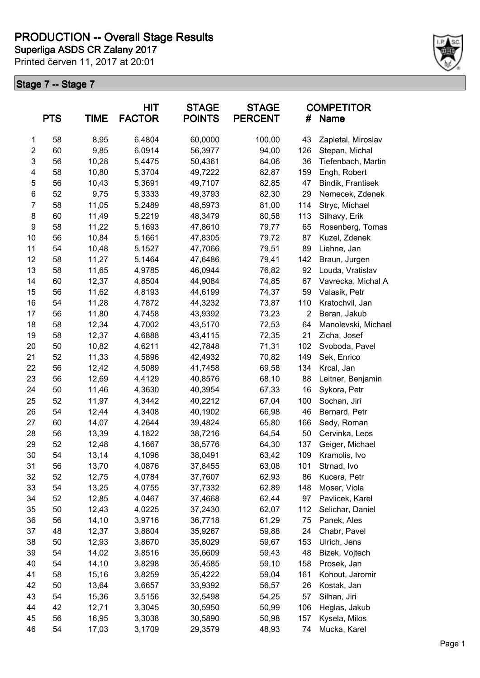**Superliga ASDS CR Zalany 2017 PRODUCTION -- Overall Stage Results**

Printed červen 11, 2017 at 20:01



|                | <b>PTS</b> | <b>TIME</b> | HIT<br><b>FACTOR</b> | <b>STAGE</b><br><b>POINTS</b> | <b>STAGE</b><br><b>PERCENT</b> | #              | <b>COMPETITOR</b><br><b>Name</b> |
|----------------|------------|-------------|----------------------|-------------------------------|--------------------------------|----------------|----------------------------------|
| 1              | 58         | 8,95        | 6,4804               | 60,0000                       | 100,00                         | 43             | Zapletal, Miroslav               |
| $\overline{c}$ | 60         | 9,85        | 6,0914               | 56,3977                       | 94,00                          | 126            | Stepan, Michal                   |
| 3              | 56         | 10,28       | 5,4475               | 50,4361                       | 84,06                          | 36             | Tiefenbach, Martin               |
| 4              | 58         | 10,80       | 5,3704               | 49,7222                       | 82,87                          | 159            | Engh, Robert                     |
| 5              | 56         | 10,43       | 5,3691               | 49,7107                       | 82,85                          | 47             | Bindik, Frantisek                |
| $\,6$          | 52         | 9,75        | 5,3333               | 49,3793                       | 82,30                          | 29             | Nemecek, Zdenek                  |
| $\overline{7}$ | 58         | 11,05       | 5,2489               | 48,5973                       | 81,00                          | 114            | Stryc, Michael                   |
| 8              | 60         | 11,49       | 5,2219               | 48,3479                       | 80,58                          | 113            | Silhavy, Erik                    |
| 9              | 58         | 11,22       | 5,1693               | 47,8610                       | 79,77                          | 65             | Rosenberg, Tomas                 |
| 10             | 56         | 10,84       | 5,1661               | 47,8305                       | 79,72                          | 87             | Kuzel, Zdenek                    |
| 11             | 54         | 10,48       | 5,1527               | 47,7066                       | 79,51                          | 89             | Liehne, Jan                      |
| 12             | 58         | 11,27       | 5,1464               | 47,6486                       | 79,41                          | 142            | Braun, Jurgen                    |
| 13             | 58         | 11,65       | 4,9785               | 46,0944                       | 76,82                          | 92             | Louda, Vratislav                 |
| 14             | 60         | 12,37       | 4,8504               | 44,9084                       | 74,85                          | 67             | Vavrecka, Michal A               |
| 15             | 56         | 11,62       | 4,8193               | 44,6199                       | 74,37                          | 59             | Valasik, Petr                    |
| 16             | 54         | 11,28       | 4,7872               | 44,3232                       | 73,87                          | 110            | Kratochvil, Jan                  |
| 17             | 56         | 11,80       | 4,7458               | 43,9392                       | 73,23                          | $\overline{2}$ | Beran, Jakub                     |
| 18             | 58         | 12,34       | 4,7002               | 43,5170                       | 72,53                          | 64             | Manolevski, Michael              |
| 19             | 58         | 12,37       | 4,6888               | 43,4115                       | 72,35                          | 21             | Zicha, Josef                     |
| 20             | 50         | 10,82       | 4,6211               | 42,7848                       | 71,31                          | 102            | Svoboda, Pavel                   |
| 21             | 52         | 11,33       | 4,5896               | 42,4932                       | 70,82                          | 149            | Sek, Enrico                      |
| 22             | 56         | 12,42       | 4,5089               | 41,7458                       | 69,58                          | 134            | Krcal, Jan                       |
| 23             | 56         | 12,69       | 4,4129               | 40,8576                       | 68,10                          | 88             | Leitner, Benjamin                |
| 24             | 50         | 11,46       | 4,3630               | 40,3954                       | 67,33                          | 16             | Sykora, Petr                     |
| 25             | 52         | 11,97       | 4,3442               | 40,2212                       | 67,04                          | 100            | Sochan, Jiri                     |
| 26             | 54         | 12,44       | 4,3408               | 40,1902                       | 66,98                          | 46             | Bernard, Petr                    |
| 27             | 60         | 14,07       | 4,2644               | 39,4824                       | 65,80                          | 166            | Sedy, Roman                      |
| 28             | 56         | 13,39       | 4,1822               | 38,7216                       | 64,54                          | 50             | Cervinka, Leos                   |
| 29             | 52         | 12,48       | 4,1667               | 38,5776                       | 64,30                          | 137            | Geiger, Michael                  |
| 30             | 54         | 13,14       | 4,1096               | 38,0491                       | 63,42                          | 109            | Kramolis, Ivo                    |
| 31             | 56         | 13,70       | 4,0876               | 37,8455                       | 63,08                          | 101            | Strnad, Ivo                      |
| 32             | 52         | 12,75       | 4,0784               | 37,7607                       | 62,93                          | 86             | Kucera, Petr                     |
| 33             | 54         | 13,25       | 4,0755               | 37,7332                       | 62,89                          | 148            | Moser, Viola                     |
| 34             | 52         | 12,85       | 4,0467               | 37,4668                       | 62,44                          | 97             | Pavlicek, Karel                  |
| 35             | 50         | 12,43       | 4,0225               | 37,2430                       | 62,07                          | 112            | Selichar, Daniel                 |
| 36             | 56         | 14,10       | 3,9716               | 36,7718                       | 61,29                          | 75             | Panek, Ales                      |
| 37             | 48         | 12,37       | 3,8804               | 35,9267                       | 59,88                          | 24             | Chabr, Pavel                     |
| 38             | 50         | 12,93       | 3,8670               | 35,8029                       | 59,67                          | 153            | Ulrich, Jens                     |
| 39             | 54         | 14,02       | 3,8516               | 35,6609                       | 59,43                          | 48             | Bizek, Vojtech                   |
| 40             | 54         | 14,10       | 3,8298               | 35,4585                       | 59,10                          | 158            | Prosek, Jan                      |
| 41             | 58         | 15,16       | 3,8259               | 35,4222                       | 59,04                          | 161            | Kohout, Jaromir                  |
| 42             | 50         | 13,64       | 3,6657               | 33,9392                       | 56,57                          | 26             | Kostak, Jan                      |
| 43             | 54         | 15,36       | 3,5156               | 32,5498                       | 54,25                          | 57             | Silhan, Jiri                     |
| 44             | 42         | 12,71       | 3,3045               | 30,5950                       | 50,99                          | 106            | Heglas, Jakub                    |
| 45             | 56         | 16,95       | 3,3038               | 30,5890                       | 50,98                          | 157            | Kysela, Milos                    |
| 46             | 54         | 17,03       | 3,1709               | 29,3579                       | 48,93                          | 74             | Mucka, Karel                     |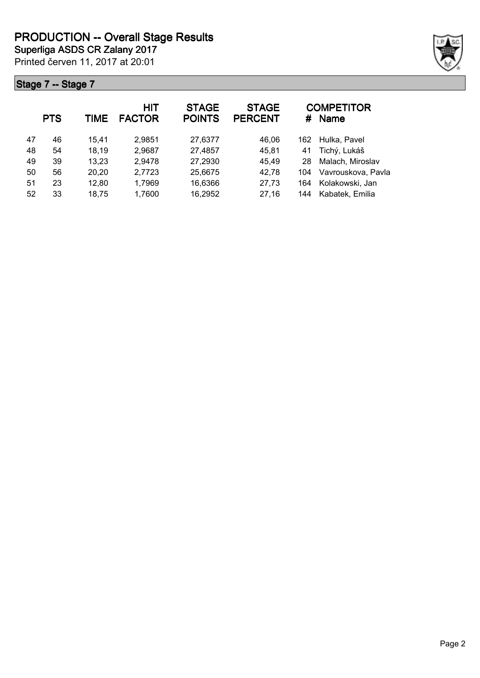

|    | <b>PTS</b> | TIME  | <b>HIT</b><br><b>FACTOR</b> | <b>STAGE</b><br><b>POINTS</b> | <b>STAGE</b><br><b>PERCENT</b> | #   | <b>COMPETITOR</b><br><b>Name</b> |
|----|------------|-------|-----------------------------|-------------------------------|--------------------------------|-----|----------------------------------|
| 47 | 46         | 15.41 | 2,9851                      | 27,6377                       | 46,06                          | 162 | Hulka, Pavel                     |
| 48 | 54         | 18,19 | 2,9687                      | 27,4857                       | 45,81                          | 41  | Tichý, Lukáš                     |
| 49 | 39         | 13,23 | 2,9478                      | 27,2930                       | 45,49                          | 28  | Malach, Miroslav                 |
| 50 | 56         | 20,20 | 2,7723                      | 25,6675                       | 42,78                          | 104 | Vavrouskova, Pavla               |
| 51 | 23         | 12,80 | 1,7969                      | 16,6366                       | 27,73                          | 164 | Kolakowski, Jan                  |
| 52 | 33         | 18,75 | 1,7600                      | 16,2952                       | 27,16                          | 144 | Kabatek, Emilia                  |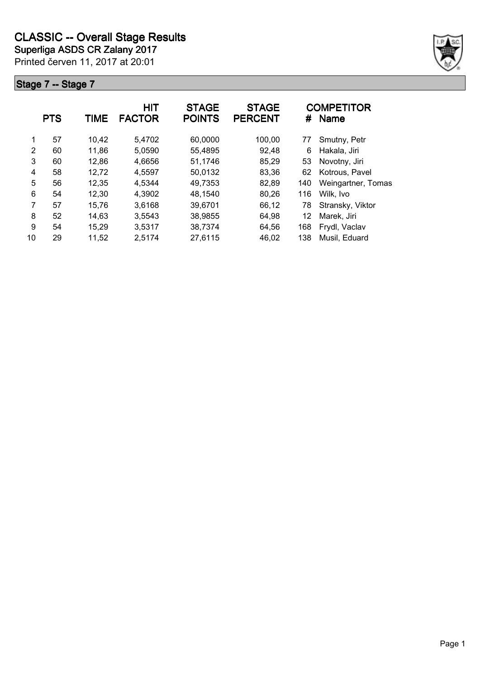

|    | <b>PTS</b> | TIME  | <b>HIT</b><br><b>FACTOR</b> | <b>STAGE</b><br><b>POINTS</b> | <b>STAGE</b><br><b>PERCENT</b> | #   | <b>COMPETITOR</b><br><b>Name</b> |
|----|------------|-------|-----------------------------|-------------------------------|--------------------------------|-----|----------------------------------|
| 1  | 57         | 10,42 | 5,4702                      | 60,0000                       | 100,00                         | 77  | Smutny, Petr                     |
| 2  | 60         | 11,86 | 5,0590                      | 55,4895                       | 92,48                          | 6   | Hakala, Jiri                     |
| 3  | 60         | 12,86 | 4,6656                      | 51,1746                       | 85,29                          | 53  | Novotny, Jiri                    |
| 4  | 58         | 12,72 | 4,5597                      | 50,0132                       | 83,36                          | 62  | Kotrous, Pavel                   |
| 5  | 56         | 12,35 | 4,5344                      | 49,7353                       | 82,89                          | 140 | Weingartner, Tomas               |
| 6  | 54         | 12,30 | 4,3902                      | 48,1540                       | 80,26                          | 116 | Wilk, Ivo                        |
| 7  | 57         | 15,76 | 3,6168                      | 39,6701                       | 66,12                          | 78  | Stransky, Viktor                 |
| 8  | 52         | 14,63 | 3,5543                      | 38,9855                       | 64,98                          | 12  | Marek, Jiri                      |
| 9  | 54         | 15,29 | 3,5317                      | 38,7374                       | 64,56                          | 168 | Frydl, Vaclav                    |
| 10 | 29         | 11,52 | 2,5174                      | 27,6115                       | 46,02                          | 138 | Musil, Eduard                    |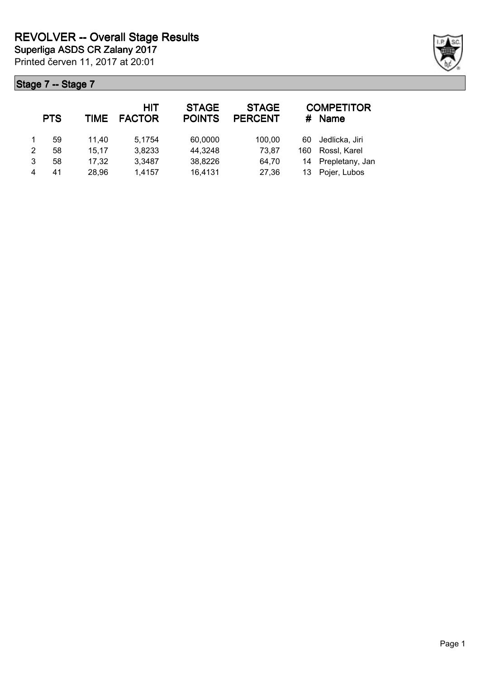|   | <b>PTS</b> | TIME  | HIT<br><b>FACTOR</b> | <b>STAGE</b><br><b>POINTS</b> | <b>STAGE</b><br><b>PERCENT</b> | #   | <b>COMPETITOR</b><br><b>Name</b> |
|---|------------|-------|----------------------|-------------------------------|--------------------------------|-----|----------------------------------|
|   | 59         | 11.40 | 5,1754               | 60,0000                       | 100,00                         | 60  | Jedlicka, Jiri                   |
| 2 | 58         | 15,17 | 3,8233               | 44,3248                       | 73,87                          | 160 | Rossl, Karel                     |
| 3 | 58         | 17,32 | 3,3487               | 38,8226                       | 64,70                          | 14  | Prepletany, Jan                  |
| 4 | 41         | 28,96 | 1,4157               | 16,4131                       | 27,36                          | 13  | Pojer, Lubos                     |

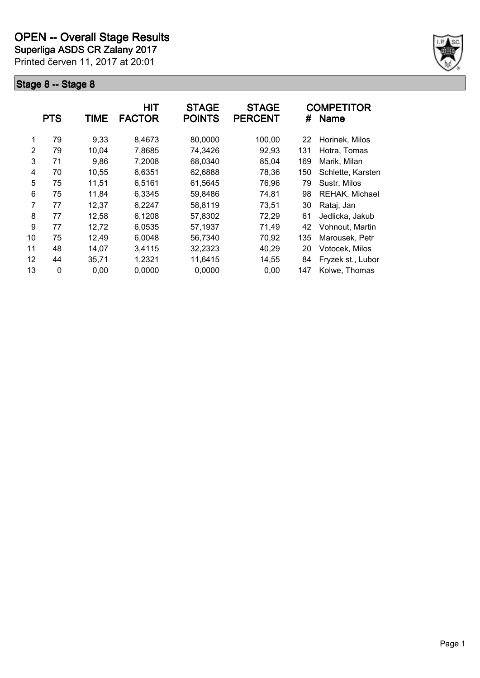**Superliga ASDS CR Zalany 2017**

Printed červen 11, 2017 at 20:01



|    | <b>PTS</b> | TIME  | HIT<br><b>FACTOR</b> | <b>STAGE</b><br><b>POINTS</b> | <b>STAGE</b><br><b>PERCENT</b> | #   | <b>COMPETITOR</b><br><b>Name</b> |
|----|------------|-------|----------------------|-------------------------------|--------------------------------|-----|----------------------------------|
| 1  | 79         | 9,33  | 8,4673               | 80,0000                       | 100,00                         | 22  | Horinek, Milos                   |
| 2  | 79         | 10,04 | 7,8685               | 74,3426                       | 92,93                          | 131 | Hotra, Tomas                     |
| 3  | 71         | 9,86  | 7,2008               | 68,0340                       | 85,04                          | 169 | Marik, Milan                     |
| 4  | 70         | 10,55 | 6,6351               | 62,6888                       | 78,36                          | 150 | Schlette, Karsten                |
| 5  | 75         | 11,51 | 6.5161               | 61,5645                       | 76,96                          | 79  | Sustr, Milos                     |
| 6  | 75         | 11,84 | 6,3345               | 59,8486                       | 74,81                          | 98  | REHAK, Michael                   |
| 7  | 77         | 12,37 | 6,2247               | 58,8119                       | 73,51                          | 30  | Rataj, Jan                       |
| 8  | 77         | 12,58 | 6,1208               | 57,8302                       | 72,29                          | 61  | Jedlicka, Jakub                  |
| 9  | 77         | 12,72 | 6,0535               | 57,1937                       | 71,49                          | 42  | Vohnout, Martin                  |
| 10 | 75         | 12,49 | 6,0048               | 56,7340                       | 70,92                          | 135 | Marousek, Petr                   |
| 11 | 48         | 14,07 | 3,4115               | 32,2323                       | 40,29                          | 20  | Votocek, Milos                   |
| 12 | 44         | 35,71 | 1,2321               | 11,6415                       | 14,55                          | 84  | Fryzek st., Lubor                |
| 13 | 0          | 0,00  | 0,0000               | 0,0000                        | 0,00                           | 147 | Kolwe, Thomas                    |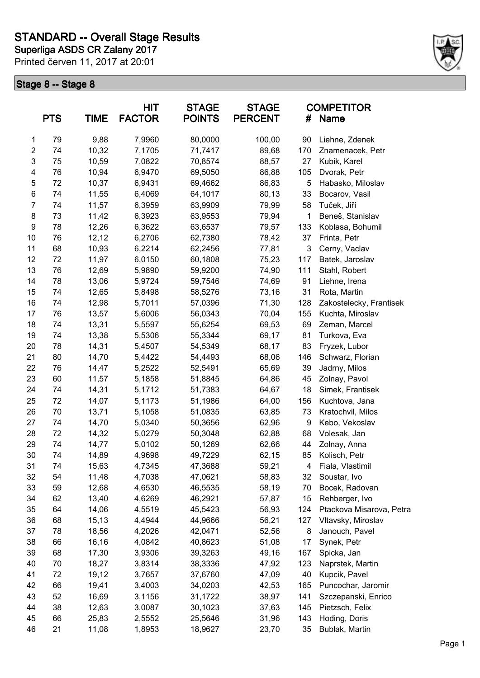

|                  | <b>PTS</b> | <b>TIME</b> | HIT<br><b>FACTOR</b> | <b>STAGE</b><br><b>POINTS</b> | <b>STAGE</b><br><b>PERCENT</b> | #   | <b>COMPETITOR</b><br>Name           |
|------------------|------------|-------------|----------------------|-------------------------------|--------------------------------|-----|-------------------------------------|
| 1                | 79         | 9,88        | 7,9960               | 80,0000                       | 100,00                         | 90  | Liehne, Zdenek                      |
| $\boldsymbol{2}$ | 74         | 10,32       | 7,1705               | 71,7417                       | 89,68                          | 170 | Znamenacek, Petr                    |
| 3                | 75         | 10,59       | 7,0822               | 70,8574                       | 88,57                          | 27  | Kubik, Karel                        |
| 4                | 76         | 10,94       | 6,9470               | 69,5050                       | 86,88                          | 105 | Dvorak, Petr                        |
| 5                | 72         | 10,37       | 6,9431               | 69,4662                       | 86,83                          | 5   | Habasko, Miloslav                   |
| 6                | 74         | 11,55       | 6,4069               | 64,1017                       | 80,13                          | 33  | Bocarov, Vasil                      |
| 7                | 74         | 11,57       | 6,3959               | 63,9909                       | 79,99                          | 58  | Tuček, Jiří                         |
| 8                | 73         | 11,42       | 6,3923               | 63,9553                       | 79,94                          | 1   | Beneš, Stanislav                    |
| 9                | 78         | 12,26       | 6,3622               | 63,6537                       | 79,57                          | 133 | Koblasa, Bohumil                    |
| 10               | 76         | 12,12       | 6,2706               | 62,7380                       | 78,42                          | 37  | Frinta, Petr                        |
| 11               | 68         | 10,93       | 6,2214               | 62,2456                       | 77,81                          | 3   | Cerny, Vaclav                       |
| 12               | 72         | 11,97       | 6,0150               | 60,1808                       | 75,23                          | 117 | Batek, Jaroslav                     |
| 13               | 76         | 12,69       | 5,9890               | 59,9200                       | 74,90                          | 111 | Stahl, Robert                       |
| 14               | 78         | 13,06       | 5,9724               | 59,7546                       | 74,69                          | 91  | Liehne, Irena                       |
| 15               | 74         | 12,65       | 5,8498               | 58,5276                       | 73,16                          | 31  | Rota, Martin                        |
| 16               | 74         | 12,98       | 5,7011               | 57,0396                       | 71,30                          | 128 | Zakostelecky, Frantisek             |
| 17               | 76         | 13,57       | 5,6006               | 56,0343                       | 70,04                          | 155 | Kuchta, Miroslav                    |
| 18               | 74         | 13,31       | 5,5597               | 55,6254                       | 69,53                          | 69  | Zeman, Marcel                       |
| 19               | 74         | 13,38       | 5,5306               | 55,3344                       | 69,17                          | 81  | Turkova, Eva                        |
| 20               | 78         | 14,31       | 5,4507               | 54,5349                       | 68,17                          | 83  | Fryzek, Lubor                       |
| 21               | 80         | 14,70       | 5,4422               | 54,4493                       | 68,06                          | 146 | Schwarz, Florian                    |
| 22               | 76         | 14,47       | 5,2522               | 52,5491                       | 65,69                          | 39  | Jadrny, Milos                       |
| 23               | 60         | 11,57       | 5,1858               | 51,8845                       | 64,86                          | 45  | Zolnay, Pavol                       |
| 24               | 74         | 14,31       | 5,1712               | 51,7383                       | 64,67                          | 18  | Simek, Frantisek                    |
| 25               | 72         | 14,07       | 5,1173               | 51,1986                       | 64,00                          | 156 | Kuchtova, Jana                      |
| 26               | 70         | 13,71       | 5,1058               | 51,0835                       | 63,85                          | 73  | Kratochvil, Milos                   |
| 27               | 74         | 14,70       | 5,0340               | 50,3656                       | 62,96                          | 9   | Kebo, Vekoslav                      |
| 28               | 72         | 14,32       | 5,0279               | 50,3048                       | 62,88                          | 68  | Volesak, Jan                        |
| 29               | 74         | 14,77       | 5,0102               | 50,1269                       | 62,66                          | 44  | Zolnay, Anna                        |
| 30               | 74         | 14,89       | 4,9698               | 49,7229                       | 62,15                          | 85  | Kolisch, Petr                       |
| 31               | 74         | 15,63       | 4,7345               | 47,3688                       | 59,21                          | 4   | Fiala, Vlastimil                    |
| 32               | 54         | 11,48       | 4,7038               | 47,0621                       | 58,83                          | 32  | Soustar, Ivo                        |
| 33               | 59         | 12,68       | 4,6530               | 46,5535                       | 58,19                          | 70  | Bocek, Radovan                      |
| 34               | 62         | 13,40       | 4,6269               | 46,2921                       | 57,87                          | 15  | Rehberger, Ivo                      |
| 35               | 64         | 14,06       | 4,5519               | 45,5423                       | 56,93                          | 124 | Ptackova Misarova, Petra            |
| 36               | 68         | 15,13       | 4,4944               | 44,9666                       | 56,21                          | 127 | Vltavsky, Miroslav                  |
| 37               | 78         | 18,56       | 4,2026               | 42,0471                       | 52,56                          | 8   | Janouch, Pavel                      |
| 38               | 66         | 16,16       | 4,0842               | 40,8623                       | 51,08                          | 17  | Synek, Petr                         |
| 39               | 68         | 17,30       | 3,9306               | 39,3263                       | 49,16                          | 167 | Spicka, Jan                         |
| 40               | 70         | 18,27       | 3,8314               | 38,3336                       | 47,92                          | 123 | Naprstek, Martin                    |
| 41               | 72         | 19,12       | 3,7657               | 37,6760                       |                                | 40  |                                     |
| 42               | 66         | 19,41       | 3,4003               | 34,0203                       | 47,09<br>42,53                 | 165 | Kupcik, Pavel<br>Puncochar, Jaromir |
| 43               | 52         | 16,69       |                      | 31,1722                       |                                | 141 |                                     |
|                  | 38         |             | 3,1156               |                               | 38,97                          |     | Szczepanski, Enrico                 |
| 44               |            | 12,63       | 3,0087               | 30,1023                       | 37,63                          | 145 | Pietzsch, Felix                     |
| 45               | 66         | 25,83       | 2,5552               | 25,5646                       | 31,96                          | 143 | Hoding, Doris                       |
| 46               | 21         | 11,08       | 1,8953               | 18,9627                       | 23,70                          | 35  | Bublak, Martin                      |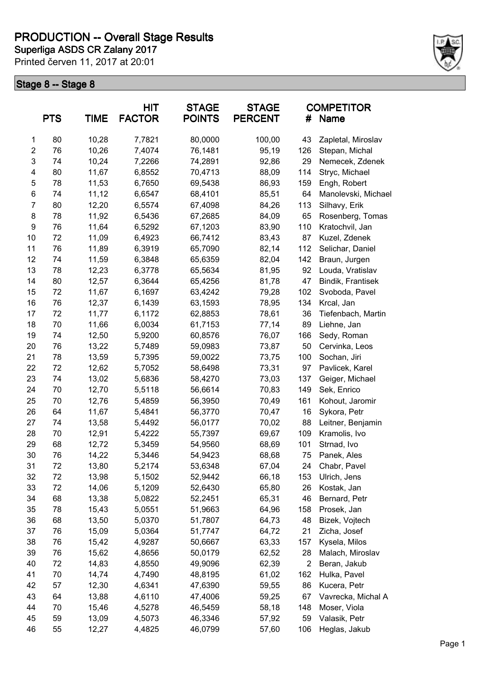### **Superliga ASDS CR Zalany 2017 PRODUCTION -- Overall Stage Results**

Printed červen 11, 2017 at 20:01



| <b>PTS</b>              |    | <b>TIME</b> | HIT<br><b>FACTOR</b> | <b>STAGE</b><br><b>POINTS</b> | <b>STAGE</b><br><b>PERCENT</b> | #   | <b>COMPETITOR</b><br>Name |
|-------------------------|----|-------------|----------------------|-------------------------------|--------------------------------|-----|---------------------------|
| 1                       | 80 | 10,28       | 7,7821               | 80,0000                       | 100,00                         | 43  | Zapletal, Miroslav        |
| $\overline{\mathbf{c}}$ | 76 | 10,26       | 7,4074               | 76,1481                       | 95,19                          | 126 | Stepan, Michal            |
| 3                       | 74 | 10,24       | 7,2266               | 74,2891                       | 92,86                          | 29  | Nemecek, Zdenek           |
| 4                       | 80 | 11,67       | 6,8552               | 70,4713                       | 88,09                          | 114 | Stryc, Michael            |
| 5                       | 78 | 11,53       | 6,7650               | 69,5438                       | 86,93                          | 159 | Engh, Robert              |
| 6                       | 74 | 11,12       | 6,6547               | 68,4101                       | 85,51                          | 64  | Manolevski, Michael       |
| 7                       | 80 | 12,20       | 6,5574               | 67,4098                       | 84,26                          | 113 | Silhavy, Erik             |
| 8                       | 78 | 11,92       | 6,5436               | 67,2685                       | 84,09                          | 65  | Rosenberg, Tomas          |
| 9                       | 76 | 11,64       | 6,5292               | 67,1203                       | 83,90                          | 110 | Kratochvil, Jan           |
| 10                      | 72 | 11,09       | 6,4923               | 66,7412                       | 83,43                          | 87  | Kuzel, Zdenek             |
| 11                      | 76 | 11,89       | 6,3919               | 65,7090                       | 82,14                          | 112 | Selichar, Daniel          |
| 12                      | 74 | 11,59       | 6,3848               | 65,6359                       | 82,04                          | 142 | Braun, Jurgen             |
| 13                      | 78 | 12,23       | 6,3778               | 65,5634                       | 81,95                          | 92  | Louda, Vratislav          |
| 14                      | 80 | 12,57       | 6,3644               | 65,4256                       | 81,78                          | 47  | Bindik, Frantisek         |
| 15                      | 72 | 11,67       | 6,1697               | 63,4242                       | 79,28                          | 102 | Svoboda, Pavel            |
| 16                      | 76 | 12,37       | 6,1439               | 63,1593                       | 78,95                          | 134 | Krcal, Jan                |
| 17                      | 72 | 11,77       | 6,1172               | 62,8853                       | 78,61                          | 36  | Tiefenbach, Martin        |
| 18                      | 70 | 11,66       | 6,0034               | 61,7153                       | 77,14                          | 89  | Liehne, Jan               |
| 19                      | 74 | 12,50       | 5,9200               | 60,8576                       | 76,07                          | 166 | Sedy, Roman               |
| 20                      | 76 | 13,22       | 5,7489               | 59,0983                       | 73,87                          | 50  | Cervinka, Leos            |
| 21                      | 78 | 13,59       | 5,7395               | 59,0022                       | 73,75                          | 100 | Sochan, Jiri              |
| 22                      | 72 | 12,62       | 5,7052               | 58,6498                       | 73,31                          | 97  | Pavlicek, Karel           |
| 23                      | 74 | 13,02       | 5,6836               | 58,4270                       | 73,03                          | 137 | Geiger, Michael           |
| 24                      | 70 | 12,70       | 5,5118               | 56,6614                       | 70,83                          | 149 | Sek, Enrico               |
| 25                      | 70 | 12,76       | 5,4859               | 56,3950                       | 70,49                          | 161 | Kohout, Jaromir           |
| 26                      | 64 | 11,67       | 5,4841               | 56,3770                       | 70,47                          | 16  | Sykora, Petr              |
| 27                      | 74 | 13,58       | 5,4492               | 56,0177                       | 70,02                          | 88  | Leitner, Benjamin         |
| 28                      | 70 | 12,91       | 5,4222               | 55,7397                       | 69,67                          | 109 | Kramolis, Ivo             |
| 29                      | 68 | 12,72       | 5,3459               | 54,9560                       | 68,69                          | 101 | Strnad, Ivo               |
| 30                      | 76 | 14,22       | 5,3446               | 54,9423                       | 68,68                          | 75  | Panek, Ales               |
| 31                      | 72 | 13,80       | 5,2174               | 53,6348                       | 67,04                          | 24  | Chabr, Pavel              |
| 32                      | 72 | 13,98       | 5,1502               | 52,9442                       | 66,18                          | 153 | Ulrich, Jens              |
| 33                      | 72 | 14,06       | 5,1209               | 52,6430                       | 65,80                          | 26  | Kostak, Jan               |
| 34                      | 68 | 13,38       | 5,0822               | 52,2451                       | 65,31                          | 46  | Bernard, Petr             |
| 35                      | 78 | 15,43       | 5,0551               | 51,9663                       | 64,96                          | 158 | Prosek, Jan               |
| 36                      | 68 | 13,50       | 5,0370               | 51,7807                       | 64,73                          | 48  | Bizek, Vojtech            |
| 37                      | 76 | 15,09       | 5,0364               | 51,7747                       | 64,72                          | 21  | Zicha, Josef              |
| 38                      | 76 | 15,42       | 4,9287               | 50,6667                       | 63,33                          | 157 | Kysela, Milos             |
| 39                      | 76 | 15,62       | 4,8656               | 50,0179                       | 62,52                          | 28  | Malach, Miroslav          |
| 40                      | 72 | 14,83       | 4,8550               | 49,9096                       | 62,39                          | 2   | Beran, Jakub              |
| 41                      | 70 | 14,74       | 4,7490               | 48,8195                       | 61,02                          | 162 | Hulka, Pavel              |
| 42                      | 57 | 12,30       | 4,6341               | 47,6390                       | 59,55                          | 86  | Kucera, Petr              |
| 43                      | 64 | 13,88       | 4,6110               | 47,4006                       | 59,25                          | 67  | Vavrecka, Michal A        |
| 44                      | 70 | 15,46       | 4,5278               | 46,5459                       | 58,18                          | 148 | Moser, Viola              |
| 45                      | 59 | 13,09       | 4,5073               | 46,3346                       | 57,92                          | 59  | Valasik, Petr             |
| 46                      | 55 | 12,27       | 4,4825               | 46,0799                       | 57,60                          | 106 | Heglas, Jakub             |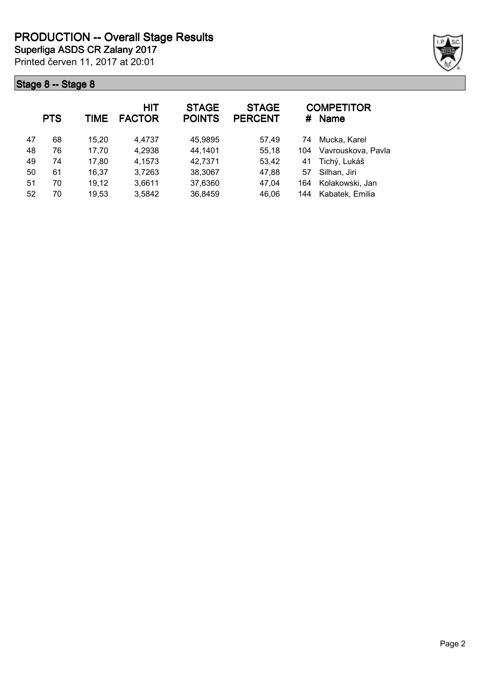

|    | <b>PTS</b> | TIME  | <b>HIT</b><br><b>FACTOR</b> | <b>STAGE</b><br><b>POINTS</b> | <b>STAGE</b><br><b>PERCENT</b> | #   | <b>COMPETITOR</b><br><b>Name</b> |
|----|------------|-------|-----------------------------|-------------------------------|--------------------------------|-----|----------------------------------|
| 47 | 68         | 15,20 | 4,4737                      | 45,9895                       | 57,49                          | 74  | Mucka, Karel                     |
| 48 | 76         | 17,70 | 4,2938                      | 44,1401                       | 55,18                          | 104 | Vavrouskova, Pavla               |
| 49 | 74         | 17,80 | 4,1573                      | 42,7371                       | 53,42                          | 41  | Tichý, Lukáš                     |
| 50 | 61         | 16,37 | 3,7263                      | 38,3067                       | 47,88                          | 57  | Silhan, Jiri                     |
| 51 | 70         | 19,12 | 3,6611                      | 37,6360                       | 47,04                          | 164 | Kolakowski, Jan                  |
| 52 | 70         | 19,53 | 3,5842                      | 36,8459                       | 46,06                          | 144 | Kabatek, Emilia                  |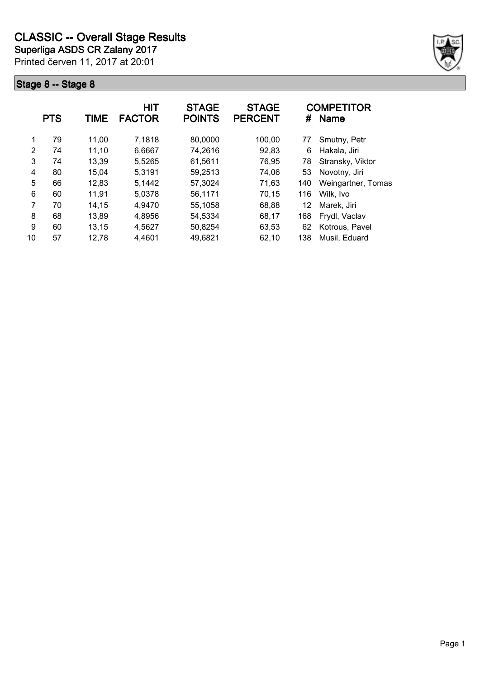

|    | <b>PTS</b> | TIME  | <b>HIT</b><br><b>FACTOR</b> | <b>STAGE</b><br><b>POINTS</b> | <b>STAGE</b><br><b>PERCENT</b> | #   | <b>COMPETITOR</b><br><b>Name</b> |
|----|------------|-------|-----------------------------|-------------------------------|--------------------------------|-----|----------------------------------|
| 1  | 79         | 11,00 | 7,1818                      | 80,0000                       | 100,00                         | 77  | Smutny, Petr                     |
| 2  | 74         | 11,10 | 6,6667                      | 74,2616                       | 92,83                          | 6   | Hakala, Jiri                     |
| 3  | 74         | 13,39 | 5,5265                      | 61,5611                       | 76,95                          | 78  | Stransky, Viktor                 |
| 4  | 80         | 15,04 | 5,3191                      | 59,2513                       | 74,06                          | 53  | Novotny, Jiri                    |
| 5  | 66         | 12,83 | 5,1442                      | 57,3024                       | 71,63                          | 140 | Weingartner, Tomas               |
| 6  | 60         | 11,91 | 5,0378                      | 56,1171                       | 70,15                          | 116 | Wilk, Ivo                        |
| 7  | 70         | 14,15 | 4,9470                      | 55,1058                       | 68,88                          | 12  | Marek, Jiri                      |
| 8  | 68         | 13,89 | 4,8956                      | 54,5334                       | 68,17                          | 168 | Frydl, Vaclav                    |
| 9  | 60         | 13,15 | 4,5627                      | 50,8254                       | 63,53                          | 62  | Kotrous, Pavel                   |
| 10 | 57         | 12,78 | 4,4601                      | 49,6821                       | 62,10                          | 138 | Musil, Eduard                    |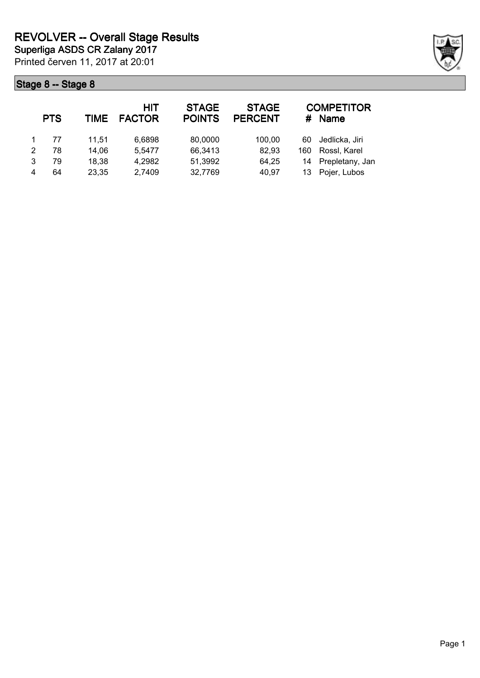|   | <b>PTS</b> | TIME  | <b>HIT</b><br><b>FACTOR</b> | <b>STAGE</b><br><b>POINTS</b> | <b>STAGE</b><br><b>PERCENT</b> | #   | <b>COMPETITOR</b><br><b>Name</b> |
|---|------------|-------|-----------------------------|-------------------------------|--------------------------------|-----|----------------------------------|
|   | 77         | 11.51 | 6,6898                      | 80,0000                       | 100.00                         | 60  | Jedlicka, Jiri                   |
| 2 | 78         | 14,06 | 5,5477                      | 66,3413                       | 82,93                          | 160 | Rossl, Karel                     |
| 3 | 79         | 18,38 | 4,2982                      | 51,3992                       | 64,25                          |     | 14 Prepletany, Jan               |
| 4 | 64         | 23,35 | 2,7409                      | 32,7769                       | 40,97                          | 13  | Pojer, Lubos                     |

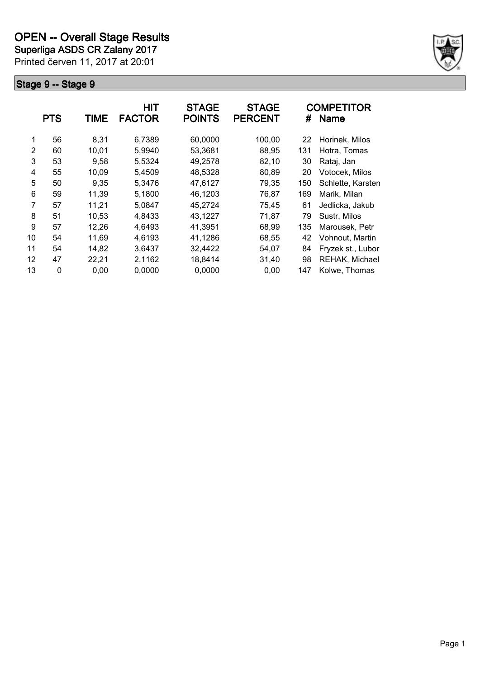**Superliga ASDS CR Zalany 2017**

Printed červen 11, 2017 at 20:01



|               | <b>PTS</b>  | TIME  | <b>HIT</b><br><b>FACTOR</b> | <b>STAGE</b><br><b>POINTS</b> | <b>STAGE</b><br><b>PERCENT</b> | #   | <b>COMPETITOR</b><br><b>Name</b> |
|---------------|-------------|-------|-----------------------------|-------------------------------|--------------------------------|-----|----------------------------------|
| 1             | 56          | 8,31  | 6,7389                      | 60,0000                       | 100,00                         | 22  | Horinek, Milos                   |
| $\mathcal{P}$ | 60          | 10.01 | 5,9940                      | 53,3681                       | 88,95                          | 131 | Hotra, Tomas                     |
| 3             | 53          | 9,58  | 5,5324                      | 49,2578                       | 82,10                          | 30  | Rataj, Jan                       |
| 4             | 55          | 10,09 | 5,4509                      | 48,5328                       | 80,89                          | 20  | Votocek, Milos                   |
| 5             | 50          | 9.35  | 5,3476                      | 47,6127                       | 79,35                          | 150 | Schlette, Karsten                |
| 6             | 59          | 11,39 | 5,1800                      | 46,1203                       | 76,87                          | 169 | Marik, Milan                     |
| 7             | 57          | 11,21 | 5,0847                      | 45,2724                       | 75,45                          | 61  | Jedlicka, Jakub                  |
| 8             | 51          | 10,53 | 4,8433                      | 43,1227                       | 71,87                          | 79  | Sustr, Milos                     |
| 9             | 57          | 12,26 | 4,6493                      | 41,3951                       | 68,99                          | 135 | Marousek, Petr                   |
| 10            | 54          | 11,69 | 4,6193                      | 41,1286                       | 68,55                          | 42  | Vohnout, Martin                  |
| 11            | 54          | 14,82 | 3,6437                      | 32,4422                       | 54,07                          | 84  | Fryzek st., Lubor                |
| 12            | 47          | 22,21 | 2,1162                      | 18,8414                       | 31,40                          | 98  | REHAK, Michael                   |
| 13            | $\mathbf 0$ | 0,00  | 0,0000                      | 0,0000                        | 0,00                           | 147 | Kolwe, Thomas                    |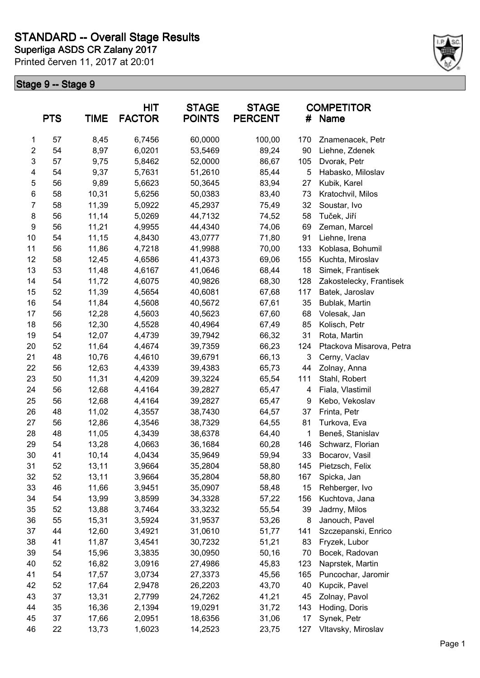

|                  | <b>PTS</b> | <b>TIME</b> | HIT<br><b>FACTOR</b> | <b>STAGE</b><br><b>POINTS</b> | <b>STAGE</b><br><b>PERCENT</b> | #   | <b>COMPETITOR</b><br><b>Name</b> |
|------------------|------------|-------------|----------------------|-------------------------------|--------------------------------|-----|----------------------------------|
| $\mathbf{1}$     | 57         | 8,45        | 6,7456               | 60,0000                       | 100,00                         | 170 | Znamenacek, Petr                 |
| $\overline{2}$   | 54         | 8,97        | 6,0201               | 53,5469                       | 89,24                          | 90  | Liehne, Zdenek                   |
| 3                | 57         | 9,75        | 5,8462               | 52,0000                       | 86,67                          | 105 | Dvorak, Petr                     |
| 4                | 54         | 9,37        | 5,7631               | 51,2610                       | 85,44                          | 5   | Habasko, Miloslav                |
| 5                | 56         | 9,89        | 5,6623               | 50,3645                       | 83,94                          | 27  | Kubik, Karel                     |
| $\,6$            | 58         | 10,31       | 5,6256               | 50,0383                       | 83,40                          | 73  | Kratochvil, Milos                |
| $\overline{7}$   | 58         | 11,39       | 5,0922               | 45,2937                       | 75,49                          | 32  | Soustar, Ivo                     |
| 8                | 56         | 11,14       | 5,0269               | 44,7132                       | 74,52                          | 58  | Tuček, Jiří                      |
| $\boldsymbol{9}$ | 56         | 11,21       | 4,9955               | 44,4340                       | 74,06                          | 69  | Zeman, Marcel                    |
| 10               | 54         | 11,15       | 4,8430               | 43,0777                       | 71,80                          | 91  | Liehne, Irena                    |
| 11               | 56         | 11,86       | 4,7218               | 41,9988                       | 70,00                          | 133 | Koblasa, Bohumil                 |
| 12               | 58         | 12,45       | 4,6586               | 41,4373                       | 69,06                          | 155 | Kuchta, Miroslav                 |
| 13               | 53         | 11,48       | 4,6167               | 41,0646                       | 68,44                          | 18  | Simek, Frantisek                 |
| 14               | 54         | 11,72       | 4,6075               | 40,9826                       | 68,30                          | 128 | Zakostelecky, Frantisek          |
| 15               | 52         | 11,39       | 4,5654               | 40,6081                       | 67,68                          | 117 | Batek, Jaroslav                  |
| 16               | 54         | 11,84       | 4,5608               | 40,5672                       | 67,61                          | 35  | Bublak, Martin                   |
| 17               | 56         | 12,28       | 4,5603               | 40,5623                       | 67,60                          | 68  | Volesak, Jan                     |
| 18               | 56         | 12,30       | 4,5528               | 40,4964                       | 67,49                          | 85  | Kolisch, Petr                    |
| 19               | 54         | 12,07       | 4,4739               | 39,7942                       | 66,32                          | 31  | Rota, Martin                     |
| 20               | 52         | 11,64       | 4,4674               | 39,7359                       | 66,23                          | 124 | Ptackova Misarova, Petra         |
| 21               | 48         | 10,76       | 4,4610               | 39,6791                       | 66,13                          | 3   | Cerny, Vaclav                    |
| 22               | 56         | 12,63       | 4,4339               | 39,4383                       | 65,73                          | 44  | Zolnay, Anna                     |
| 23               | 50         | 11,31       | 4,4209               | 39,3224                       | 65,54                          | 111 | Stahl, Robert                    |
| 24               | 56         | 12,68       | 4,4164               | 39,2827                       | 65,47                          | 4   | Fiala, Vlastimil                 |
| 25               | 56         | 12,68       | 4,4164               | 39,2827                       | 65,47                          | 9   | Kebo, Vekoslav                   |
| 26               | 48         | 11,02       | 4,3557               | 38,7430                       | 64,57                          | 37  | Frinta, Petr                     |
| 27               | 56         | 12,86       | 4,3546               | 38,7329                       | 64,55                          | 81  | Turkova, Eva                     |
| 28               | 48         | 11,05       | 4,3439               | 38,6378                       | 64,40                          | 1   | Beneš, Stanislav                 |
| 29               | 54         | 13,28       | 4,0663               | 36,1684                       | 60,28                          | 146 | Schwarz, Florian                 |
| 30               | 41         | 10,14       | 4,0434               | 35,9649                       | 59,94                          | 33  | Bocarov, Vasil                   |
| 31               | 52         | 13,11       | 3,9664               | 35,2804                       | 58,80                          | 145 | Pietzsch, Felix                  |
| 32               | 52         | 13,11       | 3,9664               | 35,2804                       | 58,80                          | 167 | Spicka, Jan                      |
| 33               | 46         | 11,66       | 3,9451               | 35,0907                       | 58,48                          | 15  | Rehberger, Ivo                   |
| 34               | 54         | 13,99       | 3,8599               | 34,3328                       | 57,22                          | 156 | Kuchtova, Jana                   |
| 35               | 52         | 13,88       | 3,7464               | 33,3232                       | 55,54                          | 39  | Jadrny, Milos                    |
| 36               | 55         | 15,31       | 3,5924               | 31,9537                       | 53,26                          | 8   | Janouch, Pavel                   |
| 37               | 44         | 12,60       | 3,4921               | 31,0610                       | 51,77                          | 141 | Szczepanski, Enrico              |
| 38               | 41         | 11,87       | 3,4541               | 30,7232                       | 51,21                          | 83  | Fryzek, Lubor                    |
| 39               | 54         | 15,96       | 3,3835               | 30,0950                       | 50,16                          | 70  | Bocek, Radovan                   |
| 40               | 52         | 16,82       | 3,0916               | 27,4986                       | 45,83                          | 123 | Naprstek, Martin                 |
| 41               | 54         | 17,57       | 3,0734               | 27,3373                       | 45,56                          | 165 | Puncochar, Jaromir               |
| 42               | 52         | 17,64       | 2,9478               | 26,2203                       | 43,70                          | 40  | Kupcik, Pavel                    |
| 43               | 37         | 13,31       | 2,7799               | 24,7262                       | 41,21                          | 45  | Zolnay, Pavol                    |
| 44               | 35         | 16,36       | 2,1394               | 19,0291                       | 31,72                          | 143 | Hoding, Doris                    |
| 45               | 37         | 17,66       | 2,0951               | 18,6356                       | 31,06                          | 17  | Synek, Petr                      |
| 46               | 22         | 13,73       | 1,6023               | 14,2523                       | 23,75                          | 127 | Vltavsky, Miroslav               |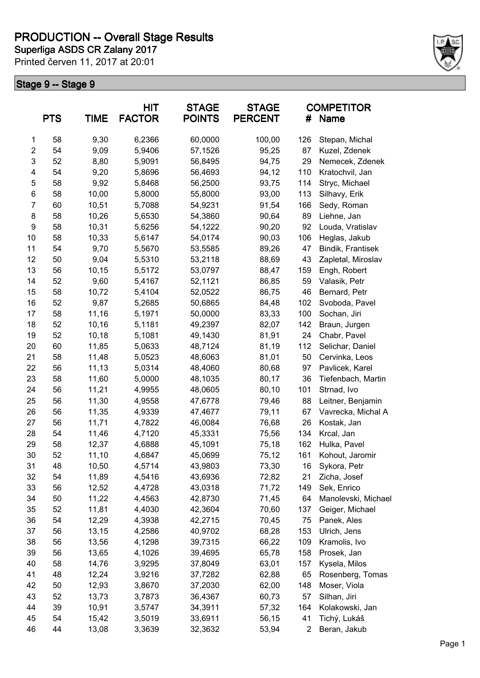**Superliga ASDS CR Zalany 2017 PRODUCTION -- Overall Stage Results**

Printed červen 11, 2017 at 20:01



|                         | <b>PTS</b> | <b>TIME</b> | <b>HIT</b><br><b>FACTOR</b> | <b>STAGE</b><br><b>POINTS</b> | <b>STAGE</b><br><b>PERCENT</b> | #   | <b>COMPETITOR</b><br>Name |  |
|-------------------------|------------|-------------|-----------------------------|-------------------------------|--------------------------------|-----|---------------------------|--|
| $\mathbf 1$             | 58         | 9,30        | 6,2366                      | 60,0000                       | 100,00                         | 126 | Stepan, Michal            |  |
| $\overline{\mathbf{c}}$ | 54         | 9,09        | 5,9406                      | 57,1526                       | 95,25                          | 87  | Kuzel, Zdenek             |  |
| 3                       | 52         | 8,80        | 5,9091                      | 56,8495                       | 94,75                          | 29  | Nemecek, Zdenek           |  |
| 4                       | 54         | 9,20        | 5,8696                      | 56,4693                       | 94,12                          | 110 | Kratochvil, Jan           |  |
| 5                       | 58         | 9,92        | 5,8468                      | 56,2500                       | 93,75                          | 114 | Stryc, Michael            |  |
| 6                       | 58         | 10,00       | 5,8000                      | 55,8000                       | 93,00                          | 113 | Silhavy, Erik             |  |
| $\overline{7}$          | 60         | 10,51       | 5,7088                      | 54,9231                       | 91,54                          | 166 | Sedy, Roman               |  |
| 8                       | 58         | 10,26       | 5,6530                      | 54,3860                       | 90,64                          | 89  | Liehne, Jan               |  |
| $\boldsymbol{9}$        | 58         | 10,31       | 5,6256                      | 54,1222                       | 90,20                          | 92  | Louda, Vratislav          |  |
| 10                      | 58         | 10,33       | 5,6147                      | 54,0174                       | 90,03                          | 106 | Heglas, Jakub             |  |
| 11                      | 54         | 9,70        | 5,5670                      | 53,5585                       | 89,26                          | 47  | Bindik, Frantisek         |  |
| 12                      | 50         | 9,04        | 5,5310                      | 53,2118                       | 88,69                          | 43  | Zapletal, Miroslav        |  |
| 13                      | 56         | 10,15       | 5,5172                      | 53,0797                       | 88,47                          | 159 | Engh, Robert              |  |
| 14                      | 52         | 9,60        | 5,4167                      | 52,1121                       | 86,85                          | 59  | Valasik, Petr             |  |
| 15                      | 58         | 10,72       | 5,4104                      | 52,0522                       | 86,75                          | 46  | Bernard, Petr             |  |
| 16                      | 52         | 9,87        | 5,2685                      | 50,6865                       | 84,48                          | 102 | Svoboda, Pavel            |  |
| 17                      | 58         | 11,16       | 5,1971                      | 50,0000                       | 83,33                          | 100 | Sochan, Jiri              |  |
| 18                      | 52         | 10,16       | 5,1181                      | 49,2397                       | 82,07                          | 142 | Braun, Jurgen             |  |
| 19                      | 52         | 10,18       | 5,1081                      | 49,1430                       | 81,91                          | 24  | Chabr, Pavel              |  |
| 20                      | 60         | 11,85       | 5,0633                      | 48,7124                       | 81,19                          | 112 | Selichar, Daniel          |  |
| 21                      | 58         | 11,48       | 5,0523                      | 48,6063                       | 81,01                          | 50  | Cervinka, Leos            |  |
| 22                      | 56         | 11,13       | 5,0314                      | 48,4060                       | 80,68                          | 97  | Pavlicek, Karel           |  |
| 23                      | 58         | 11,60       | 5,0000                      | 48,1035                       | 80,17                          | 36  | Tiefenbach, Martin        |  |
| 24                      | 56         | 11,21       | 4,9955                      | 48,0605                       | 80,10                          | 101 | Strnad, Ivo               |  |
| 25                      | 56         | 11,30       | 4,9558                      | 47,6778                       | 79,46                          | 88  | Leitner, Benjamin         |  |
| 26                      | 56         | 11,35       | 4,9339                      | 47,4677                       | 79,11                          | 67  | Vavrecka, Michal A        |  |
| 27                      | 56         | 11,71       | 4,7822                      | 46,0084                       | 76,68                          | 26  | Kostak, Jan               |  |
| 28                      | 54         |             | 4,7120                      | 45,3331                       |                                | 134 | Krcal, Jan                |  |
|                         | 58         | 11,46       |                             |                               | 75,56                          |     |                           |  |
| 29                      |            | 12,37       | 4,6888                      | 45,1091                       | 75,18                          | 162 | Hulka, Pavel              |  |
| 30                      | 52         | 11,10       | 4,6847                      | 45,0699                       | 75,12                          | 161 | Kohout, Jaromir           |  |
| 31                      | 48         | 10,50       | 4,5714                      | 43,9803                       | 73,30                          | 16  | Sykora, Petr              |  |
| 32                      | 54         | 11,89       | 4,5416                      | 43,6936                       | 72,82                          | 21  | Zicha, Josef              |  |
| 33                      | 56         | 12,52       | 4,4728                      | 43,0318                       | 71,72                          | 149 | Sek, Enrico               |  |
| 34                      | 50         | 11,22       | 4,4563                      | 42,8730                       | 71,45                          | 64  | Manolevski, Michael       |  |
| 35                      | 52         | 11,81       | 4,4030                      | 42,3604                       | 70,60                          | 137 | Geiger, Michael           |  |
| 36                      | 54         | 12,29       | 4,3938                      | 42,2715                       | 70,45                          | 75  | Panek, Ales               |  |
| 37                      | 56         | 13,15       | 4,2586                      | 40,9702                       | 68,28                          | 153 | Ulrich, Jens              |  |
| 38                      | 56         | 13,56       | 4,1298                      | 39,7315                       | 66,22                          | 109 | Kramolis, Ivo             |  |
| 39                      | 56         | 13,65       | 4,1026                      | 39,4695                       | 65,78                          | 158 | Prosek, Jan               |  |
| 40                      | 58         | 14,76       | 3,9295                      | 37,8049                       | 63,01                          | 157 | Kysela, Milos             |  |
| 41                      | 48         | 12,24       | 3,9216                      | 37,7282                       | 62,88                          | 65  | Rosenberg, Tomas          |  |
| 42                      | 50         | 12,93       | 3,8670                      | 37,2030                       | 62,00                          | 148 | Moser, Viola              |  |
| 43                      | 52         | 13,73       | 3,7873                      | 36,4367                       | 60,73                          | 57  | Silhan, Jiri              |  |
| 44                      | 39         | 10,91       | 3,5747                      | 34,3911                       | 57,32                          | 164 | Kolakowski, Jan           |  |
| 45                      | 54         | 15,42       | 3,5019                      | 33,6911                       | 56,15                          | 41  | Tichý, Lukáš              |  |
| 46                      | 44         | 13,08       | 3,3639                      | 32,3632                       | 53,94                          | 2   | Beran, Jakub              |  |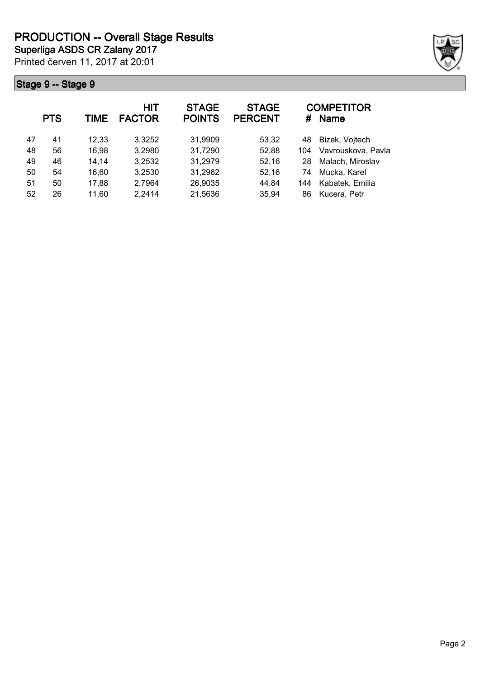

|    | <b>PTS</b> | <b>TIME</b> | <b>HIT</b><br><b>FACTOR</b> | <b>STAGE</b><br><b>POINTS</b> | <b>STAGE</b><br><b>PERCENT</b> | #   | <b>COMPETITOR</b><br><b>Name</b> |
|----|------------|-------------|-----------------------------|-------------------------------|--------------------------------|-----|----------------------------------|
| 47 | 41         | 12,33       | 3,3252                      | 31,9909                       | 53,32                          | 48  | Bizek, Vojtech                   |
| 48 | 56         | 16,98       | 3,2980                      | 31,7290                       | 52,88                          | 104 | Vavrouskova, Pavla               |
| 49 | 46         | 14,14       | 3,2532                      | 31,2979                       | 52,16                          | 28  | Malach, Miroslav                 |
| 50 | 54         | 16,60       | 3,2530                      | 31,2962                       | 52,16                          | 74  | Mucka, Karel                     |
| 51 | 50         | 17,88       | 2,7964                      | 26,9035                       | 44,84                          | 144 | Kabatek, Emilia                  |
| 52 | 26         | 11,60       | 2,2414                      | 21,5636                       | 35,94                          | 86  | Kucera, Petr                     |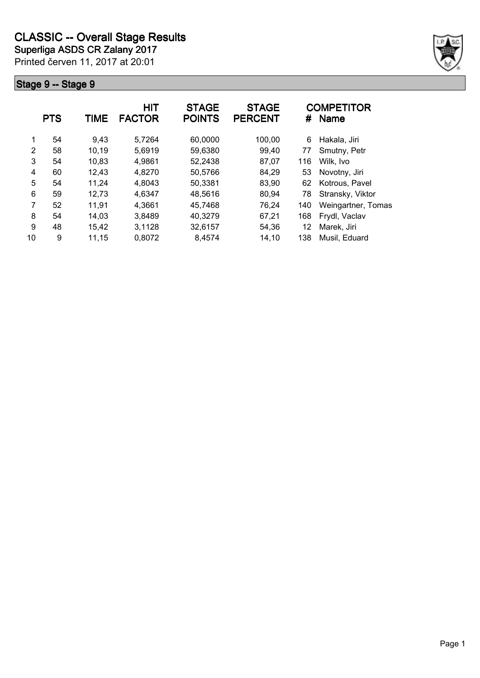

|    | <b>PTS</b> | TIME  | <b>HIT</b><br><b>FACTOR</b> | <b>STAGE</b><br><b>POINTS</b> | <b>STAGE</b><br><b>PERCENT</b> | #   | <b>COMPETITOR</b><br>Name |
|----|------------|-------|-----------------------------|-------------------------------|--------------------------------|-----|---------------------------|
| 1  | 54         | 9.43  | 5,7264                      | 60,0000                       | 100,00                         | 6   | Hakala, Jiri              |
| 2  | 58         | 10,19 | 5,6919                      | 59,6380                       | 99,40                          | 77  | Smutny, Petr              |
| 3  | 54         | 10,83 | 4,9861                      | 52,2438                       | 87,07                          | 116 | Wilk, Ivo                 |
| 4  | 60         | 12,43 | 4,8270                      | 50,5766                       | 84,29                          | 53  | Novotny, Jiri             |
| 5  | 54         | 11,24 | 4,8043                      | 50,3381                       | 83,90                          | 62  | Kotrous, Pavel            |
| 6  | 59         | 12,73 | 4,6347                      | 48,5616                       | 80,94                          | 78  | Stransky, Viktor          |
| 7  | 52         | 11,91 | 4,3661                      | 45,7468                       | 76,24                          | 140 | Weingartner, Tomas        |
| 8  | 54         | 14,03 | 3,8489                      | 40,3279                       | 67,21                          | 168 | Frydl, Vaclav             |
| 9  | 48         | 15,42 | 3,1128                      | 32,6157                       | 54,36                          | 12  | Marek, Jiri               |
| 10 | 9          | 11,15 | 0,8072                      | 8,4574                        | 14,10                          | 138 | Musil, Eduard             |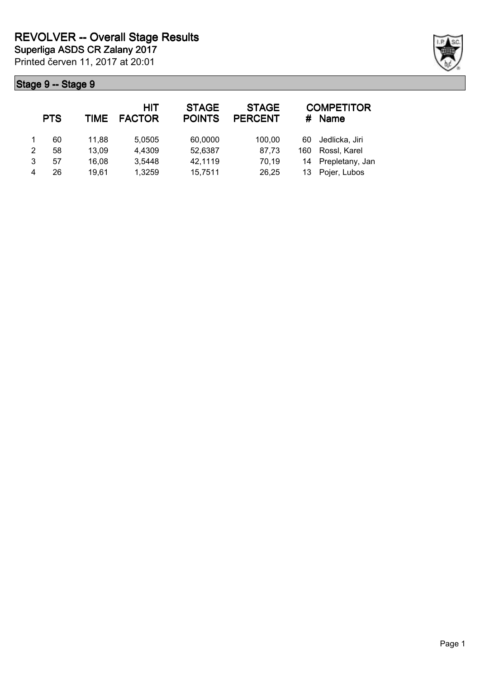|   | <b>PTS</b> | TIME  | <b>HIT</b><br><b>FACTOR</b> | <b>STAGE</b><br><b>POINTS</b> | <b>STAGE</b><br><b>PERCENT</b> | #   | <b>COMPETITOR</b><br><b>Name</b> |
|---|------------|-------|-----------------------------|-------------------------------|--------------------------------|-----|----------------------------------|
|   | 60         | 11.88 | 5,0505                      | 60,0000                       | 100,00                         | 60  | Jedlicka, Jiri                   |
| 2 | 58         | 13,09 | 4,4309                      | 52,6387                       | 87,73                          | 160 | Rossl, Karel                     |
| 3 | 57         | 16,08 | 3,5448                      | 42,1119                       | 70,19                          | 14  | Prepletany, Jan                  |
| 4 | 26         | 19.61 | 1,3259                      | 15,7511                       | 26,25                          | 13  | Pojer, Lubos                     |

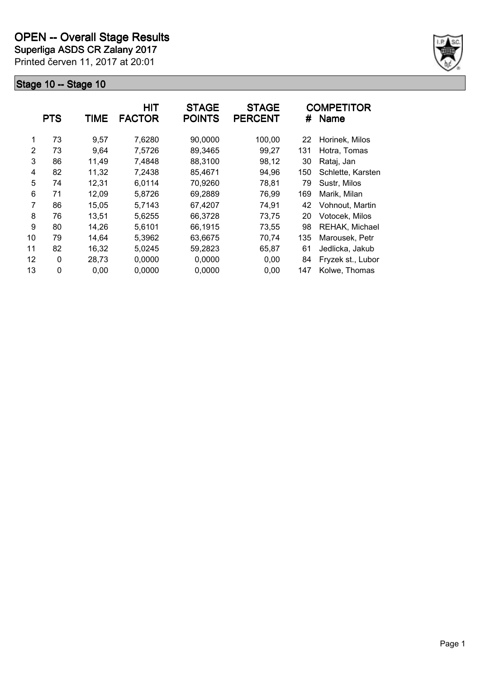**Superliga ASDS CR Zalany 2017**

Printed červen 11, 2017 at 20:01



|    | <b>PTS</b> | TIME  | <b>HIT</b><br><b>FACTOR</b> | <b>STAGE</b><br><b>POINTS</b> | <b>STAGE</b><br><b>PERCENT</b> | #   | <b>COMPETITOR</b><br><b>Name</b> |
|----|------------|-------|-----------------------------|-------------------------------|--------------------------------|-----|----------------------------------|
| 1  | 73         | 9,57  | 7,6280                      | 90,0000                       | 100,00                         | 22  | Horinek, Milos                   |
| 2  | 73         | 9.64  | 7,5726                      | 89,3465                       | 99,27                          | 131 | Hotra, Tomas                     |
| 3  | 86         | 11,49 | 7,4848                      | 88,3100                       | 98,12                          | 30  | Rataj, Jan                       |
| 4  | 82         | 11,32 | 7,2438                      | 85,4671                       | 94,96                          | 150 | Schlette, Karsten                |
| 5  | 74         | 12,31 | 6,0114                      | 70,9260                       | 78,81                          | 79  | Sustr, Milos                     |
| 6  | 71         | 12,09 | 5,8726                      | 69,2889                       | 76,99                          | 169 | Marik, Milan                     |
| 7  | 86         | 15,05 | 5,7143                      | 67,4207                       | 74,91                          | 42  | Vohnout, Martin                  |
| 8  | 76         | 13,51 | 5,6255                      | 66,3728                       | 73,75                          | 20  | Votocek, Milos                   |
| 9  | 80         | 14,26 | 5,6101                      | 66,1915                       | 73,55                          | 98  | REHAK, Michael                   |
| 10 | 79         | 14,64 | 5,3962                      | 63,6675                       | 70,74                          | 135 | Marousek, Petr                   |
| 11 | 82         | 16,32 | 5,0245                      | 59,2823                       | 65,87                          | 61  | Jedlicka, Jakub                  |
| 12 | 0          | 28,73 | 0,0000                      | 0,0000                        | 0,00                           | 84  | Fryzek st., Lubor                |
| 13 | 0          | 0,00  | 0,0000                      | 0,0000                        | 0,00                           | 147 | Kolwe, Thomas                    |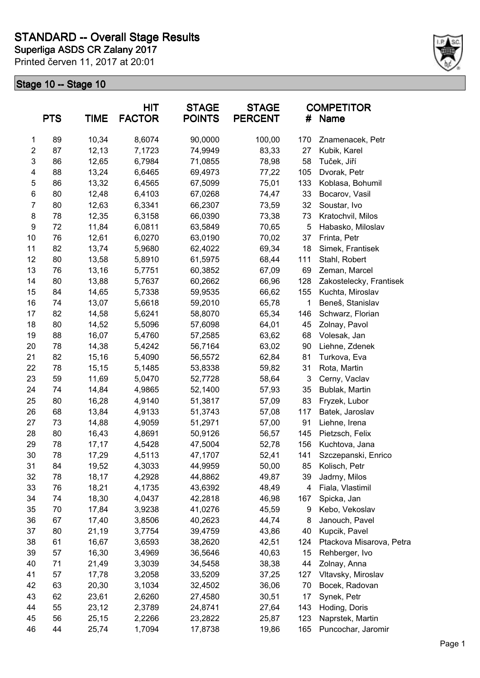

|                | <b>PTS</b> | <b>TIME</b> | <b>HIT</b><br><b>FACTOR</b> | <b>STAGE</b><br><b>POINTS</b> | <b>STAGE</b><br><b>PERCENT</b> | #   | <b>COMPETITOR</b><br>Name |
|----------------|------------|-------------|-----------------------------|-------------------------------|--------------------------------|-----|---------------------------|
| 1              | 89         | 10,34       | 8,6074                      | 90,0000                       | 100,00                         | 170 | Znamenacek, Petr          |
| $\overline{c}$ | 87         | 12,13       | 7,1723                      | 74,9949                       | 83,33                          | 27  | Kubik, Karel              |
| 3              | 86         | 12,65       | 6,7984                      | 71,0855                       | 78,98                          | 58  | Tuček, Jiří               |
| 4              | 88         | 13,24       | 6,6465                      | 69,4973                       | 77,22                          | 105 | Dvorak, Petr              |
| 5              | 86         | 13,32       | 6,4565                      | 67,5099                       | 75,01                          | 133 | Koblasa, Bohumil          |
| 6              | 80         | 12,48       | 6,4103                      | 67,0268                       | 74,47                          | 33  | Bocarov, Vasil            |
| $\overline{7}$ | 80         | 12,63       | 6,3341                      | 66,2307                       | 73,59                          | 32  | Soustar, Ivo              |
| 8              | 78         | 12,35       | 6,3158                      | 66,0390                       | 73,38                          | 73  | Kratochvil, Milos         |
| 9              | 72         | 11,84       | 6,0811                      | 63,5849                       | 70,65                          | 5   | Habasko, Miloslav         |
| 10             | 76         | 12,61       | 6,0270                      | 63,0190                       | 70,02                          | 37  | Frinta, Petr              |
| 11             | 82         | 13,74       | 5,9680                      | 62,4022                       | 69,34                          | 18  | Simek, Frantisek          |
| 12             | 80         | 13,58       | 5,8910                      | 61,5975                       | 68,44                          | 111 | Stahl, Robert             |
| 13             | 76         | 13,16       | 5,7751                      | 60,3852                       | 67,09                          | 69  | Zeman, Marcel             |
| 14             | 80         | 13,88       | 5,7637                      | 60,2662                       | 66,96                          | 128 | Zakostelecky, Frantisek   |
| 15             | 84         | 14,65       | 5,7338                      | 59,9535                       | 66,62                          | 155 | Kuchta, Miroslav          |
| 16             | 74         | 13,07       | 5,6618                      | 59,2010                       | 65,78                          | 1   | Beneš, Stanislav          |
| 17             | 82         | 14,58       | 5,6241                      | 58,8070                       | 65,34                          | 146 | Schwarz, Florian          |
| 18             | 80         | 14,52       | 5,5096                      | 57,6098                       | 64,01                          | 45  | Zolnay, Pavol             |
| 19             | 88         | 16,07       | 5,4760                      | 57,2585                       | 63,62                          | 68  | Volesak, Jan              |
| 20             | 78         | 14,38       | 5,4242                      | 56,7164                       | 63,02                          | 90  | Liehne, Zdenek            |
| 21             | 82         | 15,16       | 5,4090                      | 56,5572                       | 62,84                          | 81  | Turkova, Eva              |
| 22             | 78         | 15,15       | 5,1485                      | 53,8338                       | 59,82                          | 31  | Rota, Martin              |
| 23             | 59         | 11,69       | 5,0470                      | 52,7728                       | 58,64                          | 3   | Cerny, Vaclav             |
| 24             | 74         | 14,84       | 4,9865                      | 52,1400                       | 57,93                          | 35  | Bublak, Martin            |
| 25             | 80         | 16,28       | 4,9140                      | 51,3817                       | 57,09                          | 83  | Fryzek, Lubor             |
| 26             | 68         | 13,84       | 4,9133                      | 51,3743                       | 57,08                          | 117 | Batek, Jaroslav           |
| 27             | 73         | 14,88       | 4,9059                      | 51,2971                       | 57,00                          | 91  | Liehne, Irena             |
| 28             | 80         | 16,43       | 4,8691                      | 50,9126                       | 56,57                          | 145 | Pietzsch, Felix           |
| 29             | 78         | 17,17       | 4,5428                      | 47,5004                       | 52,78                          | 156 | Kuchtova, Jana            |
| 30             | 78         | 17,29       | 4,5113                      | 47,1707                       | 52,41                          | 141 | Szczepanski, Enrico       |
| 31             | 84         | 19,52       | 4,3033                      | 44,9959                       | 50,00                          | 85  | Kolisch, Petr             |
| 32             | 78         | 18,17       | 4,2928                      | 44,8862                       | 49,87                          | 39  | Jadrny, Milos             |
| 33             | 76         | 18,21       | 4,1735                      | 43,6392                       | 48,49                          | 4   | Fiala, Vlastimil          |
| 34             | 74         | 18,30       | 4,0437                      | 42,2818                       | 46,98                          | 167 | Spicka, Jan               |
| 35             | 70         | 17,84       | 3,9238                      | 41,0276                       | 45,59                          | 9   | Kebo, Vekoslav            |
| 36             | 67         | 17,40       | 3,8506                      | 40,2623                       | 44,74                          | 8   | Janouch, Pavel            |
| 37             | 80         | 21,19       | 3,7754                      | 39,4759                       | 43,86                          | 40  | Kupcik, Pavel             |
| 38             | 61         | 16,67       | 3,6593                      | 38,2620                       | 42,51                          | 124 | Ptackova Misarova, Petra  |
| 39             | 57         | 16,30       | 3,4969                      | 36,5646                       | 40,63                          | 15  | Rehberger, Ivo            |
| 40             | 71         | 21,49       | 3,3039                      | 34,5458                       | 38,38                          | 44  | Zolnay, Anna              |
| 41             | 57         | 17,78       | 3,2058                      | 33,5209                       | 37,25                          | 127 | Vltavsky, Miroslav        |
| 42             | 63         | 20,30       | 3,1034                      | 32,4502                       | 36,06                          | 70  | Bocek, Radovan            |
| 43             | 62         | 23,61       | 2,6260                      | 27,4580                       | 30,51                          | 17  | Synek, Petr               |
| 44             | 55         | 23,12       | 2,3789                      | 24,8741                       | 27,64                          | 143 | Hoding, Doris             |
| 45             | 56         | 25,15       | 2,2266                      | 23,2822                       | 25,87                          | 123 | Naprstek, Martin          |
| 46             | 44         | 25,74       | 1,7094                      | 17,8738                       | 19,86                          | 165 | Puncochar, Jaromir        |
|                |            |             |                             |                               |                                |     |                           |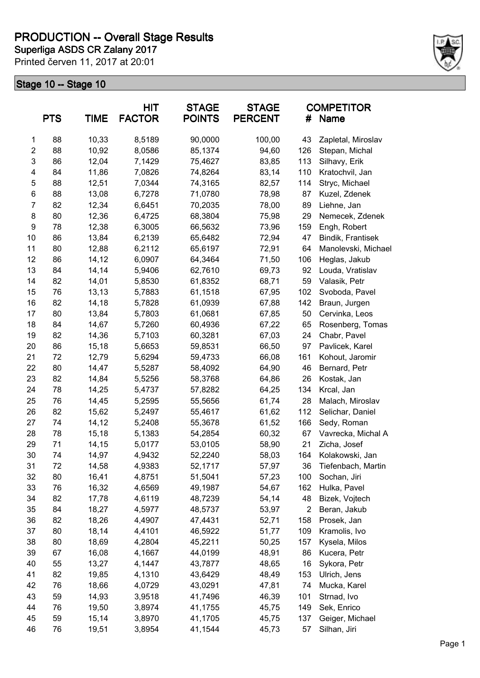# **PRODUCTION -- Overall Stage Results**

Printed červen 11, 2017 at 20:01 **Superliga ASDS CR Zalany 2017**



| <b>PTS</b><br><b>TIME</b> |    | HIT<br><b>STAGE</b><br><b>FACTOR</b><br><b>POINTS</b> |        | <b>STAGE</b><br><b>PERCENT</b><br># |        | <b>COMPETITOR</b><br>Name |                     |
|---------------------------|----|-------------------------------------------------------|--------|-------------------------------------|--------|---------------------------|---------------------|
| 1                         | 88 | 10,33                                                 | 8,5189 | 90,0000                             | 100,00 | 43                        | Zapletal, Miroslav  |
| $\overline{\mathbf{c}}$   | 88 | 10,92                                                 | 8,0586 | 85,1374                             | 94,60  | 126                       | Stepan, Michal      |
| 3                         | 86 | 12,04                                                 | 7,1429 | 75,4627                             | 83,85  | 113                       | Silhavy, Erik       |
| 4                         | 84 | 11,86                                                 | 7,0826 | 74,8264                             | 83,14  | 110                       | Kratochvil, Jan     |
| 5                         | 88 | 12,51                                                 | 7,0344 | 74,3165                             | 82,57  | 114                       | Stryc, Michael      |
| 6                         | 88 | 13,08                                                 | 6,7278 | 71,0780                             | 78,98  | 87                        | Kuzel, Zdenek       |
| $\overline{7}$            | 82 | 12,34                                                 | 6,6451 | 70,2035                             | 78,00  | 89                        | Liehne, Jan         |
| 8                         | 80 | 12,36                                                 | 6,4725 | 68,3804                             | 75,98  | 29                        | Nemecek, Zdenek     |
| $\boldsymbol{9}$          | 78 | 12,38                                                 | 6,3005 | 66,5632                             | 73,96  | 159                       | Engh, Robert        |
| 10                        | 86 | 13,84                                                 | 6,2139 | 65,6482                             | 72,94  | 47                        | Bindik, Frantisek   |
| 11                        | 80 | 12,88                                                 | 6,2112 | 65,6197                             | 72,91  | 64                        | Manolevski, Michael |
| 12                        | 86 | 14,12                                                 | 6,0907 | 64,3464                             | 71,50  | 106                       | Heglas, Jakub       |
| 13                        | 84 | 14,14                                                 | 5,9406 | 62,7610                             | 69,73  | 92                        | Louda, Vratislav    |
| 14                        | 82 | 14,01                                                 | 5,8530 | 61,8352                             | 68,71  | 59                        | Valasik, Petr       |
| 15                        | 76 | 13,13                                                 | 5,7883 | 61,1518                             | 67,95  | 102                       | Svoboda, Pavel      |
| 16                        | 82 | 14,18                                                 | 5,7828 | 61,0939                             | 67,88  | 142                       | Braun, Jurgen       |
| 17                        | 80 | 13,84                                                 | 5,7803 | 61,0681                             | 67,85  | 50                        | Cervinka, Leos      |
| 18                        | 84 | 14,67                                                 | 5,7260 | 60,4936                             | 67,22  | 65                        | Rosenberg, Tomas    |
| 19                        | 82 | 14,36                                                 | 5,7103 | 60,3281                             | 67,03  | 24                        | Chabr, Pavel        |
| 20                        | 86 | 15,18                                                 | 5,6653 | 59,8531                             | 66,50  | 97                        | Pavlicek, Karel     |
| 21                        | 72 | 12,79                                                 | 5,6294 | 59,4733                             | 66,08  | 161                       | Kohout, Jaromir     |
| 22                        | 80 | 14,47                                                 | 5,5287 | 58,4092                             | 64,90  | 46                        | Bernard, Petr       |
| 23                        | 82 | 14,84                                                 | 5,5256 | 58,3768                             | 64,86  | 26                        | Kostak, Jan         |
| 24                        | 78 | 14,25                                                 | 5,4737 | 57,8282                             | 64,25  | 134                       | Krcal, Jan          |
| 25                        | 76 | 14,45                                                 | 5,2595 | 55,5656                             | 61,74  | 28                        | Malach, Miroslav    |
| 26                        | 82 | 15,62                                                 | 5,2497 | 55,4617                             | 61,62  | 112                       | Selichar, Daniel    |
| 27                        | 74 | 14,12                                                 | 5,2408 | 55,3678                             | 61,52  | 166                       | Sedy, Roman         |
| 28                        | 78 | 15,18                                                 | 5,1383 | 54,2854                             | 60,32  | 67                        | Vavrecka, Michal A  |
| 29                        | 71 | 14,15                                                 | 5,0177 | 53,0105                             | 58,90  | 21                        | Zicha, Josef        |
| 30                        | 74 | 14,97                                                 | 4,9432 | 52,2240                             | 58,03  | 164                       | Kolakowski, Jan     |
| 31                        | 72 | 14,58                                                 | 4,9383 | 52,1717                             | 57,97  | 36                        | Tiefenbach, Martin  |
| 32                        | 80 | 16,41                                                 | 4,8751 | 51,5041                             | 57,23  | 100                       | Sochan, Jiri        |
| 33                        | 76 | 16,32                                                 | 4,6569 | 49,1987                             | 54,67  | 162                       | Hulka, Pavel        |
| 34                        | 82 | 17,78                                                 | 4,6119 | 48,7239                             | 54,14  | 48                        | Bizek, Vojtech      |
| 35                        | 84 | 18,27                                                 | 4,5977 | 48,5737                             | 53,97  | $\overline{2}$            | Beran, Jakub        |
| 36                        | 82 | 18,26                                                 | 4,4907 | 47,4431                             | 52,71  | 158                       | Prosek, Jan         |
| 37                        | 80 | 18,14                                                 | 4,4101 | 46,5922                             | 51,77  | 109                       | Kramolis, Ivo       |
| 38                        | 80 | 18,69                                                 | 4,2804 | 45,2211                             | 50,25  | 157                       | Kysela, Milos       |
| 39                        | 67 | 16,08                                                 | 4,1667 | 44,0199                             | 48,91  | 86                        | Kucera, Petr        |
| 40                        | 55 | 13,27                                                 | 4,1447 | 43,7877                             | 48,65  | 16                        | Sykora, Petr        |
| 41                        | 82 | 19,85                                                 | 4,1310 | 43,6429                             | 48,49  | 153                       | Ulrich, Jens        |
| 42                        | 76 | 18,66                                                 | 4,0729 | 43,0291                             | 47,81  | 74                        | Mucka, Karel        |
| 43                        | 59 | 14,93                                                 | 3,9518 | 41,7496                             | 46,39  | 101                       | Strnad, Ivo         |
| 44                        | 76 | 19,50                                                 | 3,8974 | 41,1755                             | 45,75  | 149                       | Sek, Enrico         |
| 45                        | 59 | 15,14                                                 | 3,8970 | 41,1705                             | 45,75  | 137                       | Geiger, Michael     |
| 46                        | 76 | 19,51                                                 | 3,8954 | 41,1544                             | 45,73  | 57                        | Silhan, Jiri        |
|                           |    |                                                       |        |                                     |        |                           |                     |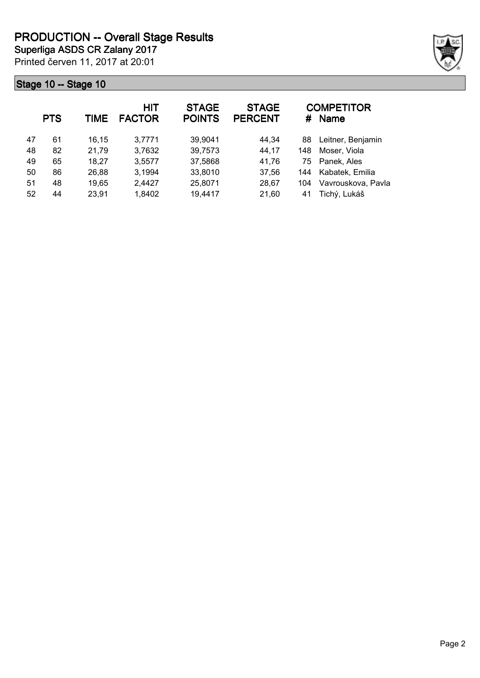Printed červen 11, 2017 at 20:01 **Superliga ASDS CR Zalany 2017**



| <b>PTS</b> |    | <b>TIME</b> | <b>HIT</b><br><b>FACTOR</b> | <b>STAGE</b><br><b>POINTS</b> | <b>STAGE</b><br><b>PERCENT</b> | #   | <b>COMPETITOR</b><br><b>Name</b> |
|------------|----|-------------|-----------------------------|-------------------------------|--------------------------------|-----|----------------------------------|
| 47         | 61 | 16,15       | 3,7771                      | 39,9041                       | 44,34                          | 88  | Leitner, Benjamin                |
| 48         | 82 | 21,79       | 3,7632                      | 39,7573                       | 44,17                          | 148 | Moser, Viola                     |
| 49         | 65 | 18,27       | 3,5577                      | 37,5868                       | 41,76                          | 75  | Panek, Ales                      |
| 50         | 86 | 26,88       | 3,1994                      | 33,8010                       | 37,56                          | 144 | Kabatek, Emilia                  |
| 51         | 48 | 19,65       | 2,4427                      | 25,8071                       | 28,67                          | 104 | Vavrouskova, Pavla               |
| 52         | 44 | 23,91       | 1,8402                      | 19,4417                       | 21,60                          | 41  | Tichý, Lukáš                     |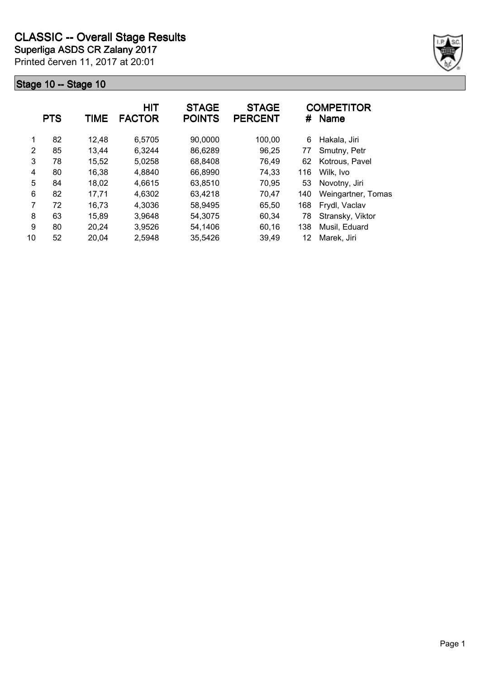

|    | <b>PTS</b> | TIME  | <b>HIT</b><br><b>FACTOR</b> | <b>STAGE</b><br><b>POINTS</b> | <b>STAGE</b><br><b>PERCENT</b> | #   | <b>COMPETITOR</b><br><b>Name</b> |
|----|------------|-------|-----------------------------|-------------------------------|--------------------------------|-----|----------------------------------|
| 1  | 82         | 12,48 | 6,5705                      | 90,0000                       | 100,00                         | 6   | Hakala, Jiri                     |
| 2  | 85         | 13,44 | 6,3244                      | 86,6289                       | 96,25                          | 77  | Smutny, Petr                     |
| 3  | 78         | 15,52 | 5,0258                      | 68,8408                       | 76,49                          | 62  | Kotrous, Pavel                   |
| 4  | 80         | 16,38 | 4,8840                      | 66,8990                       | 74,33                          | 116 | Wilk, Ivo                        |
| 5  | 84         | 18,02 | 4,6615                      | 63,8510                       | 70,95                          | 53  | Novotny, Jiri                    |
| 6  | 82         | 17,71 | 4,6302                      | 63,4218                       | 70,47                          | 140 | Weingartner, Tomas               |
| 7  | 72         | 16,73 | 4,3036                      | 58,9495                       | 65,50                          | 168 | Frydl, Vaclav                    |
| 8  | 63         | 15,89 | 3,9648                      | 54,3075                       | 60,34                          | 78  | Stransky, Viktor                 |
| 9  | 80         | 20,24 | 3,9526                      | 54,1406                       | 60,16                          | 138 | Musil, Eduard                    |
| 10 | 52         | 20,04 | 2,5948                      | 35,5426                       | 39,49                          | 12  | Marek, Jiri                      |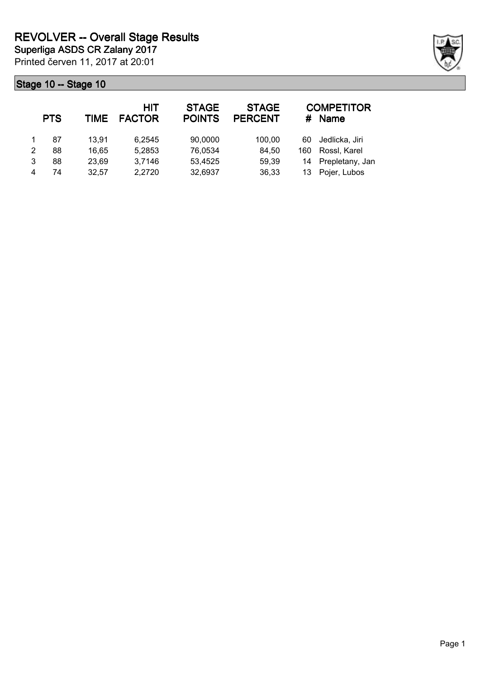|   | <b>PTS</b> | TIME  | HIT<br><b>FACTOR</b> | <b>STAGE</b><br><b>POINTS</b> | <b>STAGE</b><br><b>PERCENT</b> |     | <b>COMPETITOR</b><br># Name |
|---|------------|-------|----------------------|-------------------------------|--------------------------------|-----|-----------------------------|
|   | 87         | 13.91 | 6.2545               | 90,0000                       | 100,00                         | 60  | Jedlicka, Jiri              |
| 2 | 88         | 16.65 | 5,2853               | 76,0534                       | 84,50                          | 160 | Rossl, Karel                |
| 3 | 88         | 23,69 | 3,7146               | 53,4525                       | 59,39                          |     | 14 Prepletany, Jan          |
| 4 | 74         | 32.57 | 2,2720               | 32,6937                       | 36,33                          | 13  | Pojer, Lubos                |

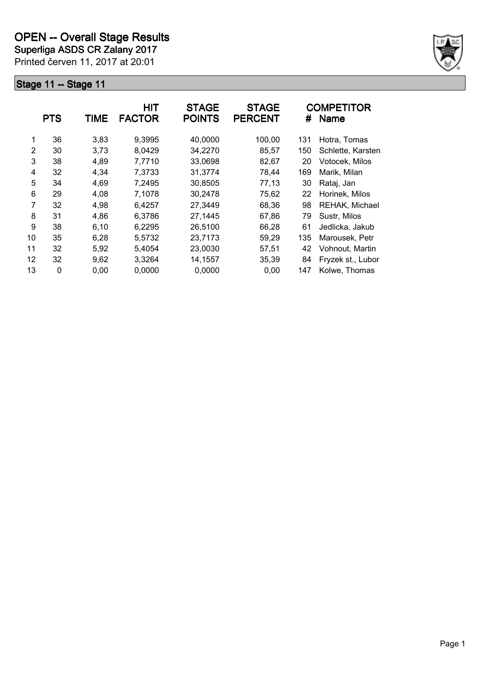**Superliga ASDS CR Zalany 2017**

Printed červen 11, 2017 at 20:01



|    | <b>PTS</b> | TIME  | <b>HIT</b><br><b>FACTOR</b> | <b>STAGE</b><br><b>POINTS</b> | <b>STAGE</b><br><b>PERCENT</b> | #   | <b>COMPETITOR</b><br><b>Name</b> |
|----|------------|-------|-----------------------------|-------------------------------|--------------------------------|-----|----------------------------------|
| 1  | 36         | 3,83  | 9,3995                      | 40,0000                       | 100,00                         | 131 | Hotra, Tomas                     |
| 2  | 30         | 3,73  | 8,0429                      | 34,2270                       | 85,57                          | 150 | Schlette, Karsten                |
| 3  | 38         | 4,89  | 7,7710                      | 33,0698                       | 82,67                          | 20  | Votocek, Milos                   |
| 4  | 32         | 4,34  | 7,3733                      | 31,3774                       | 78,44                          | 169 | Marik, Milan                     |
| 5  | 34         | 4,69  | 7,2495                      | 30,8505                       | 77,13                          | 30  | Rataj, Jan                       |
| 6  | 29         | 4,08  | 7,1078                      | 30.2478                       | 75.62                          | 22  | Horinek, Milos                   |
| 7  | 32         | 4,98  | 6,4257                      | 27,3449                       | 68,36                          | 98  | REHAK, Michael                   |
| 8  | 31         | 4,86  | 6,3786                      | 27,1445                       | 67,86                          | 79  | Sustr, Milos                     |
| 9  | 38         | 6, 10 | 6,2295                      | 26,5100                       | 66,28                          | 61  | Jedlicka, Jakub                  |
| 10 | 35         | 6,28  | 5,5732                      | 23,7173                       | 59,29                          | 135 | Marousek, Petr                   |
| 11 | 32         | 5,92  | 5,4054                      | 23,0030                       | 57,51                          | 42  | Vohnout, Martin                  |
| 12 | 32         | 9,62  | 3,3264                      | 14,1557                       | 35,39                          | 84  | Fryzek st., Lubor                |
| 13 | 0          | 0,00  | 0,0000                      | 0,0000                        | 0,00                           | 147 | Kolwe, Thomas                    |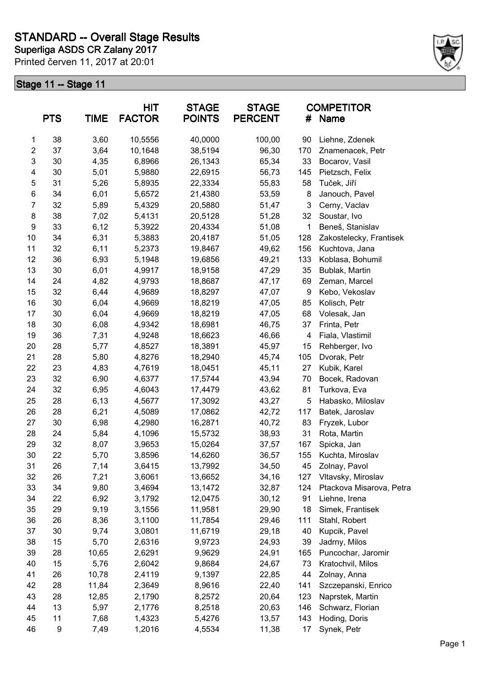

|                         | <b>PTS</b> | <b>TIME</b>    | HIT<br><b>FACTOR</b> | <b>STAGE</b><br><b>POINTS</b> | <b>STAGE</b><br><b>PERCENT</b> | #   | <b>COMPETITOR</b><br>Name |
|-------------------------|------------|----------------|----------------------|-------------------------------|--------------------------------|-----|---------------------------|
| 1                       | 38         | 3,60           | 10,5556              | 40,0000                       | 100,00                         | 90  | Liehne, Zdenek            |
| $\overline{\mathbf{c}}$ | 37         | 3,64           | 10,1648              | 38,5194                       | 96,30                          | 170 | Znamenacek, Petr          |
| 3                       | 30         | 4,35           | 6,8966               | 26,1343                       | 65,34                          | 33  | Bocarov, Vasil            |
| 4                       | 30         | 5,01           | 5,9880               | 22,6915                       | 56,73                          | 145 | Pietzsch, Felix           |
| 5                       | 31         | 5,26           | 5,8935               | 22,3334                       | 55,83                          | 58  | Tuček, Jiří               |
| $\,6$                   | 34         | 6,01           | 5,6572               | 21,4380                       | 53,59                          | 8   | Janouch, Pavel            |
| $\overline{7}$          | 32         | 5,89           | 5,4329               | 20,5880                       | 51,47                          | 3   | Cerny, Vaclav             |
| 8                       | 38         | 7,02           | 5,4131               | 20,5128                       | 51,28                          | 32  | Soustar, Ivo              |
| $\boldsymbol{9}$        | 33         | 6,12           | 5,3922               | 20,4334                       | 51,08                          | 1   | Beneš, Stanislav          |
| 10                      | 34         | 6,31           | 5,3883               | 20,4187                       | 51,05                          | 128 | Zakostelecky, Frantisek   |
| 11                      | 32         | 6,11           | 5,2373               | 19,8467                       | 49,62                          | 156 | Kuchtova, Jana            |
| 12                      | 36         | 6,93           | 5,1948               | 19,6856                       | 49,21                          | 133 | Koblasa, Bohumil          |
| 13                      | 30         | 6,01           | 4,9917               | 18,9158                       | 47,29                          | 35  | Bublak, Martin            |
| 14                      | 24         | 4,82           | 4,9793               | 18,8687                       | 47,17                          | 69  | Zeman, Marcel             |
| 15                      | 32         | 6,44           | 4,9689               | 18,8297                       | 47,07                          | 9   | Kebo, Vekoslav            |
| 16                      | 30         | 6,04           | 4,9669               | 18,8219                       | 47,05                          | 85  | Kolisch, Petr             |
| 17                      | 30         | 6,04           | 4,9669               | 18,8219                       | 47,05                          | 68  | Volesak, Jan              |
| 18                      | 30         | 6,08           | 4,9342               | 18,6981                       | 46,75                          | 37  | Frinta, Petr              |
| 19                      | 36         | 7,31           | 4,9248               | 18,6623                       | 46,66                          | 4   | Fiala, Vlastimil          |
| 20                      | 28         | 5,77           | 4,8527               | 18,3891                       | 45,97                          | 15  | Rehberger, Ivo            |
| 21                      | 28         | 5,80           | 4,8276               | 18,2940                       | 45,74                          | 105 | Dvorak, Petr              |
| 22                      | 23         | 4,83           | 4,7619               | 18,0451                       | 45,11                          | 27  | Kubik, Karel              |
| 23                      | 32         | 6,90           | 4,6377               | 17,5744                       | 43,94                          | 70  | Bocek, Radovan            |
| 24                      | 32         | 6,95           | 4,6043               | 17,4479                       | 43,62                          | 81  | Turkova, Eva              |
| 25                      | 28         | 6,13           | 4,5677               | 17,3092                       | 43,27                          | 5   | Habasko, Miloslav         |
| 26                      | 28         | 6,21           | 4,5089               | 17,0862                       | 42,72                          | 117 | Batek, Jaroslav           |
| 27                      | 30         | 6,98           | 4,2980               | 16,2871                       | 40,72                          | 83  | Fryzek, Lubor             |
| 28                      | 24         | 5,84           | 4,1096               | 15,5732                       | 38,93                          | 31  | Rota, Martin              |
| 29                      | 32         | 8,07           | 3,9653               | 15,0264                       | 37,57                          | 167 | Spicka, Jan               |
| 30                      | 22         | 5,70           | 3,8596               | 14,6260                       | 36,57                          | 155 | Kuchta, Miroslav          |
| 31                      | 26         | 7,14           | 3,6415               | 13,7992                       | 34,50                          | 45  | Zolnay, Pavol             |
| 32                      | 26         | 7,21           | 3,6061               | 13,6652                       | 34,16                          | 127 | Vltavsky, Miroslav        |
| 33                      | 34         | 9,80           | 3,4694               | 13,1472                       | 32,87                          | 124 | Ptackova Misarova, Petra  |
| 34                      | 22         | 6,92           | 3,1792               | 12,0475                       | 30, 12                         | 91  | Liehne, Irena             |
| 35                      | 29         | 9,19           | 3,1556               | 11,9581                       | 29,90                          | 18  | Simek, Frantisek          |
| 36                      | 26         | 8,36           | 3,1100               | 11,7854                       | 29,46                          | 111 | Stahl, Robert             |
| 37                      | 30         | 9,74           | 3,0801               | 11,6719                       | 29,18                          | 40  | Kupcik, Pavel             |
| 38                      | 15         | 5,70           | 2,6316               | 9,9723                        | 24,93                          | 39  | Jadrny, Milos             |
| 39                      | 28         | 10,65          | 2,6291               | 9,9629                        | 24,91                          | 165 | Puncochar, Jaromir        |
| 40                      | 15         | 5,76           | 2,6042               | 9,8684                        | 24,67                          | 73  | Kratochvil, Milos         |
| 41                      | 26         | 10,78          | 2,4119               | 9,1397                        | 22,85                          | 44  | Zolnay, Anna              |
| 42                      | 28         |                |                      |                               |                                | 141 |                           |
| 43                      | 28         | 11,84<br>12,85 | 2,3649               | 8,9616                        | 22,40<br>20,64                 | 123 | Szczepanski, Enrico       |
|                         |            |                | 2,1790               | 8,2572                        |                                |     | Naprstek, Martin          |
| 44                      | 13         | 5,97           | 2,1776               | 8,2518                        | 20,63                          | 146 | Schwarz, Florian          |
| 45                      | 11         | 7,68           | 1,4323               | 5,4276                        | 13,57                          | 143 | Hoding, Doris             |
| 46                      | 9          | 7,49           | 1,2016               | 4,5534                        | 11,38                          | 17  | Synek, Petr               |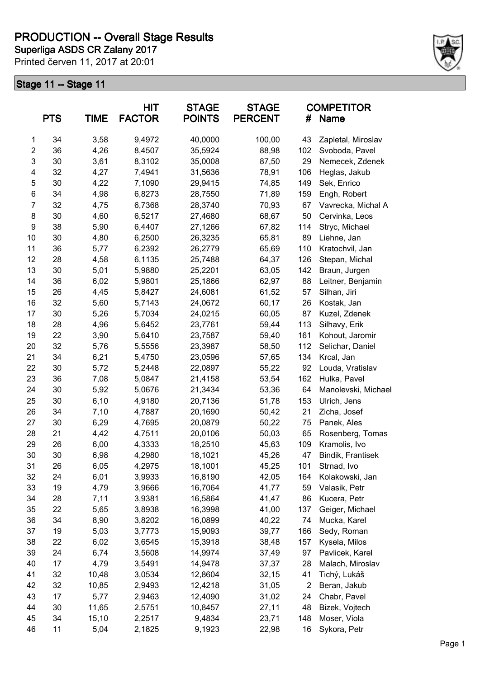# **PRODUCTION -- Overall Stage Results**

Printed červen 11, 2017 at 20:01 **Superliga ASDS CR Zalany 2017**



|                  | <b>PTS</b> | <b>TIME</b>  | <b>HIT</b><br><b>FACTOR</b> | <b>STAGE</b><br><b>POINTS</b> | <b>STAGE</b><br><b>PERCENT</b> | #              | <b>COMPETITOR</b><br>Name |
|------------------|------------|--------------|-----------------------------|-------------------------------|--------------------------------|----------------|---------------------------|
| 1                | 34         | 3,58         | 9,4972                      | 40,0000                       | 100,00                         | 43             | Zapletal, Miroslav        |
| $\overline{c}$   | 36         | 4,26         | 8,4507                      | 35,5924                       | 88,98                          | 102            | Svoboda, Pavel            |
| 3                | 30         | 3,61         | 8,3102                      | 35,0008                       | 87,50                          | 29             | Nemecek, Zdenek           |
| 4                | 32         | 4,27         | 7,4941                      | 31,5636                       | 78,91                          | 106            | Heglas, Jakub             |
| 5                | 30         | 4,22         | 7,1090                      | 29,9415                       | 74,85                          | 149            | Sek, Enrico               |
| $\,6$            | 34         | 4,98         | 6,8273                      | 28,7550                       | 71,89                          | 159            | Engh, Robert              |
| $\overline{7}$   | 32         | 4,75         | 6,7368                      | 28,3740                       | 70,93                          | 67             | Vavrecka, Michal A        |
| 8                | 30         | 4,60         | 6,5217                      | 27,4680                       | 68,67                          | 50             | Cervinka, Leos            |
| $\boldsymbol{9}$ | 38         | 5,90         | 6,4407                      | 27,1266                       | 67,82                          | 114            | Stryc, Michael            |
| 10               | 30         | 4,80         | 6,2500                      | 26,3235                       | 65,81                          | 89             | Liehne, Jan               |
| 11               | 36         | 5,77         | 6,2392                      | 26,2779                       | 65,69                          | 110            | Kratochvil, Jan           |
| 12               | 28         | 4,58         | 6,1135                      | 25,7488                       | 64,37                          | 126            | Stepan, Michal            |
| 13               | 30         | 5,01         | 5,9880                      | 25,2201                       | 63,05                          | 142            | Braun, Jurgen             |
| 14               | 36         | 6,02         | 5,9801                      | 25,1866                       | 62,97                          | 88             | Leitner, Benjamin         |
| 15               | 26         | 4,45         | 5,8427                      | 24,6081                       | 61,52                          | 57             | Silhan, Jiri              |
| 16               | 32         | 5,60         | 5,7143                      | 24,0672                       | 60,17                          | 26             | Kostak, Jan               |
| 17               | 30         | 5,26         | 5,7034                      | 24,0215                       | 60,05                          | 87             | Kuzel, Zdenek             |
| 18               | 28         | 4,96         | 5,6452                      | 23,7761                       | 59,44                          | 113            | Silhavy, Erik             |
| 19               | 22         | 3,90         | 5,6410                      | 23,7587                       | 59,40                          | 161            | Kohout, Jaromir           |
| 20               | 32         | 5,76         | 5,5556                      | 23,3987                       | 58,50                          | 112            | Selichar, Daniel          |
| 21               | 34         | 6,21         | 5,4750                      | 23,0596                       | 57,65                          | 134            | Krcal, Jan                |
| 22               | 30         | 5,72         | 5,2448                      | 22,0897                       | 55,22                          | 92             | Louda, Vratislav          |
| 23               | 36         | 7,08         | 5,0847                      | 21,4158                       | 53,54                          | 162            | Hulka, Pavel              |
| 24               | 30         | 5,92         | 5,0676                      | 21,3434                       | 53,36                          | 64             | Manolevski, Michael       |
| 25               | 30         | 6, 10        | 4,9180                      | 20,7136                       | 51,78                          | 153            | Ulrich, Jens              |
| 26               | 34         | 7,10         | 4,7887                      | 20,1690                       | 50,42                          | 21             | Zicha, Josef              |
| 27               | 30         | 6,29         | 4,7695                      | 20,0879                       | 50,22                          | 75             | Panek, Ales               |
| 28               | 21         | 4,42         | 4,7511                      | 20,0106                       | 50,03                          | 65             | Rosenberg, Tomas          |
| 29               | 26         | 6,00         | 4,3333                      | 18,2510                       | 45,63                          | 109            | Kramolis, Ivo             |
| 30               | 30         | 6,98         | 4,2980                      | 18,1021                       | 45,26                          | 47             | Bindik, Frantisek         |
| 31               | 26         | 6,05         | 4,2975                      | 18,1001                       | 45,25                          | 101            | Strnad, Ivo               |
| 32               | 24         | 6,01         | 3,9933                      | 16,8190                       | 42,05                          | 164            | Kolakowski, Jan           |
| 33               | 19         | 4,79         | 3,9666                      | 16,7064                       | 41,77                          | 59             | Valasik, Petr             |
| 34               |            |              | 3,9381                      | 16,5864                       | 41,47                          | 86             |                           |
| 35               | 28<br>22   | 7,11<br>5,65 | 3,8938                      | 16,3998                       | 41,00                          | 137            | Kucera, Petr              |
|                  | 34         | 8,90         |                             |                               |                                | 74             | Geiger, Michael           |
| 36<br>37         |            |              | 3,8202                      | 16,0899                       | 40,22                          |                | Mucka, Karel              |
|                  | 19         | 5,03         | 3,7773                      | 15,9093                       | 39,77                          | 166            | Sedy, Roman               |
| 38               | 22         | 6,02         | 3,6545                      | 15,3918                       | 38,48                          | 157            | Kysela, Milos             |
| 39               | 24         | 6,74         | 3,5608                      | 14,9974                       | 37,49                          | 97             | Pavlicek, Karel           |
| 40               | 17         | 4,79         | 3,5491                      | 14,9478                       | 37,37                          | 28             | Malach, Miroslav          |
| 41               | 32         | 10,48        | 3,0534                      | 12,8604                       | 32,15                          | 41             | Tichý, Lukáš              |
| 42               | 32         | 10,85        | 2,9493                      | 12,4218                       | 31,05                          | $\overline{2}$ | Beran, Jakub              |
| 43               | 17         | 5,77         | 2,9463                      | 12,4090                       | 31,02                          | 24             | Chabr, Pavel              |
| 44               | 30         | 11,65        | 2,5751                      | 10,8457                       | 27,11                          | 48             | Bizek, Vojtech            |
| 45               | 34         | 15,10        | 2,2517                      | 9,4834                        | 23,71                          | 148            | Moser, Viola              |
| 46               | 11         | 5,04         | 2,1825                      | 9,1923                        | 22,98                          | 16             | Sykora, Petr              |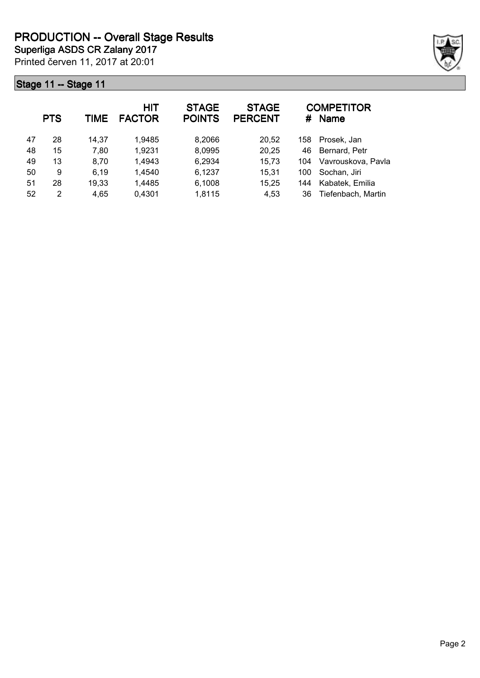Printed červen 11, 2017 at 20:01 **Superliga ASDS CR Zalany 2017**



|    | <b>PTS</b> | TIME  | <b>HIT</b><br><b>FACTOR</b> | <b>STAGE</b><br><b>POINTS</b> | <b>STAGE</b><br><b>PERCENT</b> | #   | <b>COMPETITOR</b><br><b>Name</b> |
|----|------------|-------|-----------------------------|-------------------------------|--------------------------------|-----|----------------------------------|
| 47 | 28         | 14.37 | 1,9485                      | 8,2066                        | 20,52                          | 158 | Prosek, Jan                      |
| 48 | 15         | 7,80  | 1,9231                      | 8,0995                        | 20,25                          | 46  | Bernard, Petr                    |
| 49 | 13         | 8,70  | 1,4943                      | 6,2934                        | 15,73                          | 104 | Vavrouskova, Pavla               |
| 50 | 9          | 6,19  | 1,4540                      | 6,1237                        | 15,31                          | 100 | Sochan, Jiri                     |
| 51 | 28         | 19,33 | 1,4485                      | 6,1008                        | 15,25                          | 144 | Kabatek, Emilia                  |
| 52 | 2          | 4,65  | 0,4301                      | 1,8115                        | 4,53                           | 36  | Tiefenbach, Martin               |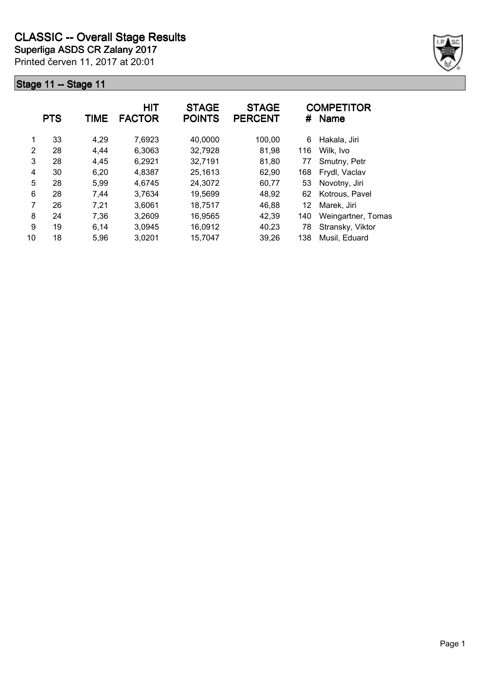

|    | <b>PTS</b> | TIME | <b>HIT</b><br><b>FACTOR</b> | <b>STAGE</b><br><b>POINTS</b> | <b>STAGE</b><br><b>PERCENT</b> |     | <b>COMPETITOR</b><br># Name |
|----|------------|------|-----------------------------|-------------------------------|--------------------------------|-----|-----------------------------|
| 1  | 33         | 4,29 | 7,6923                      | 40,0000                       | 100,00                         | 6   | Hakala, Jiri                |
| 2  | 28         | 4,44 | 6,3063                      | 32,7928                       | 81,98                          | 116 | Wilk, Ivo                   |
| 3  | 28         | 4,45 | 6,2921                      | 32,7191                       | 81,80                          | 77  | Smutny, Petr                |
| 4  | 30         | 6,20 | 4,8387                      | 25,1613                       | 62,90                          | 168 | Frydl, Vaclav               |
| 5  | 28         | 5,99 | 4,6745                      | 24,3072                       | 60,77                          | 53  | Novotny, Jiri               |
| 6  | 28         | 7,44 | 3,7634                      | 19,5699                       | 48,92                          | 62  | Kotrous, Pavel              |
| 7  | 26         | 7,21 | 3,6061                      | 18,7517                       | 46,88                          | 12  | Marek, Jiri                 |
| 8  | 24         | 7,36 | 3,2609                      | 16,9565                       | 42,39                          | 140 | Weingartner, Tomas          |
| 9  | 19         | 6,14 | 3,0945                      | 16,0912                       | 40,23                          | 78  | Stransky, Viktor            |
| 10 | 18         | 5,96 | 3,0201                      | 15,7047                       | 39,26                          | 138 | Musil, Eduard               |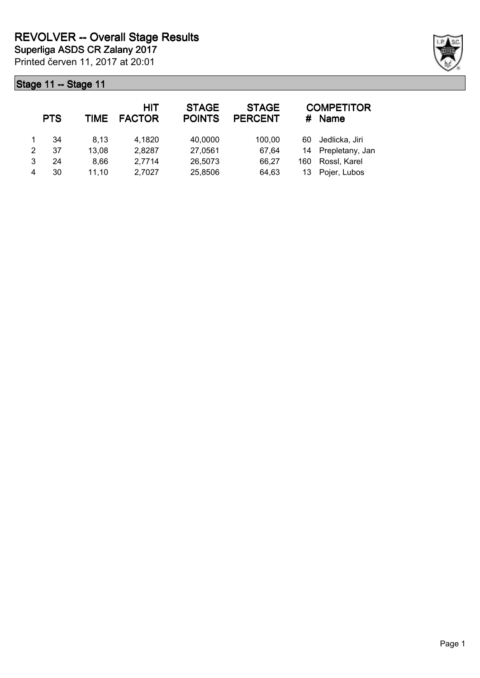|               | <b>PTS</b> | TIME  | HIT<br><b>FACTOR</b> | <b>STAGE</b><br><b>POINTS</b> | <b>STAGE</b><br><b>PERCENT</b> | #   | <b>COMPETITOR</b><br><b>Name</b> |
|---------------|------------|-------|----------------------|-------------------------------|--------------------------------|-----|----------------------------------|
|               | 34         | 8.13  | 4,1820               | 40,0000                       | 100.00                         | 60  | Jedlicka, Jiri                   |
| $\mathcal{P}$ | 37         | 13,08 | 2,8287               | 27,0561                       | 67.64                          | 14  | Prepletany, Jan                  |
| 3             | 24         | 8.66  | 2,7714               | 26,5073                       | 66,27                          | 160 | Rossl, Karel                     |
| 4             | 30         | 11.10 | 2,7027               | 25,8506                       | 64,63                          | 13  | Pojer, Lubos                     |

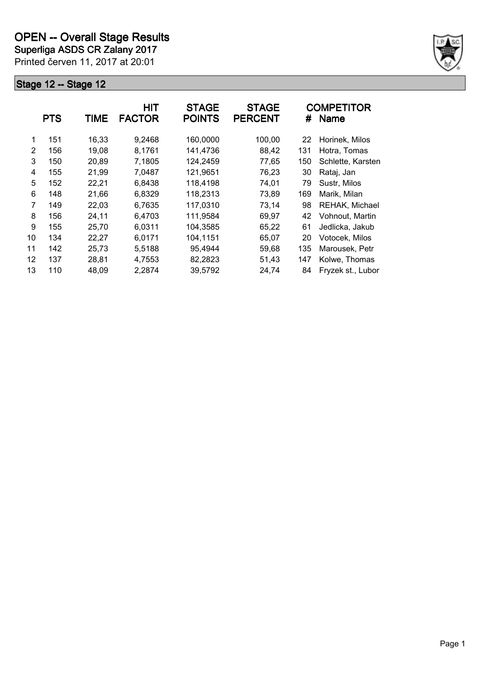**Superliga ASDS CR Zalany 2017**

Printed červen 11, 2017 at 20:01



|    | <b>PTS</b> | TIME  | <b>HIT</b><br><b>FACTOR</b> | <b>STAGE</b><br><b>POINTS</b> | <b>STAGE</b><br><b>PERCENT</b> | #   | <b>COMPETITOR</b><br><b>Name</b> |
|----|------------|-------|-----------------------------|-------------------------------|--------------------------------|-----|----------------------------------|
| 1  | 151        | 16,33 | 9,2468                      | 160,0000                      | 100,00                         | 22  | Horinek, Milos                   |
| 2  | 156        | 19,08 | 8,1761                      | 141,4736                      | 88,42                          | 131 | Hotra, Tomas                     |
| 3  | 150        | 20,89 | 7,1805                      | 124,2459                      | 77,65                          | 150 | Schlette, Karsten                |
| 4  | 155        | 21,99 | 7,0487                      | 121,9651                      | 76,23                          | 30  | Rataj, Jan                       |
| 5  | 152        | 22,21 | 6,8438                      | 118,4198                      | 74,01                          | 79  | Sustr, Milos                     |
| 6  | 148        | 21,66 | 6,8329                      | 118,2313                      | 73,89                          | 169 | Marik, Milan                     |
| 7  | 149        | 22,03 | 6,7635                      | 117,0310                      | 73,14                          | 98  | REHAK, Michael                   |
| 8  | 156        | 24,11 | 6,4703                      | 111,9584                      | 69,97                          | 42  | Vohnout. Martin                  |
| 9  | 155        | 25,70 | 6,0311                      | 104,3585                      | 65,22                          | 61  | Jedlicka, Jakub                  |
| 10 | 134        | 22,27 | 6,0171                      | 104,1151                      | 65,07                          | 20  | Votocek, Milos                   |
| 11 | 142        | 25,73 | 5,5188                      | 95,4944                       | 59,68                          | 135 | Marousek, Petr                   |
| 12 | 137        | 28,81 | 4,7553                      | 82,2823                       | 51,43                          | 147 | Kolwe, Thomas                    |
| 13 | 110        | 48,09 | 2,2874                      | 39,5792                       | 24,74                          | 84  | Fryzek st., Lubor                |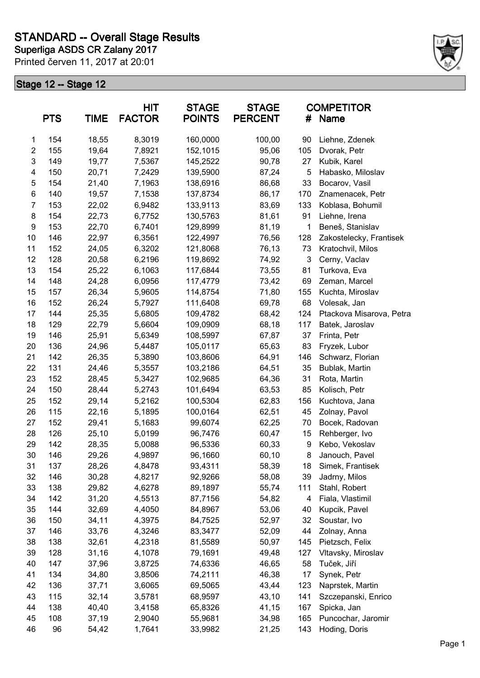

|                | <b>PTS</b> | <b>TIME</b> | HIT<br><b>FACTOR</b> | <b>STAGE</b><br><b>POINTS</b> | <b>STAGE</b><br><b>PERCENT</b> | #   | <b>COMPETITOR</b><br>Name |
|----------------|------------|-------------|----------------------|-------------------------------|--------------------------------|-----|---------------------------|
| $\mathbf{1}$   | 154        | 18,55       | 8,3019               | 160,0000                      | 100,00                         | 90  | Liehne, Zdenek            |
| $\overline{c}$ | 155        | 19,64       | 7,8921               | 152,1015                      | 95,06                          | 105 | Dvorak, Petr              |
| 3              | 149        | 19,77       | 7,5367               | 145,2522                      | 90,78                          | 27  | Kubik, Karel              |
| 4              | 150        | 20,71       | 7,2429               | 139,5900                      | 87,24                          | 5   | Habasko, Miloslav         |
| 5              | 154        | 21,40       | 7,1963               | 138,6916                      | 86,68                          | 33  | Bocarov, Vasil            |
| 6              | 140        | 19,57       | 7,1538               | 137,8734                      | 86,17                          | 170 | Znamenacek, Petr          |
| $\overline{7}$ | 153        | 22,02       | 6,9482               | 133,9113                      | 83,69                          | 133 | Koblasa, Bohumil          |
| 8              | 154        | 22,73       | 6,7752               | 130,5763                      | 81,61                          | 91  | Liehne, Irena             |
| 9              | 153        | 22,70       | 6,7401               | 129,8999                      | 81,19                          | 1   | Beneš, Stanislav          |
| 10             | 146        | 22,97       | 6,3561               | 122,4997                      | 76,56                          | 128 | Zakostelecky, Frantisek   |
| 11             | 152        | 24,05       | 6,3202               | 121,8068                      | 76,13                          | 73  | Kratochvil, Milos         |
| 12             | 128        | 20,58       | 6,2196               | 119,8692                      | 74,92                          | 3   | Cerny, Vaclav             |
| 13             | 154        | 25,22       | 6,1063               | 117,6844                      | 73,55                          | 81  | Turkova, Eva              |
| 14             | 148        | 24,28       | 6,0956               | 117,4779                      | 73,42                          | 69  | Zeman, Marcel             |
| 15             | 157        | 26,34       | 5,9605               | 114,8754                      | 71,80                          | 155 | Kuchta, Miroslav          |
| 16             | 152        | 26,24       | 5,7927               | 111,6408                      | 69,78                          | 68  | Volesak, Jan              |
| 17             | 144        | 25,35       | 5,6805               | 109,4782                      | 68,42                          | 124 | Ptackova Misarova, Petra  |
| 18             | 129        | 22,79       | 5,6604               | 109,0909                      | 68,18                          | 117 | Batek, Jaroslav           |
| 19             | 146        | 25,91       | 5,6349               | 108,5997                      | 67,87                          | 37  | Frinta, Petr              |
| 20             | 136        | 24,96       | 5,4487               | 105,0117                      | 65,63                          | 83  | Fryzek, Lubor             |
| 21             | 142        | 26,35       | 5,3890               | 103,8606                      | 64,91                          | 146 | Schwarz, Florian          |
| 22             | 131        | 24,46       | 5,3557               | 103,2186                      | 64,51                          | 35  | Bublak, Martin            |
| 23             | 152        | 28,45       | 5,3427               | 102,9685                      | 64,36                          | 31  | Rota, Martin              |
| 24             | 150        | 28,44       | 5,2743               | 101,6494                      | 63,53                          | 85  | Kolisch, Petr             |
| 25             | 152        | 29,14       | 5,2162               | 100,5304                      | 62,83                          | 156 | Kuchtova, Jana            |
| 26             | 115        | 22,16       | 5,1895               | 100,0164                      | 62,51                          | 45  | Zolnay, Pavol             |
| 27             | 152        | 29,41       | 5,1683               | 99,6074                       | 62,25                          | 70  | Bocek, Radovan            |
| 28             | 126        | 25,10       | 5,0199               | 96,7476                       | 60,47                          | 15  | Rehberger, Ivo            |
| 29             | 142        | 28,35       | 5,0088               | 96,5336                       | 60,33                          | 9   | Kebo, Vekoslav            |
| 30             | 146        | 29,26       | 4,9897               | 96,1660                       | 60,10                          | 8   | Janouch, Pavel            |
| 31             | 137        | 28,26       | 4,8478               | 93,4311                       | 58,39                          | 18  | Simek, Frantisek          |
| 32             | 146        | 30,28       | 4,8217               | 92,9266                       | 58,08                          | 39  | Jadrny, Milos             |
| 33             | 138        | 29,82       | 4,6278               | 89,1897                       | 55,74                          | 111 | Stahl, Robert             |
| 34             | 142        | 31,20       | 4,5513               | 87,7156                       | 54,82                          | 4   | Fiala, Vlastimil          |
| 35             | 144        | 32,69       | 4,4050               | 84,8967                       | 53,06                          | 40  | Kupcik, Pavel             |
| 36             | 150        | 34,11       | 4,3975               | 84,7525                       | 52,97                          | 32  | Soustar, Ivo              |
| 37             | 146        | 33,76       | 4,3246               | 83,3477                       | 52,09                          | 44  | Zolnay, Anna              |
| 38             | 138        | 32,61       | 4,2318               | 81,5589                       | 50,97                          | 145 | Pietzsch, Felix           |
| 39             | 128        | 31,16       | 4,1078               | 79,1691                       | 49,48                          | 127 | Vltavsky, Miroslav        |
| 40             | 147        | 37,96       | 3,8725               | 74,6336                       | 46,65                          | 58  | Tuček, Jiří               |
| 41             | 134        | 34,80       | 3,8506               | 74,2111                       | 46,38                          | 17  | Synek, Petr               |
| 42             | 136        | 37,71       | 3,6065               | 69,5065                       | 43,44                          | 123 | Naprstek, Martin          |
| 43             | 115        | 32,14       | 3,5781               | 68,9597                       | 43,10                          | 141 | Szczepanski, Enrico       |
| 44             | 138        | 40,40       | 3,4158               | 65,8326                       | 41,15                          | 167 | Spicka, Jan               |
| 45             | 108        | 37,19       | 2,9040               | 55,9681                       | 34,98                          | 165 | Puncochar, Jaromir        |
| 46             | 96         | 54,42       | 1,7641               | 33,9982                       | 21,25                          | 143 | Hoding, Doris             |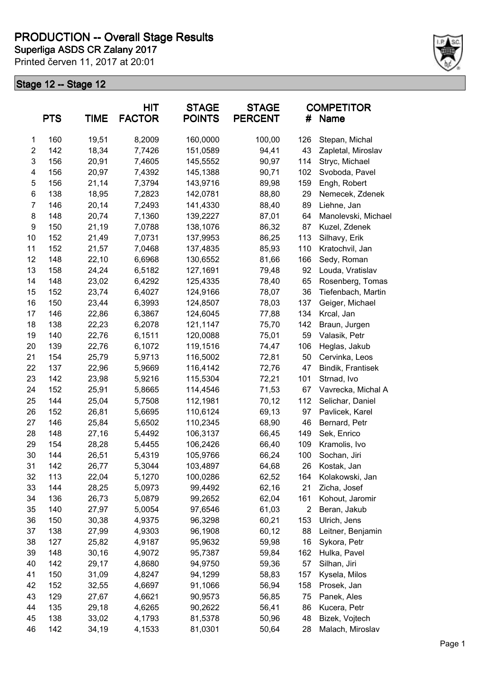# **PRODUCTION -- Overall Stage Results**

Printed červen 11, 2017 at 20:01 **Superliga ASDS CR Zalany 2017**



|                | <b>PTS</b> | <b>TIME</b> | HIT<br><b>FACTOR</b> | <b>STAGE</b><br><b>POINTS</b> | <b>STAGE</b><br><b>PERCENT</b> | #   | <b>COMPETITOR</b><br>Name |
|----------------|------------|-------------|----------------------|-------------------------------|--------------------------------|-----|---------------------------|
| 1              | 160        | 19,51       | 8,2009               | 160,0000                      | 100,00                         | 126 | Stepan, Michal            |
| $\overline{c}$ | 142        | 18,34       | 7,7426               | 151,0589                      | 94,41                          | 43  | Zapletal, Miroslav        |
| 3              | 156        | 20,91       | 7,4605               | 145,5552                      | 90,97                          | 114 | Stryc, Michael            |
| 4              | 156        | 20,97       | 7,4392               | 145,1388                      | 90,71                          | 102 | Svoboda, Pavel            |
| 5              | 156        | 21,14       | 7,3794               | 143,9716                      | 89,98                          | 159 | Engh, Robert              |
| 6              | 138        | 18,95       | 7,2823               | 142,0781                      | 88,80                          | 29  | Nemecek, Zdenek           |
| 7              | 146        | 20,14       | 7,2493               | 141,4330                      | 88,40                          | 89  | Liehne, Jan               |
| 8              | 148        | 20,74       | 7,1360               | 139,2227                      | 87,01                          | 64  | Manolevski, Michael       |
| 9              | 150        | 21,19       | 7,0788               | 138,1076                      | 86,32                          | 87  | Kuzel, Zdenek             |
| 10             | 152        | 21,49       | 7,0731               | 137,9953                      | 86,25                          | 113 | Silhavy, Erik             |
| 11             | 152        | 21,57       | 7,0468               | 137,4835                      | 85,93                          | 110 | Kratochvil, Jan           |
| 12             | 148        | 22,10       | 6,6968               | 130,6552                      | 81,66                          | 166 | Sedy, Roman               |
| 13             | 158        | 24,24       | 6,5182               | 127,1691                      | 79,48                          | 92  | Louda, Vratislav          |
| 14             | 148        | 23,02       | 6,4292               | 125,4335                      | 78,40                          | 65  | Rosenberg, Tomas          |
| 15             | 152        | 23,74       | 6,4027               | 124,9166                      | 78,07                          | 36  | Tiefenbach, Martin        |
| 16             | 150        | 23,44       | 6,3993               | 124,8507                      | 78,03                          | 137 | Geiger, Michael           |
| 17             | 146        | 22,86       | 6,3867               | 124,6045                      | 77,88                          | 134 | Krcal, Jan                |
| 18             | 138        | 22,23       | 6,2078               | 121,1147                      | 75,70                          | 142 | Braun, Jurgen             |
| 19             | 140        | 22,76       | 6,1511               | 120,0088                      | 75,01                          | 59  | Valasik, Petr             |
| 20             | 139        | 22,76       | 6,1072               | 119,1516                      | 74,47                          | 106 | Heglas, Jakub             |
| 21             | 154        | 25,79       | 5,9713               | 116,5002                      | 72,81                          | 50  | Cervinka, Leos            |
| 22             | 137        | 22,96       | 5,9669               | 116,4142                      | 72,76                          | 47  | Bindik, Frantisek         |
| 23             | 142        | 23,98       | 5,9216               | 115,5304                      | 72,21                          | 101 | Strnad, Ivo               |
| 24             | 152        | 25,91       | 5,8665               | 114,4546                      | 71,53                          | 67  | Vavrecka, Michal A        |
| 25             | 144        | 25,04       | 5,7508               | 112,1981                      | 70,12                          | 112 | Selichar, Daniel          |
| 26             | 152        | 26,81       | 5,6695               | 110,6124                      | 69,13                          | 97  | Pavlicek, Karel           |
| 27             | 146        | 25,84       | 5,6502               | 110,2345                      | 68,90                          | 46  | Bernard, Petr             |
| 28             | 148        | 27,16       | 5,4492               | 106,3137                      | 66,45                          | 149 | Sek, Enrico               |
| 29             | 154        | 28,28       | 5,4455               | 106,2426                      | 66,40                          | 109 | Kramolis, Ivo             |
| 30             | 144        | 26,51       | 5,4319               | 105,9766                      | 66,24                          | 100 | Sochan, Jiri              |
| 31             | 142        | 26,77       | 5,3044               | 103,4897                      | 64,68                          | 26  | Kostak, Jan               |
| 32             | 113        | 22,04       | 5,1270               | 100,0286                      | 62,52                          | 164 | Kolakowski, Jan           |
| 33             | 144        | 28,25       | 5,0973               | 99,4492                       | 62,16                          | 21  | Zicha, Josef              |
| 34             | 136        | 26,73       | 5,0879               | 99,2652                       | 62,04                          | 161 | Kohout, Jaromir           |
| 35             | 140        | 27,97       | 5,0054               | 97,6546                       | 61,03                          | 2   | Beran, Jakub              |
| 36             | 150        | 30,38       | 4,9375               | 96,3298                       | 60,21                          | 153 | Ulrich, Jens              |
| 37             | 138        | 27,99       | 4,9303               | 96,1908                       | 60,12                          | 88  | Leitner, Benjamin         |
| 38             | 127        | 25,82       | 4,9187               | 95,9632                       | 59,98                          | 16  | Sykora, Petr              |
| 39             | 148        | 30,16       | 4,9072               | 95,7387                       | 59,84                          | 162 | Hulka, Pavel              |
| 40             | 142        | 29,17       | 4,8680               | 94,9750                       | 59,36                          | 57  | Silhan, Jiri              |
| 41             | 150        | 31,09       | 4,8247               | 94,1299                       | 58,83                          | 157 | Kysela, Milos             |
| 42             | 152        | 32,55       | 4,6697               | 91,1066                       | 56,94                          | 158 | Prosek, Jan               |
| 43             | 129        | 27,67       | 4,6621               | 90,9573                       | 56,85                          | 75  | Panek, Ales               |
| 44             | 135        | 29,18       | 4,6265               | 90,2622                       | 56,41                          | 86  | Kucera, Petr              |
| 45             | 138        | 33,02       | 4,1793               | 81,5378                       | 50,96                          | 48  | Bizek, Vojtech            |
| 46             | 142        | 34,19       | 4,1533               | 81,0301                       | 50,64                          | 28  | Malach, Miroslav          |
|                |            |             |                      |                               |                                |     |                           |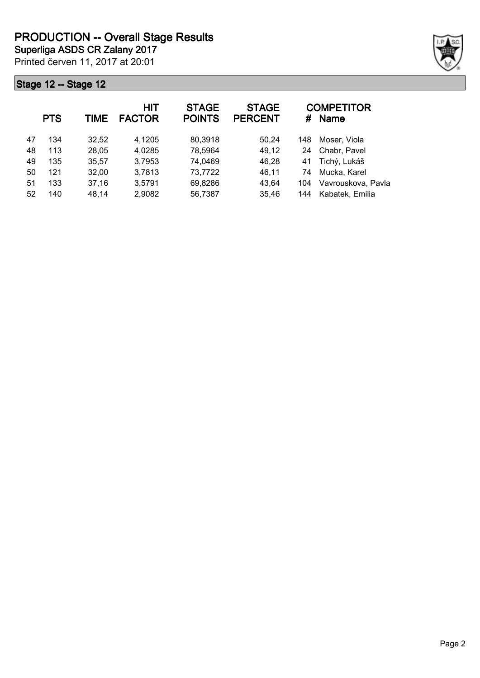Printed červen 11, 2017 at 20:01 **Superliga ASDS CR Zalany 2017**



|    | <b>PTS</b> | <b>TIME</b> | <b>HIT</b><br><b>FACTOR</b> | <b>STAGE</b><br><b>POINTS</b> | <b>STAGE</b><br><b>PERCENT</b> | #   | <b>COMPETITOR</b><br><b>Name</b> |
|----|------------|-------------|-----------------------------|-------------------------------|--------------------------------|-----|----------------------------------|
| 47 | 134        | 32,52       | 4.1205                      | 80,3918                       | 50,24                          | 148 | Moser, Viola                     |
| 48 | 113        | 28,05       | 4,0285                      | 78,5964                       | 49,12                          | 24  | Chabr, Pavel                     |
| 49 | 135        | 35,57       | 3,7953                      | 74,0469                       | 46,28                          | 41  | Tichý, Lukáš                     |
| 50 | 121        | 32,00       | 3,7813                      | 73,7722                       | 46,11                          | 74  | Mucka, Karel                     |
| 51 | 133        | 37,16       | 3,5791                      | 69,8286                       | 43,64                          | 104 | Vavrouskova, Pavla               |
| 52 | 140        | 48,14       | 2,9082                      | 56,7387                       | 35,46                          | 144 | Kabatek, Emilia                  |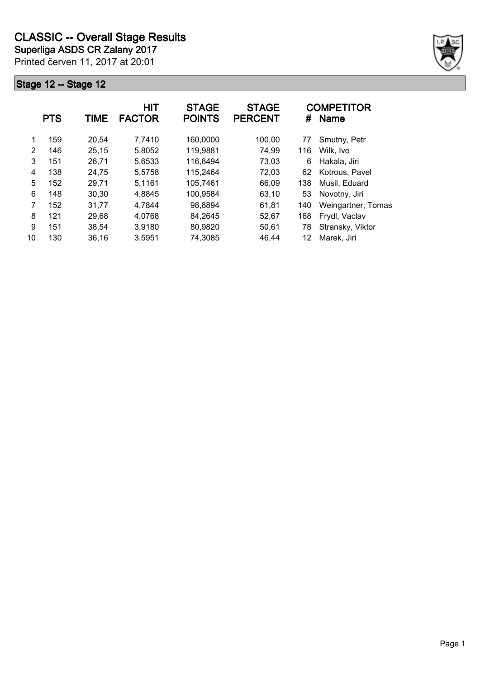

|               | <b>PTS</b> | <b>TIME</b> | <b>HIT</b><br><b>FACTOR</b> | <b>STAGE</b><br><b>POINTS</b> | <b>STAGE</b><br><b>PERCENT</b> | #   | <b>COMPETITOR</b><br><b>Name</b> |
|---------------|------------|-------------|-----------------------------|-------------------------------|--------------------------------|-----|----------------------------------|
| 1             | 159        | 20,54       | 7,7410                      | 160,0000                      | 100,00                         | 77  | Smutny, Petr                     |
| $\mathcal{P}$ | 146        | 25,15       | 5,8052                      | 119,9881                      | 74,99                          | 116 | Wilk, Ivo                        |
| 3             | 151        | 26,71       | 5,6533                      | 116,8494                      | 73,03                          | 6   | Hakala, Jiri                     |
| 4             | 138        | 24,75       | 5,5758                      | 115,2464                      | 72,03                          | 62  | Kotrous, Pavel                   |
| 5             | 152        | 29,71       | 5,1161                      | 105,7461                      | 66,09                          | 138 | Musil, Eduard                    |
| 6             | 148        | 30,30       | 4,8845                      | 100,9584                      | 63,10                          | 53  | Novotny, Jiri                    |
| 7             | 152        | 31,77       | 4,7844                      | 98,8894                       | 61,81                          | 140 | Weingartner, Tomas               |
| 8             | 121        | 29,68       | 4,0768                      | 84,2645                       | 52,67                          | 168 | Frydl, Vaclav                    |
| 9             | 151        | 38,54       | 3,9180                      | 80,9820                       | 50,61                          | 78  | Stransky, Viktor                 |
| 10            | 130        | 36,16       | 3,5951                      | 74,3085                       | 46,44                          | 12  | Marek, Jiri                      |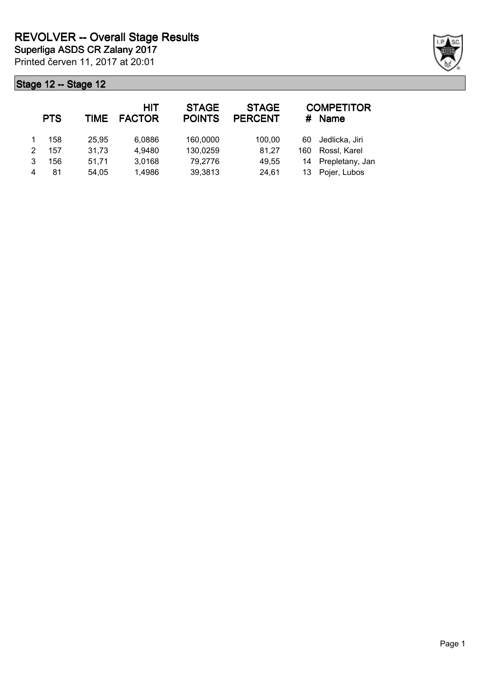|   | <b>PTS</b> | TIME  | HIT<br><b>FACTOR</b> | <b>STAGE</b><br><b>POINTS</b> | <b>STAGE</b><br><b>PERCENT</b> | #   | <b>COMPETITOR</b><br><b>Name</b> |
|---|------------|-------|----------------------|-------------------------------|--------------------------------|-----|----------------------------------|
|   | 158        | 25.95 | 6.0886               | 160,0000                      | 100.00                         | 60  | Jedlicka, Jiri                   |
| 2 | 157        | 31,73 | 4,9480               | 130,0259                      | 81,27                          | 160 | Rossl, Karel                     |
|   | 156        | 51.71 | 3,0168               | 79,2776                       | 49,55                          |     | 14 Prepletany, Jan               |
|   | 81         | 54.05 | 1,4986               | 39,3813                       | 24,61                          | 13  | Pojer, Lubos                     |